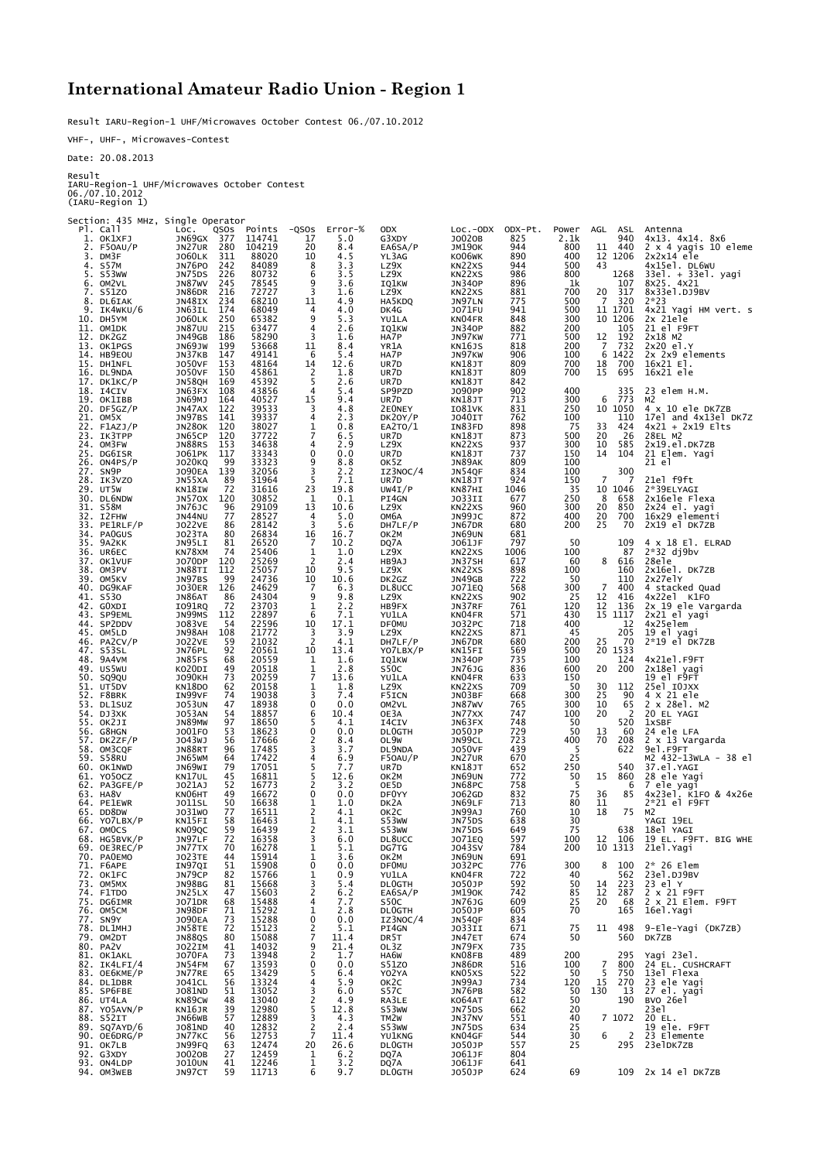## **International Amateur Radio Union - Region 1**

Result IARU-Region-1 UHF/Microwaves October Contest 06./07.10.2012

VHF-, UHF-, Microwaves-Contest

Date: 20.08.2013

Result

IARU-Region-1 UHF/Microwaves October Contest 06./07.10.2012 (IARU-Region 1)

Section: 435 MHz, Single Operator Pl. Call Loc. QSOs Points -QSOs Error-% ODX Loc.-ODX ODX-Pt. Power AGL ASL Antenna 1. OK1XFJ JN69GX 377 114741 17 5.0 G3XDY JO02OB 825 2.1k 940 4x13. 4x14. 8x6 2. F5OAU/P JN27UR 280 104219 20 8.4 EA6SA/P JM19OK 944 800 11 440 2 x 4 yagis 10 eleme 3. DM3F JO60LK 311 88020 10 4.5 YL3AG KO06WK 890 400 12 1206 2x2x14 ele 4. S57M JN76PO 242 84089 8 3.3 LZ9X KN22XS 944 500 43 4x15el. DL6WU 5. S53WW JN75DS 226 80732 6 3.5 LZ9X KN22XS 986 800 1268 33el. + 33el. yagi 6. OM2VL JN87WV 245 78545 9 3.6 IQ1KW JN34OP 896 1k 107 8X25. 4X21 4. S57M 3N76PO 242 84089 8 3.3 L29x KN22XS 944 500 43 4x15el. DL6W<br>5. S53WW 3N75DS 226 80732 6 3.5 L29x KN22XS 986 800 1268 33el. + 33el<br>6. OM2VL 3N87WV 245 78545 9 3.6 ΤQ1KW 3N340P 896 1k 107 8x25. 4x21<br>8. DL6IZAK 3N86 8. DL6IAK JN48IX 234 68210 11 4.9 HA5KDQ JN97LN 775 500 7 320 2\*23 9. DLOJAN JNHOLA 29+ 06210 11 1.9 PAJROU JNGZEN / 1.900 11 1701 4x21 Yagi HM vert. s<br>10. DHSYM JOGOLK 250 65382 9 5.3 YULLA KNO4FR 848 300 10 1206 2x 21e1e<br>11. OMIDK 1NR7UU 215 63427 4 2.6 TOIKW NN34OP 882 200 10.1206 21 e 10. DH5YM JO60LK 250 65382 9 5.3 YU1LA KN04FR 848 300 10 1206 2x 21ele 11. OM1DK JN87UU 215 63477 4 2.6 IQ1KW JN34OP 882 200 105 21 el F9FT 12. DK2GZ JN49GB 186 58290 3 1.6 HA7P JN97KW 771 500 12 192 2x18 M2 13. OK1PGS JN69JW 199 53668 11 8.4 YR1A KN16JS 818 200 7 732 2x20 el.Y 14. HB9EOU 3N093W 199 33000 11 0.4 TAIA NATO 3010 2000 7 732 2x2X9 elements<br>14. HB9EOU 3N37KB 147 49141 6 5.4 HA7P 3N97KW 906 100 6 1422 2x 2x9 elements<br>15. DH\_INFL 3050VF 153 48164 14 12.6 UR7D KN183T 809 700 18 700 16x21 15. DH1NFL JO50VF 153 48164 14 12.6 UR7D KN18JT 809 700 18 700 16x21 El. 16. DL9NDA JO50VF 150 45861 2 1.8 UR7D KN18JT 809 700 15 695 16x21 ele 17. DK1KC/P JN58QH 169 45392 5 2.6 UR7D KN18JT 842 18. I4CIV JN63FX 108 43856 4 5.4 SP9PZD JO90PP 902 400 335 23 elem H.M. 19. OK1IBB JN69MJ 164 40527 15 9.4 UR7D KN18JT 713 300 6 773 M2 20. DF5GZ/P JN47AX 122 39533 3 4.8 2E0NEY IO81VK 831 250 10 1050 4 x 10 ele DK7ZB 21. OM5X JN97BS 141 39337 4 2.3 DK2OY/P JO40IT 762 100 110 17el and 4x13el DK7Z 22. F1AZJ/P JN28OK 120 38027 1 0.8 EA2TO/1 IN83FD 898 75 33 424 4x21 + 2x19 Elts 23. IK3TPP JN65CP 120 37722 7 6.5 UR7D KN18JT 873 500 20 26 28EL M2 24. OM3FW JN88RS 153 34638 4 2.9 LZ9X KN22XS 937 300 10 585 2x19.el.DK7ZB 25. DG6ISR JO61PK 117 33343 0 0.0 UR7D KN18JT 737 150 14 104 21 Elem. Yagi 26. ON4PS/P JO20KQ 99 33323 9 8.8 OK5Z JN89AK 809 100 21 el 27. SN9P JO90EA 139 32056 3 2.2 IZ3NOC/4 JN54QF 834 100 300 28. IK3VZO JN55XA 89 31964 5 7.1 UR7D KN18JT 924 150 7 7 21el f9ft 29. UT5W KN18IW 72 31616 23 19.8 UW4I/P KN87HI 1046 35 10 1046 2\*39ELYAGI 30. DL6NDW JN57OX 120 30852 1 0.1 PI4GN JO33II 677 250 8 658 2x16ele Flexa 31. S58M JN76JC 96 29109 13 10.6 LZ9X KN22XS 960 300 20 850 2x24 el. yagi 32. I2FHW JN44NU 77 28527 4 5.0 OM6A JN99JC 872 400 20 700 16x29 elementi 33. PE1RLF/P JO22VE 86 28142 3 5.6 DH7LF/P JN67DR 680 200 25 70 2X19 el DK7ZB 34. PA0GUS JO23TA 80 26834 16 16.7 OK2M JN69UN 681 32. 12FHW JN44NU 77 28527 4 5.0 CM6A NAPOLE 872 400 20 700 16x29 elementi<br>33. PEIRLF/P JO22VE 86 28142 3 5.6 DH7LF/P JN67DR 680 200 25 70 2X19 el DK7ZB<br>34. PAOGUS JO23TA 80 26834 16 16.7 OK2M JN69DN 681 200 25 70 2X19 el D 36. UR6EC KN78XM 74 25406 1 1.0 LZ9X KN22XS 1006 100 87 2\*32 dj9bv 37. OK1VUF JO70DP 120 25269 2 2.4 HB9AJ JN37SH 617 60 8 616 28ele 38. OM3PV JN88TI 112 25057 10 9.5 LZ9X KN22XS 898 100 160 2x16el. DK7ZB 39. OM5KV JN97BS 99 24736 10 10.6 DK2GZ JN49GB 722 50 110 2x27elY 40. DG9KAF JO30ER 126 24629 7 6.3 DL8UCC JO71EQ 568 300 7 400 4 stacked Quad 41. S53O JN86AT 86 24304 9 9.8 LZ9X KN22XS 902 25 12 416 4x22el K1FO 42. G0XDI IO91RQ 72 23703 1 2.2 HB9FX JN37RF 761 120 12 136 2x 19 ele Vargarda 43. SP9EML JN99MS 112 22897 6 7.1 YU1LA KN04FR 571 430 15 1117 2x21 el yagi 44. SP2DDV JO83VE 54 22596 10 17.1 DF0MU JO32PC 718 400 12 4x25elem 45. OM5LD JN98AH 108 21772 3 3.9 LZ9X KN22XS 871 45 205 19 el yagi 46. PA2CV/P JO22VE 59 21032 2 4.1 DH7LF/P JN67DR 680 200 25 70 2\*19 el DK7ZB 47. S53SL JN76PL 92 20561 10 13.4 YO7LBX/P KN15FI 569 500 20 1533 48. 9A4VM JN85FS 68 20559 1 1.6 IQ1KW JN34OP 735 100 124 4x21el.F9FT 49. US5WU KO20DI 49 20518 1 2.8 S50C JN76JG 836 600 20 200 2x18el yagi 50. SQ9QU JO90KH 73 20259 7 13.6 YU1LA KN04FR 633 150 19 el F9FT 51. UT5DV KN18DO 62 20158 1 1.8 LZ9X KN22XS 709 50 30 112 25el I0JXX 52. F8BRK IN99VF 74 19038 3 7.4 F5ICN JN03BF 668 300 25 90 4 X 21 ele 53. DL1SUZ JO53UN 47 18938 0 0.0 OM2VL JN87WV 765 300 10 65 2 x 28el. M2 54. DJ3XK JO53AN 54 18857 6 10.4 OE3A JN77XX 747 100 20 2 20 EL YAGI 55. OK2JI JN89MW 97 18650 5 4.1 I4CIV JN63FX 748 50 520 1xSBF 56. G8HGN JO01FO 53 18623 0 0.0 DL0GTH JO50JP 729 50 13 60 24 ele LFA 57. DK2ZF/P JO43WJ 56 17666 2 8.4 OL9W JN99CL 723 400 70 208 2 x 13 Vargarda 58. OM3CQF JN88RT 96 17485 3 3.7 DL9NDA JO50VF 439 5 622 9el.F9FT 59. S58RU JN65WM 64 17422 4 6.9 F5OAU/P JN27UR 4579 25 022 9e1.F9F1<br>59. S58RU JN65WM 64 17422 4 6.9 F5OAU/P JN27UR 670 25 022 9E1.F9-13WLA - 38 el<br>60. OK1NWD JN69WI 79 17051 5 7.7 UR7D KN18JT 652 250 540 37.el.YAGI<br>61. YOS 60. OK1NWD JN69WI 79 17051 5 7.7 UR7D KN18JT 652 250 540 37.el.YAGI 61. YO5OCZ KN17UL 45 16811 5 12.6 OK2M JN69UN 772 50 15 860 28 ele Yagi 62. PA3GFE/P JO21AJ 52 16773 2 3.2 OE5D JN68PC 758 5 6 7 ele yagi 63. HA8V KN06HT 49 16672 0 0.0 DF0YY JO62GD 832 75 36 85 4x23el. K1FO & 4x26e 64. PE1EWR JO11SL 50 16638 1 1.0 DK2A JN69LF 713 80 11 2\*21 el F9FT 65. DD8DW JO31WO 77 16511 2 4.1 OK2C JN99AJ 760 10 18 75 M2 66. YO7LBX/P KN15FI 58 16463 1 4.1 S53WW JN75DS 638 30 YAGI 19EL 67. OM0CS KN09QC 59 16439 2 3.1 S53WW JN75DS 649 75 638 18el YAGI 67. OMOCS (NORTHOLD 1990) 2 3.1 STAW 5N75DS 649 75 638 18e1 YAGI 1990<br>68. HG5BVK/P JN97LF 72 16358 3 6.0 DL8UCC JO71EQ 597 100 12 106 19 EL. F9FT. BIG WHE<br>69. OE3REC/P JN97LF 70 16278 1 5.1 DG7TG JO71EQ 597 100 12 106 19 E 69. OE3REC/P JN77TX 70 16278 1 5.1 DG7TG JO43SV 784 200 10 1313 21el.Yagi 70. PA0EMO JO23TE 44 15914 1 3.6 OK2M JN69UN 691 71. F6APE IN97QI 51 15908 0 0.0 DF0MU JO32PC 776 300 8 100 2\* 26 Elem 72. OK1FC JN79CP 82 15766 1 0.9 YU1LA KN04FR 722 40 562 23el.DJ9BV 73. OM5MX JN98BG 81 15668 3 5.4 DL0GTH JO50JP 592 50 14 223 23 el Y 74. F1TDO JN25LX 47 15603 2 6.2 EA6SA/P JM19OK 742 85 12 287 2 x 21 F9FT 75. DG6IMR JO71DR 68 15488 4 7.7 S50C JN76JG 609 25 20 68 2 x 21 Elem. F9FT 76. OM5CM JN98DF 71 15292 1 2.8 DL0GTH JO50JP 605 70 165 16el.Yagi 77. SN9Y JO90EA 73 15288 0 0.0 IZ3NOC/4 JN54QF 834 78. DL1MHJ JN58TE 72 15123 2 5.1 PI4GN JO33II 671 75 11 498 9-Ele-Yagi (DK7ZB) 79. OM2DT JN88QS 80 15088 7 11.4 DR5T JN47ET 674 50 560 DK7ZB 80. PA2V JO22IM 41 14032 9 21.4 OL3Z JN79FX 735 81. OK1AKL JO70FA 73 13948 2 1.7 HA6W KN08FB 489 200 295 Yagi 23el. 82. IK4LFI/4 JN54FM 67 13593 0 0.0 S51ZO JN86DR 516 100 7 800 24 EL. CUSHCRAFT 83. OE6KME/P JN77RE 65 13429 5 6.4 YO2YA KN05XS 522 50 5 750 13el Flexa 84. DL1DBR JO41CL 56 13324 4 5.9 OK2C JN99AJ 734 120 15 270 23 ele Yagi 85. SP6FBE JO81ND 51 13052 3 6.0 S57C JN76PB 582 50 130 13 27 el. yagi 86. UT4LA KN89CW 48 13040 2 4.9 RA3LE KO64AT 612 50 190 BVO 26el 87. YO5AVN/P KN16JR 39 12980 5 12.8 S53WW JN75DS 662 20 23el 88. S52IT JN66WB 57 12889 3 4.3 TM2W JN37NV 551 40 7 1072 20 EL. 89. SQ7AYD/6 JO81ND 40 12832 2 2.4 S53WW JN75DS 634 25 19 ele. F9FT 90. OE6DRG/P JN77KC 56 12753 7 11.4 YU1KNG KN04GF 544 30 6 2 23 Elemente 91. OK7LB JN99FQ 63 12474 20 26.6 DL0GTH JO50JP 557 25 295 23elDK7ZB 92. G3XDY JO02OB 27 12459 1 6.2 DQ7A JO61JF 804 93. ON4LDP JO10UN 41 12246 1 3.2 DQ7A JO61JF 641 94. OM3WEB JN97CT 59 11713 6 9.7 DL0GTH JO50JP 624 69 109 2x 14 el DK7ZB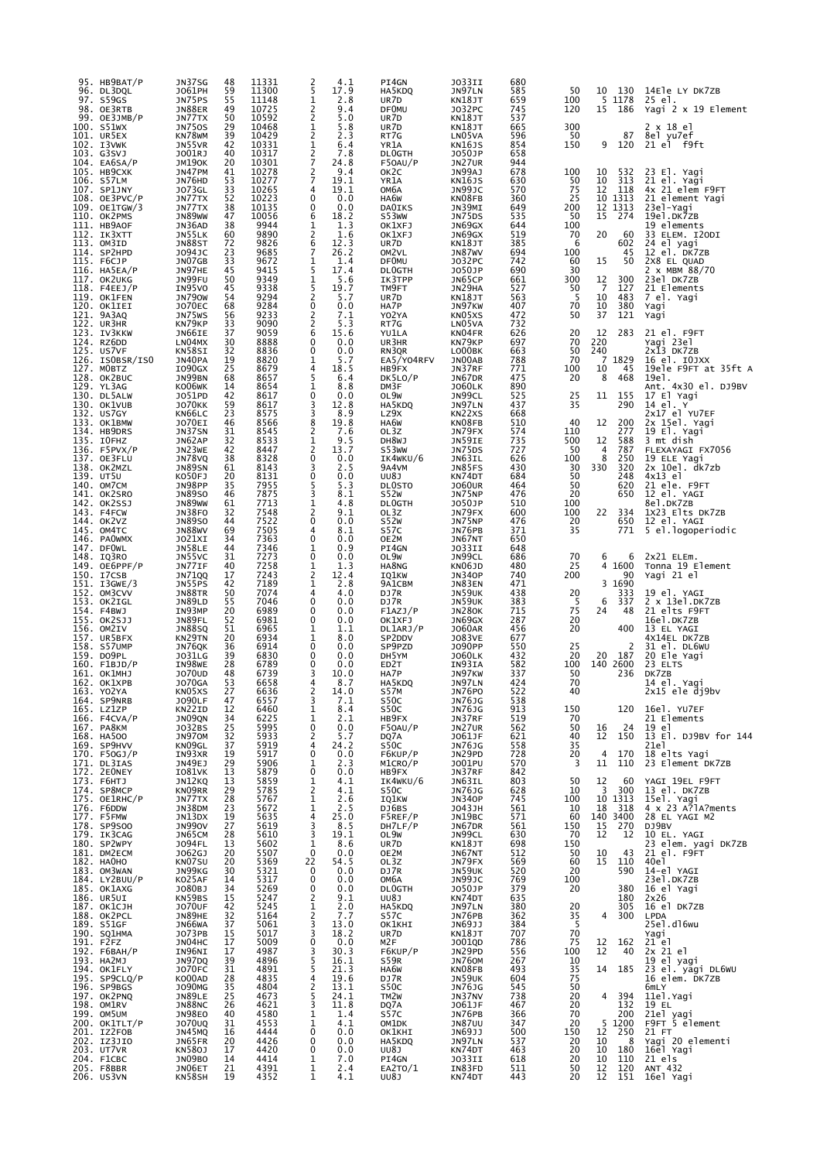| 95. НВ9ВАТ/Р<br>96. DL3DQL       | JN37SG<br>J061PH                                 | 48<br>59              | 11331<br>11300 | 2<br>5              | 4.1<br>17.9  | PI4GN<br>HA5KDQ              | JO33II<br>JN97LN               | 680<br>585 | 50                                      | 10             | 130            | 14Ele LY DK7ZB                      |
|----------------------------------|--------------------------------------------------|-----------------------|----------------|---------------------|--------------|------------------------------|--------------------------------|------------|-----------------------------------------|----------------|----------------|-------------------------------------|
| 97. S59GS<br>98. OE3RTB          | JN75PS<br>JN88ER                                 | 55<br>49              | 11148<br>10725 | 1<br>2              | 2.8<br>9.4   | UR7D<br><b>DF0MU</b>         | KN18JT<br>J032PC               | 659<br>745 | 100<br>120                              | 15             | 5 1178<br>186  | 25 el.<br>Yagi 2 x 19 Element       |
| 99. OE3JMB/P<br>100. S51WX       | JN77TX<br><b>JN750S</b>                          | 50<br>29              | 10592<br>10468 | 2<br>1              | 5.0<br>5.8   | UR7D<br>UR7D                 | KN18JT<br>KN18JT               | 537<br>665 | 300                                     |                |                | 2 x 18 el                           |
| 101. UR5EX<br>102. I3VWK         | KN78WM<br>JN55VR                                 | 39<br>42              | 10429<br>10331 | $\overline{c}$<br>1 | 2.3<br>6.4   | RT7G<br>YR1A                 | LN <sub>05VA</sub><br>KN16JS   | 596<br>854 | 50<br>150                               | 9              | 87<br>120      | 8el yu7ef<br>21 el f9ft             |
| 103. G3SVJ<br>104. EAGSA/P       | J001RJ<br><b>JM190K</b>                          | 40<br>20              | 10317<br>10301 | $\frac{2}{7}$       | 7.8<br>24.8  | <b>DLOGTH</b><br>F50AU/P     | J050JP<br>JN27UR               | 658<br>944 |                                         |                |                |                                     |
| 105. НВ9СХК                      | JN47PM                                           | 41<br>53              | 10278          | 2<br>7              | 9.4<br>19.1  | OK <sub>2</sub> C            | JN99AJ                         | 678        | 100                                     | 10             | 532            | 23 El. Yagi                         |
| 106. S57LM<br>107. SP1JNY        | JN76HD<br><b>JO73GL</b>                          | 33                    | 10277<br>10265 | 4                   | 19.1         | YR1A<br>ОМ6А                 | <b>KN16JS</b><br>JN99JC        | 630<br>570 | 50<br>75                                | 10<br>12       | 313<br>118     | 21 el. Yagi<br>4x 21 elem F9FT      |
| $108.$ OE3PVC/P<br>109. OE1TGW/3 | JN77TX<br>JN77TX                                 | 52<br>38              | 10223<br>10135 | $\Omega$<br>0       | 0.0<br>0.0   | HA6W<br><b>DAOIKS</b>        | KN08FB<br>JN39MI               | 360<br>649 | 25<br>200                               | 10<br>12       | 1313<br>1313   | 21 element Yagi<br>23el-Yagi        |
| 110. OK2PMS<br>111. HB9AOF       | JN89WW<br>JN36AD                                 | 47<br>38              | 10056<br>9944  | 6<br>1              | 18.2<br>1.3  | S53WW<br>OK1XFJ              | JN75DS<br>JN69GX               | 535<br>644 | 50<br>100                               | 15             | 274            | 19el.DK7ZB<br>19 elements           |
| 112. IK3XTT<br>113. OM3ID        | JN55LK<br>JN88ST                                 | 60<br>72              | 9890<br>9826   | 2<br>6              | 1.6<br>12.3  | OK1XFJ<br>UR7D               | JN69GX<br>KN18JT               | 519<br>385 | 70<br>6                                 | 20             | 60<br>602      | 33 ELEM. I2ODI<br>24 el yagi        |
| 114. SP2HPD<br>115. F6CJP        | J094JC<br>JN07GB                                 | 23<br>33              | 9685<br>9672   | 7<br>1              | 26.2<br>1.4  | OM2VL<br><b>DF0MU</b>        | <b>JN87WV</b><br>J032PC        | 694<br>742 | 100<br>60                               | 15             | 45<br>50       | 12 el. DK7ZB<br>2X8 EL QUAD         |
| $116.$ HASEA/P<br>117. OK2UKG    | JN97HE                                           | 45                    | 9415<br>9349   | 5                   | 17.4<br>5.6  | <b>DLOGTH</b>                | J050JP                         | 690<br>661 | 30<br>300                               |                | 300            | 2 x MBM 88/70<br>23el DK7ZB         |
| 118. F4EEJ/P                     | JN99FU<br>IN95VO                                 | 50<br>45              | 9338           | 1<br>5              | 19.7         | IK3TPP<br>TM9FT              | JN65CP<br>JN29HA               | 527        | 50                                      | 12<br>7        | 127            | 21 Elements                         |
| 119. OK1FEN<br>120. OK1IEI       | <b>JN790W</b><br><b>JO70EC</b>                   | 54<br>68              | 9294<br>9284   | $\overline{2}$<br>0 | 5.7<br>0.0   | UR7D<br>HA7P                 | KN18JT<br>JN97KW               | 563<br>407 | 5<br>70                                 | 10<br>10       | 483<br>380     | 7 el. Yagi<br>Yagi                  |
| 121. 9A3AQ<br>122. UR3HR         | JN75WS<br>KN79KP                                 | 56<br>33              | 9233<br>9090   | 2<br>2              | 7.1<br>5.3   | Y02YA<br>RT7G                | KN05XS<br>LN05VA               | 472<br>732 | 50                                      | 37             | 121            | Yagi                                |
| 123. IV3KKW<br>124. RZ6DD        | JN66IE<br>LN04MX                                 | 37<br>30              | 9059<br>8888   | 6<br>0              | 15.6<br>0.0  | YU1LA<br>UR3HR               | KN04FR<br>KN79KP               | 626<br>697 | 20<br>70                                | 12<br>220      | 283            | 21 el. F9FT<br>Yagi 23el            |
| 125. US7VF<br>126. ISOBSR/ISO    | KN58SI<br>JN40PA                                 | 32<br>19              | 8836<br>8820   | 0<br>1              | 0.0<br>5.7   | RN3QR<br>EA5/Y04RFV          | LO00BK<br>JN00AB               | 663<br>788 | 50<br>70                                | 240<br>7       | 1829           | 2x13 DK7ZB<br>16 el. 10JXX          |
| 127. MOBTZ<br>128. OK2BUC        | I090GX<br>JN99BN                                 | 25<br>68              | 8679<br>8657   | 4<br>5              | 18.5<br>6.4  | HB9FX<br>DK5LO/P             | JN37RF<br>JN67DR               | 771<br>475 | 100<br>20                               | 10<br>8        | 45<br>468      | 19ele F9FT at 35ft A<br>19el.       |
| 129. YL3AG                       | KO06WK                                           | 14                    | 8654           | 1                   | 8.8          | DM3F                         | <b>JO60LK</b>                  | 890        |                                         |                |                | Ant. 4x30 el. DJ9BV                 |
| 130. DL5ALW<br>130. OK1VUB       | J051PD<br><b>JO70KK</b>                          | 42<br>59              | 8617<br>8617   | 0<br>3              | 0.0<br>12.8  | OL9W<br>HA5KDQ               | JN99CL<br>JN97LN               | 525<br>437 | $\begin{array}{c} 25 \\ 35 \end{array}$ | 11             | 155<br>290     | 17 El Yagi<br>14 el. Y              |
| 132. US7GY<br>133. OK1BMW        | KN66LC<br><b>JO70EI</b>                          | 23<br>46              | 8575<br>8566   | 3<br>8              | 8.9<br>19.8  | LZ9X<br>HA6W                 | KN22XS<br>KN08FB               | 668<br>510 | 40                                      | 12             | 200            | 2x17 el YU7EF<br>2x 15el. Yagi      |
| 134. HB9DRS<br>135. IOFHZ        | JN37SN<br>JN62AP                                 | 31<br>32              | 8545<br>8533   | 2<br>1              | 7.6<br>9.5   | OL3Z<br>DH8WJ                | JN79FX<br>JN59IE               | 574<br>735 | 110<br>500                              | 12             | 277<br>588     | 19 El. Yagi<br>3 mt dish            |
| $136.$ F5PVX/P<br>137. OE3FLU    | JN23WE<br>JN78VQ                                 | 42<br>38              | 8447<br>8328   | 2<br>0              | 13.7<br>0.0  | S53WW<br>IK4WKU/6            | <b>JN75DS</b><br>JN63IL        | 727<br>626 | 50<br>100                               | 4<br>8         | 787<br>250     | FLEXAYAGI FX7056<br>19 ELE Yagi     |
| 138. OK2MZL<br>139. UT5U         | <b>JN89SN</b><br>K050FJ                          | 61<br>20              | 8143<br>8131   | 3<br>0              | 2.5<br>0.0   | 9A4VM<br>UU8J                | JN85FS<br>KN74DT               | 430<br>684 | 30<br>50                                | 330            | 320<br>248     | 2x 10el. dk7zb<br>4x13 el           |
| 140. OM7CM                       | JN98PP                                           | 35                    | 7955           | 5                   | 5.3          | <b>DLOSTO</b>                | <b>JO60UR</b>                  | 464        | 50                                      |                | 620            | 21 ele. F9FT                        |
| 141. OK2SRO<br>142. OK2SSJ       | <b>JN89SO</b><br><b>JN89WW</b>                   | 46<br>61              | 7875<br>7713   | 3<br>1              | 8.1<br>4.8   | <b>S52W</b><br><b>DLOGTH</b> | JN75NP<br>J050JP               | 476<br>510 | 20<br>100                               |                | 650            | 12 el. YAGI<br>8el.DK7ZB            |
| 143. F4FCW<br>144. OK2VZ         | JN38FO<br><b>JN89SO</b>                          | 32<br>44              | 7548<br>7522   | $\overline{c}$<br>0 | 9.1<br>0.0   | OL3Z<br><b>S52W</b>          | JN79FX<br>JN75NP               | 600<br>476 | 100<br>20                               | 22             | 334<br>650     | 1X23 Elts DK7ZB<br>12 el. YAGI      |
| 145. OM4TC<br>146. PAOWMX        | <b>JN88WV</b><br>J021XI                          | 69<br>34              | 7505<br>7363   | 4<br>0              | 8.1<br>0.0   | S57C<br>OE2M                 | JN76PB<br>JN67NT               | 371<br>650 | 35                                      |                | 771            | 5 el.logoperiodic                   |
| 147. DFOWL<br>148. IQ3RO         | JN58LE<br>JN55VC                                 | 44<br>31              | 7346<br>7273   | 1<br>0              | 0.9<br>0.0   | PI4GN<br>OL9W                | J033II<br>JN99CL               | 648<br>686 | 70                                      | 6              | 6              | $2x21$ ELEm.                        |
| $149.$ OE6PPF/P<br>150. I7CSB    | JN77IF<br><b>JN71QQ</b>                          | 40<br>17              | 7258<br>7243   | 1<br>2              | 1.3<br>12.4  | HA8NG<br>IQ1KW               | KN06JD<br><b>JN340P</b>        | 480<br>740 | 25<br>200                               | 4              | 1600<br>90     | Tonna 19 Element<br>Yagi 21 el      |
| 151. I3GWE/3<br>152. OM3CVV      | JN55PS<br>JN88TR                                 | 42<br>50              | 7189<br>7074   | 1<br>4              | 2.8<br>4.0   | 9A1CBM<br>DJ7R               | JN83EN<br>JN59UK               | 471<br>438 | 20                                      | 3              | 1690<br>333    | 19 el. YAGI                         |
| 153. OK2IGL<br>154. F4BWJ        | <b>JN89LD</b><br>IN93MP                          | 55<br>20              | 7046<br>6989   | 0<br>0              | 0.0<br>0.0   | DJ7R<br>F1AZJ/P              | JN59UK<br><b>JN280K</b>        | 383<br>715 | 5<br>75                                 | 6<br>24        | 337<br>48      | 2 x 13el.DK7ZB<br>21 elts F9FT      |
| 155. OK2SJJ                      | JN89FL                                           | 52                    | 6981           | 0                   | 0.0          | OK1XFJ                       | JN69GX                         | 287        | 20                                      |                |                | 16el.DK7ZB                          |
| 156. OM2IV<br>157. UR5BFX        | <b>JN88SQ</b><br>KN <sub>29</sub> TN             | 51<br>20              | 6965<br>6934   | 1<br>1              | 1.1<br>8.0   | DL1ARJ/P<br>SP2DDV           | <b>JO60AR</b><br><b>JO83VE</b> | 456<br>677 | 20                                      |                | 400            | 13 EL YAGI<br>4X14EL DK7ZB          |
| 158. S57UMP<br>159. DO9PL        | JN76QK<br><b>JO31LG</b>                          | 36<br>39              | 6914<br>6830   | 0<br>0              | 0.0<br>0.0   | SP9PZD<br>DH5YM              | J090PP<br><b>JO60LK</b>        | 550<br>432 | 25<br>20                                | 20             | 2<br>187       | 31 el. DL6WU<br>20 Ele Yagi         |
| 160. F1BJD/P<br>161. ОК1МНЈ      | IN98WE<br>J070UD                                 | 28<br>48              | 6789<br>6739   | 0<br>3              | 0.0<br>10.0  | ED <sub>2</sub> T<br>HA7P    | IN93IA<br>JN97KW               | 582<br>337 | 100<br>50                               | 140 2600       | 236            | 23 ELTS<br>DK7ZB                    |
| 162. OK1XPB<br>163. YO2YA        | <b>JO70GA</b><br>KN <sub>05</sub> x <sub>S</sub> | 53<br>27              | 6658<br>6636   | 4<br>2              | 8.7<br>14.0  | HA5KDQ<br>S57M               | JN97LN<br>JN76PO               | 424<br>522 | 70<br>40                                |                |                | 14 el. Yagı<br>2x15 ele dj9bv       |
| 164. SP9NRB<br>165. LZ1ZP        | <b>JO90LF</b><br>KN22ID                          | 47<br>12              | 6557<br>6460   | 3<br>1              | 7.1<br>8.4   | S50C<br>S50C                 | JN76JG<br>JN76JG               | 538<br>913 | 150                                     |                | 120            | 16el. YU7EF                         |
| 166. F4CVA/P<br>167. РА8КМ       | JNO <sub>9</sub> QN<br>J032BS                    | 34<br>$\overline{25}$ | 6225<br>5995   | 1<br>0              | 2.1<br>0.0   | HB9FX<br>F50AU/P             | JN37RF<br>JN27UR               | 519<br>562 | 70<br>50                                | 16             | 24             | 21 Elements<br>$\overline{19}$ el   |
| 168. HA500                       | JN970M                                           | 32                    | 5933           | 2                   | 5.7          | DQ7A                         | J061JF                         | 621        | 40                                      | 12             | 150            | 13 El. DJ9BV for 144                |
| 169. SP9HVV<br>170. F50GJ/P      | KN09GL<br>IN93XR                                 | 37<br>19              | 5919<br>5917   | 4<br>0              | 24.2<br>0.0  | S50C<br>F6KUP/P              | <b>JN76JG</b><br>JN29PD        | 558<br>728 | 35<br>20                                | $\overline{4}$ | 170            | 21e1<br>18 elts Yagi                |
| 171. DL3IAS<br>172. 2EONEY       | JN49EJ<br>I081VK                                 | 29<br>13              | 5906<br>5879   | 1<br>0              | 2.3<br>0.0   | M1CRO/P<br>HB9FX             | J001PU<br>JN37RF               | 570<br>842 | 3                                       | 11             | 110            | 23 Element DK7ZB                    |
| 173. F6HTJ<br>174. SP8MCP        | JN12KQ<br>KN09RR                                 | 13<br>29              | 5859<br>5785   | 1<br>2              | 4.1<br>4.1   | IK4WKU/6<br>S50C             | JN63IL<br>JN76JG               | 803<br>628 | 50<br>10                                | 12<br>3        | 60<br>300      | YAGI 19EL F9FT<br>13 el. DK7ZB      |
| 175. OE1RHC/P<br>176. F6DDW      | JN77TX<br>JN38DM                                 | 28<br>23              | 5767<br>5672   | 1<br>1              | 2.6<br>2.5   | IQ1KW<br>DJ6BS               | <b>JN340P</b><br>J043JH        | 745<br>561 | 100<br>10                               | 18             | 10 1313<br>318 | 15el. Yagi<br>4 x 23 A?lA?ments     |
| 177. F5FMW<br>178. SP9S00        | JN13DX<br><b>JN990V</b>                          | 19<br>27              | 5635<br>5619   | 4<br>3              | 25.0<br>8.5  | F5REF/P<br>DH7LF/P           | JN19BC<br>JN67DR               | 571<br>561 | 60<br>150                               | 140 3400<br>15 | 270            | 28 EL YAGI M2<br>DJ9BV              |
| 179. IK3CAG<br>180. SP2WPY       | JN65CM<br>J094FL                                 | 28<br>13              | 5610<br>5602   | 3<br>1              | 19.1<br>8.6  | OL9W<br>UR7D                 | JN99CL<br>KN18JT               | 630<br>698 | 70<br>150                               | 12             | 12             | 10 EL. YAGI<br>23 elem. yagi DK7ZB  |
| 181. DM2ECM<br>182. НАОНО        | J062GJ<br>KN07SU                                 | 20<br>20              | 5507<br>5369   | 0<br>22             | 0.0<br>54.5  | OE2M<br>OL3Z                 | JN67NT<br>JN79FX               | 512<br>569 | 50<br>60                                | 10<br>15       | 43<br>110      | 21 el. F9FT<br>40e1                 |
| 183. OM3WAN                      | JN99KG                                           | 30                    | 5321           | 0                   | 0.0          | DJ7R                         | JN59UK                         | 520        | 20                                      |                | 590            | 14-el YAGI                          |
| 184. LY2BUU/P<br>185. OK1AXG     | KO25AF<br>J080BJ                                 | 14<br>34              | 5317<br>5269   | 0<br>0              | 0.0<br>0.0   | OM6A<br><b>DLOGTH</b>        | JN99JC<br>J050JP               | 769<br>379 | 100<br>20                               |                | 380            | 23el.DK7ZB<br>16 el Yagi            |
| 186. UR5UI<br>187. ОК1СЈН        | KN59BS<br><b>JO70UF</b>                          | 15<br>42              | 5247<br>5245   | 2<br>1              | 9.1<br>2.0   | UU8J<br>HA5KDQ               | KN74DT<br>JN97LN               | 635<br>380 | 20                                      |                | 180<br>305     | 2x26<br>16 el DK7ZB                 |
| 188. OK2PCL<br>189. S51GF        | JN89HE<br>JN66WA                                 | 32<br>37              | 5164<br>5061   | 2<br>3              | 7.7<br>13.0  | S57C<br>OK1KHI               | JN76PB<br>JN69JJ               | 362<br>384 | 35<br>5                                 | 4              | 300            | <b>LPDA</b><br>25el.dl6wu           |
| 190. SQ1HMA<br>191. F2FZ         | J073PB<br>JN04HC                                 | 15<br>17              | 5017<br>5009   | 3<br>0              | 18.2<br>0.0  | UR7D<br>M2F                  | KN18JT<br>J001QD               | 707<br>786 | 70<br>75                                | 12             | 162            | Yagi<br>21 el                       |
| 192. F6BAH/Р<br>193. HA2MJ       | IN96NI<br>JN97DQ                                 | 17<br>39              | 4987<br>4896   | 3<br>5              | 30.3<br>16.1 | F6KUP/P<br>S59R              | JN29PD<br><b>JN760M</b>        | 556<br>267 | 100<br>10                               | 12             | 40             | 2x 21 el<br>19 el yagi              |
| 194. OK1FLY<br>195. SP9CLQ/P     | <b>JO70FC</b><br>KO00AD                          | 31<br>28              | 4891<br>4835   | 5<br>4              | 21.3<br>19.6 | HA6W<br>DJ7R                 | KN08FB<br>JN59UK               | 493<br>604 | 35<br>75                                | 14             | 185            | 23 el. yagi DL6WU<br>16 elem. DK7ZB |
| 196. SP9BGS                      | <b>JO90MG</b>                                    | 35                    | 4804           | 2                   | 13.1         | S50C                         | JN76JG                         | 545        | 50                                      |                |                | 6mLY                                |
| 197. OK2PNQ<br>198. OM1RV        | JN89LE<br>JN88NC                                 | 25<br>26              | 4673<br>4621   | 5<br>3              | 24.1<br>11.8 | TM <sub>2</sub> w<br>DQ7A    | JN37NV<br>J061JF               | 738<br>467 | 20<br>20                                | 4              | 394<br>132     | 11el. Yagi<br>19 EL                 |
| 199. OM5UM<br>200. OK1TLT/P      | JN98EO<br>J070UQ                                 | 40<br>31              | 4580<br>4553   | 1<br>1              | 1.4<br>4.1   | S57C<br>OM1DK                | JN76PB<br><b>JN87UU</b>        | 366<br>347 | 70<br>20                                |                | 200<br>5 1200  | 21el yagi<br>F9FT 5 element         |
| 201. IZ2FOB<br>202. IZ3JIO       | JN45MQ<br>JN65FR                                 | 16<br>20              | 4444<br>4426   | 0<br>0              | 0.0<br>0.0   | OK1KHI<br>HA5KDQ             | JN69JJ<br>JN97LN               | 500<br>537 | 150<br>20                               | 12<br>10       | 250<br>8       | 21 FT<br>Yagi 20 elementi           |
| 203. UT7VR<br>204. F1CBC         | KN580J<br>JN09BO                                 | 17<br>14              | 4420<br>4414   | $\Omega$<br>1       | 0.0<br>7.0   | UU8J<br>PI4GN                | KN74DT<br>J033II               | 463<br>618 | 20<br>20                                | 10<br>10       | 180<br>110     | 16el Yagi<br>21 els                 |
| 205. F8BBR<br>206. US3VN         | JN06ET<br>KN58SH                                 | 21<br>19              | 4391<br>4352   | 1<br>1              | 2.4<br>4.1   | EA2TO/1<br>UU8J              | IN83FD<br>KN74DT               | 511<br>443 | 50<br>20                                | 12<br>12       | 120<br>151     | ANT 432<br>16el Yagi                |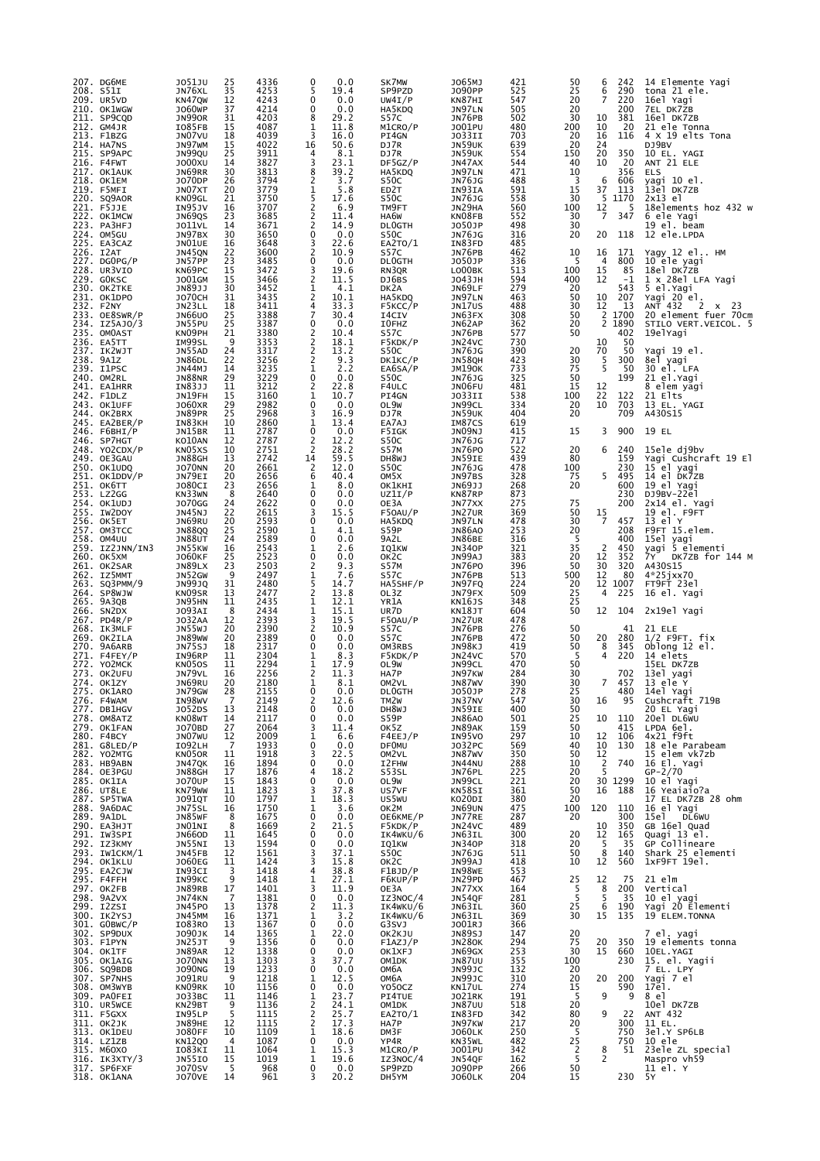|      | 207. DG6ME<br>208. S51I<br>209. UR5VD    | J051JU<br>JN76XL<br>KN47QW     | 25<br>35<br>12       | 4336<br>4253<br>4243 | 0<br>5<br>0                                   | 0.0<br>19.4<br>0.0  | SK7MW<br>SP9PZD<br>UW4I/P                     | J065MJ<br>J090PP<br>KN87HI        | 421<br>525<br>547 | 50<br>25<br>20  | 6<br>6<br>7         | 242<br>290<br>220 | 14 Elemente Yagi<br>tona 21 ele.<br>16el Yagi |
|------|------------------------------------------|--------------------------------|----------------------|----------------------|-----------------------------------------------|---------------------|-----------------------------------------------|-----------------------------------|-------------------|-----------------|---------------------|-------------------|-----------------------------------------------|
|      | 210. OK1WGW<br>211. SP9CQD               | <b>JO60WP</b><br>JN990R        | 37<br>31             | 4214<br>4203         | 0<br>8                                        | 0.0<br>29.2         | HA5KDQ<br>S57C                                | JN97LN<br>JN76PB                  | 505<br>502        | 20<br>30        | 10                  | 200<br>381        | 7EL DK72B<br>16el DK7ZB                       |
|      | 212. GM4JR<br>213. F1BZG                 | IO85FB<br>JN07VU               | 15<br>18             | 4087<br>4039         | 1<br>3                                        | 11.8<br>16.0        | M1CRO/P<br>PI4GN                              | J001PU<br>JO33II                  | 480<br>703        | 200<br>20       | 10<br>16            | 20<br>116         | 21 ele Tonna<br>4 X 19 elts Tona              |
|      | 214. HA7NS<br>215. SP9APC                | JN97WM<br>JN99QU               | 15<br>25             | 4022<br>3911         | 16<br>4<br>3                                  | 50.6<br>8.1<br>23.1 | DJ7R<br>DJ7R                                  | JN59UK<br>JN59UK                  | 639<br>554        | 20<br>150       | 24<br>20            | 350               | DJ9BV<br>10 EL. YAGI                          |
|      | 216. F4FWT<br>217. OK1AUK                | J000XU<br>JN69RR               | 14<br>30             | 3827<br>3813         | 8                                             | 39.2                | DF5GZ/P<br>HA5KDQ                             | JN47AX<br>JN97LN                  | 544<br>471        | 40<br>10        | 10                  | 20<br>356         | ANT 21 ELE<br><b>ELS</b>                      |
|      | 218. ОК1ЕМ<br>219. F5MFI                 | J070DP<br>JN07XT               | 26<br>20             | 3794<br>3779         | 2<br>1                                        | 3.7<br>5.8          | S50C<br>ED <sub>2</sub> T                     | JN76JG<br>IN93IA                  | 488<br>591        | -3<br>15        | 6<br>37             | 606<br>113        | yagi 10 el.<br>13el DK7ZB                     |
|      | 220. SQ9AOR<br>221. F5JJE                | KN09GL<br>IN95JV               | 21<br>16             | 3750<br>3707         | 5<br>$\frac{2}{2}$                            | 17.6<br>6.9         | S50C<br>TM9FT                                 | JN76JG<br>JN29HA                  | 558<br>560        | 30<br>100       | 5<br>12             | 1170<br>5         | 2x13 el<br>18elements hoz 432 w               |
|      | 222. OK1MCW<br>223. PA3HFJ               | JN69QS<br><b>JO11VL</b>        | 23<br>14             | 3685<br>3671         | $\overline{2}$                                | 11.4<br>14.9        | HA6W<br><b>DLOGTH</b>                         | KN08FB<br>J050JP                  | 552<br>498        | 30<br>30        | 7                   | 347               | 6 ele Yagi<br>19 el. beam                     |
|      | 224. OM5GU<br>225. EA3CAZ                | JN97BX<br>JNO1UE               | 30<br>16             | 3650<br>3648         | 0<br>3                                        | 0.0<br>22.6         | S50C<br>EA2TO/1                               | JN76JG<br>IN83FD                  | 316<br>485        | 20              | 20                  | 118               | 12 ele.LPDA                                   |
|      | 226. I2AT<br>227. DGOPG/P                | JN45QN<br>JN57PP               | 22<br>23             | 3600<br>3485         | $\overline{c}$<br>0                           | 10.9<br>0.0         | S57C<br><b>DLOGTH</b>                         | JN76PB<br>J050JP                  | 462<br>336        | 10<br>5         | 16<br>4             | 171<br>800        | Yagy 12 el HM<br>10 ele yagi                  |
|      | 228. UR3VIO<br>229. GOKSC                | KN69PC<br>J001GM               | 15<br>15             | 3472<br>3466         | 3<br>$\frac{2}{1}$                            | 19.6<br>11.5        | RN3QR<br>DJ6BS                                | LO00BK<br>J043JH                  | 513<br>594        | 100<br>400      | 15<br>12            | 85<br>-1          | 18el DK7ZB<br>1 x 28el LFA Yagi               |
|      | 230. OK2TKE<br>231. OK1DPO               | JN89JJ<br><b>JO70CH</b>        | 30<br>31             | 3452<br>3435         | 2                                             | 4.1<br>10.1         | DK2A<br>HA5KDQ                                | JN69LF<br>JN97LN                  | 279<br>463        | 20<br>50        | 10                  | 543<br>207        | 5 el. Yagi<br>Yagi 20 <sup>e</sup> l.         |
|      | 232. F2NY<br>233. OE8SWR/P               | JN23LL<br><b>JN66UO</b>        | 18<br>25             | 3411<br>3388         | 4<br>$\overline{7}$                           | 33.3<br>30.4        | F5KCC/P<br>I4CIV                              | JN17US<br>JN63FX                  | 488<br>308        | 30<br>50        | 12<br>2             | 13<br>1700        | ANT 432<br>2<br>x 23<br>20 element fuer 70cm  |
|      | 234. IZ5AJO/3<br>235. OMOAST             | JN55PU<br>KN09PH               | 25<br>21             | 3387<br>3380         | 0<br>$\frac{2}{2}$                            | 0.0<br>10.4         | I0FHZ<br>S57C                                 | JN62AP<br>JN76PB                  | 362<br>577        | 20<br>50        | 2                   | 1890<br>402       | STILO VERT.VEICOL. 5<br>19elYagi              |
|      | 236. EA5TT<br>237. IK2WJT                | IM99SL<br>JN55AD               | 9<br>24              | 3353<br>3317         | $\overline{c}$<br>$\overline{c}$              | 18.1<br>13.2        | F5KDK/P<br>S <sub>5</sub> OC                  | JN24VC<br>JN76JG                  | 730<br>390        | 20              | 10<br>70            | 50<br>50          | Yagi 19 el.                                   |
|      | 238. 9A1Z<br>239. I1PSC                  | JN86DL<br>JN44MJ               | 22<br>14             | 3256<br>3235<br>3229 | 1<br>0                                        | 9.3<br>2.2<br>0.0   | DK1KC/P<br>EA6SA/P                            | JN58QH<br><b>JM190K</b>           | 423<br>733<br>325 | 30<br>75        | 5<br>5              | 300<br>50<br>199  | 8el yagi<br>30 el. LFA                        |
|      | 240. OM2RL<br>241. EA1HRR                | JN88NR<br>IN83JJ               | 29<br>11             | 3212                 | 2<br>$\mathbf{1}$                             | 22.8<br>10.7        | S50C<br>F4ULC                                 | JN76JG<br>JN06FU                  | 481               | 50<br>15        | 12                  |                   | 21 el. Yagi<br>8 elem yagi                    |
|      | 242. F1DLZ<br>243. OK1UFF<br>244. OK2BRX | JN19FH<br>J060XR               | 15<br>29             | 3160<br>2982         | 0                                             | 0.0                 | PI4GN<br>OL9W                                 | JO33II<br>JN99CL                  | 538<br>334        | 100<br>20<br>20 | 22<br>10            | 122<br>703        | 21 Elts<br>13 EL. YAGI                        |
|      | 245. EA2BER/P                            | JN89PR<br>IN83KH               | 25<br>10             | 2968<br>2860<br>2787 | 3<br>1<br>0                                   | 16.9<br>13.4        | DJ7R<br>EA7AJ                                 | JN59UK<br>IM87CS                  | 404<br>619        |                 | 3                   | 709<br>900        | A430S15                                       |
|      | 246. $F6BHI/P$<br>246. SP7HGT            | JN15BR<br>KO10AN               | 11<br>12             | 2787                 | 2                                             | 0.0<br>12.2         | F5IGK<br>S50C                                 | JNO9NJ<br><b>JN76JG</b>           | 415<br>717        | 15              |                     |                   | 19 EL                                         |
|      | 248. YO2CDX/P<br>249. OE3GAU             | KN05XS<br>JN88GH               | 10<br>13             | 2751<br>2742         | $\overline{2}$<br>14                          | 28.2<br>59.5        | S57M<br>DH8WJ                                 | <b>JN76PO</b><br>JN59IE           | 522<br>439        | 20<br>80        | 6                   | 240<br>159        | 15ele dj9bv<br>Yaqi Cushcraft 19 El           |
|      | 250. OK1UDQ<br>251. OK1DDV/P             | <b>JO70NN</b><br>JN79EI        | 20<br>20<br>23       | 2661<br>2656<br>2656 | $\overline{c}$<br>6<br>1                      | 12.0<br>40.4<br>8.0 | S50C<br>OM <sub>5</sub> X                     | <b>JN76JG</b><br>JN97BS           | 478<br>328<br>268 | 100<br>75<br>20 | 5                   | 230<br>495<br>600 | 15 el yagi<br>14 el DK7ZB                     |
|      | 251. ОК6ТТ<br>253. LZ2GG                 | <b>JO80CI</b><br>KN33WN        | 8                    | 2640                 | 0<br>$\mathbf 0$                              | 0.0                 | OK1KHI<br>UZ1I/P                              | JN69JJ<br>KN87RP                  | 873               |                 |                     | 230               | 19 el Yagi<br>DJ9BV-22el                      |
|      | 254. OK1UDJ<br>255. IW2DOY               | <b>JO70GG</b><br>JN45NJ        | 24<br>22             | 2622<br>2615         | 3                                             | 0.0<br>15.5         | OE3A<br>F50AU/P                               | JN77XX<br>JN27UR                  | 275<br>369        | 75<br>50        | 15                  | 200               | 2x14 el. Yagi<br>19 el. F9FT                  |
|      | 256. OK5ET<br>257. OM3TCC                | JN69RU<br><b>JN88QQ</b>        | 20<br>25             | 2593<br>2590         | $\mathbf 0$<br>1                              | 0.0<br>4.1          | HA5KDQ<br>S59P                                | JN97LN<br><b>JN86A0</b>           | 478<br>253        | 30<br>20        | 7                   | 457<br>208        | 13 el Y<br>F9FT 15.elem.                      |
|      | 258. OM4UU<br>259. IZ2JNN/IN3            | <b>JN88UT</b><br>JN55KW        | 24<br>16             | 2589<br>2543         | 0<br>1                                        | 0.0<br>2.6          | 9A2L<br>IQ1KW                                 | JN86BE<br><b>JN340P</b>           | 316<br>321        | -5<br>35        | 2                   | 400<br>450        | 15el yagi<br>vagi 5 elementi                  |
|      | 260. OK5XM<br>261. OK2SAR                | <b>JO60KF</b><br>JN89LX        | 25<br>23             | 2523<br>2503         | $\mathbf 0$<br>$\overline{2}$                 | 0.0<br>9.3          | OK2C<br>S57M                                  | JN99AJ<br>JN76PO                  | 383<br>396        | 20<br>50        | 12<br>30            | 352<br>320        | DK7ZB for 144 M<br>7Y<br>A430S15              |
|      | 262. IZ5MMT<br>263. SQ3PMM/9             | JN52GW<br>JN99JQ               | 9<br>31              | 2497<br>2480         | $\frac{1}{5}$                                 | 7.6<br>14.7         | S57C<br>HA5SHF/P                              | JN76PB<br>JN97FQ                  | 513<br>224        | 500<br>20       | 12<br>12            | 80<br>1007        | $4*25jxx70$<br>FT9FT 23el                     |
|      | 264. SP8WJW<br>265. 9A3QB                | KN09SR<br>JN95HN               | 13<br>11             | 2477<br>2435         | $\overline{2}$<br>$1\,$                       | 13.8<br>12.1        | OL3Z<br>YR1A                                  | JN79FX<br>KN16JS                  | 509<br>348        | 25<br>25        | 4                   | 225               | 16 el. Yagi                                   |
|      | 266. SN2DX<br>267. PD4R/P<br>268. IK3MLF | J093AI<br><b>JO32AA</b>        | 8<br>12              | 2434<br>2393         | 1<br>3<br>$\overline{2}$                      | 15.1<br>19.5        | UR7D<br>F50AU/P                               | KN18JT<br>JN27UR                  | 604<br>478        | 50              | 12                  | 104               | 2x19el Yagi                                   |
|      | 269. OK2ILA                              | JN55WJ<br><b>JN89WW</b>        | 20<br>20             | 2390<br>2389         | 0<br>0                                        | 10.9<br>0.0         | S57C<br>S57C                                  | JN76PB<br>JN76PB                  | 276<br>472        | 50<br>50        | 20                  | 41<br>280         | 21 ELE<br>$1/2$ F9FT. $fix$                   |
|      | 270. 9A6ARB<br>$271.$ F4FEY/P            | <b>JN75SJ</b><br>IN96RP        | 18<br>11             | 2317<br>2304         | 1                                             | 0.0<br>8.3          | OM3RBS<br>F5KDK/P                             | JN98KJ<br>JN24VC                  | 419<br>570<br>470 | 50<br>5<br>50   | 8<br>4              | 345<br>220        | Oblong 12 el.<br>14 elets                     |
|      | 272. YO2MCK<br>273. OK2UFU               | KN050S<br>JN79VL               | 11<br>16             | 2294<br>2256         | $\frac{1}{2}$<br>1                            | 17.9<br>11.3        | OL9W<br>HA7P                                  | JN99CL<br>JN97KW                  | 284               | 30              |                     | 702<br>7 457      | 15EL DK7ZB<br>13el yagi                       |
| 276. | 274. OK1ZY<br>275. OK1ARO<br>F4WAM       | JN69RU<br>JN79GW<br>IN98WV     | 20<br>28<br>7        | 2180<br>2155<br>2149 | 0<br>2                                        | 8.1<br>0.0<br>12.6  | OM2VL<br><b>DLOGTH</b>                        | JN87WV<br>J050JP                  | 390<br>278<br>547 | 30<br>25<br>30  | 16                  | 480<br>95         | 13 ele Y<br>14el Yagi<br>Cushcraft 719B       |
|      | 277. DB1HGV<br>278. OM8ATZ               | J052DS<br>KN08WT               | 13<br>14             | 2148<br>2117         | $\mathbf 0$<br>$\mathbf 0$                    | 0.0<br>0.0          | TM2W<br>DH8WJ<br>S59P                         | JN37NV<br>JN59IE<br><b>JN86A0</b> | 400<br>501        | 50<br>25        | 10                  | 110               | 20 EL Yagi<br>20el DL6wU                      |
|      | 279. OK1FAN<br>280. F4BCY                | J070BD<br>JNO7WU               | 27<br>12             | 2064<br>2009         | 3<br>1                                        | 11.4<br>6.6         | OK5Z                                          | JN89AK                            | 159<br>297        | 50<br>10        | 12                  | 415<br>106        | LPDA 6el.<br>4x21 f9ft                        |
|      | 281. G8LED/P<br>282. YO2MTG              | I092LH<br>KN050R               | 7<br>11              | 1933<br>1918         | 0<br>3                                        | 0.0<br>22.5         | F4EEJ/P<br><b>DFOMU</b><br>OM <sub>2</sub> VL | IN95VO<br>J032PC<br>JN87WV        | 569<br>350        | 40<br>50        | 10<br>12            | 130               | 18 ele Parabeam<br>15 elem vk7zb              |
|      | 283. HB9ABN<br>284. OE3PGU               | JN47QK<br><b>JN88GH</b>        | 16<br>17             | 1894<br>1876         | $\mathbf 0$<br>$\overline{4}$                 | 0.0<br>18.2         | I2FHW<br>S53SL                                | <b>JN44NU</b><br>JN76PL           | 288<br>225        | 10<br>20        | 2<br>5              | 740               | 16 El. Yagi<br>GP-2/70                        |
|      | 285. OK1IA<br>286. UT8LE                 | <b>JO70UP</b><br>KN79WW        | 15<br>11             | 1843<br>1823         | 0<br>3                                        | 0.0<br>37.8         | OL9W<br>US7VF                                 | JN99CL<br>KN58SI                  | 221<br>361        | 20<br>50        | 16                  | 30 1299<br>188    | 10 el Yagi<br>16 Yeaiaio?a                    |
|      | 287. SP5TWA<br>288. 9A6DAC               | <b>JO91QT</b><br><b>JN75SL</b> | 10<br>16             | 1797<br>1750         | 1<br>1                                        | 18.3<br>3.6         | US5WU<br>OK2M                                 | KO20DI<br><b>JN69UN</b>           | 380<br>475        | 20<br>100       | 120                 | 110               | 17 EL DK7ZB 28 ohm<br>16 el Yaqi              |
|      | 289. 9A1DL<br>290. ЕАЗНЈТ                | JN85WF<br>JNO1NI               | 8<br>8               | 1675<br>1669         | $\mathbf 0$<br>2                              | 0.0<br>21.5         | ОЕ6КМЕ/Р<br>F5KDK/P                           | JN77RE<br>JN24VC                  | 287<br>489        | 20              | 10                  | 300<br>350        | 15el<br>DL6WU<br>GB 16el Quad                 |
|      | 291. IW3SPI<br>292. IZ3KMY               | <b>JN66OD</b><br>JN55NI        | 11<br>13             | 1645<br>1594         | 0<br>0                                        | 0.0<br>0.0          | IK4WKU/6<br>IQ1KW                             | JN63IL<br><b>JN340P</b>           | 300<br>318        | 20<br>20        | 12<br>5             | 165<br>35         | Quagi 13 el.<br>GP Collineare                 |
|      | 293. IW1CKM/1<br>294. OK1KLU             | JN45FB<br><b>JO60EG</b>        | 12<br>11             | 1561<br>1424         | 3<br>3                                        | 37.1<br>15.8        | S50C<br>OK <sub>2</sub> C                     | <b>JN76JG</b><br>JN99AJ           | 511<br>418        | 50<br>10        | 8<br>12             | 140<br>560        | Shark 25 elementi<br>1xF9FT 19e1.             |
|      | 295. EA2CJW<br>295. F4FFH                | IN93CI<br>IN99KC               | 3<br>9               | 1418<br>1418         | 4<br>$\mathbf{1}$                             | 38.8<br>27.1        | F1BJD/P<br>F6KUP/P                            | IN98WE<br>JN29PD                  | 553<br>467        | 25              | 12                  | 75                | 21 elm                                        |
|      | 297. OK2FB<br>298. 9A2VX                 | JN89RB<br>JN74KN               | 17<br>7              | 1401<br>1381         | 3<br>$\mathbf 0$                              | 11.9<br>0.0         | OE3A<br>IZ3NOC/4                              | JN77XX<br>JN54QF                  | 164<br>281        | 5<br>5          | $\frac{8}{5}$       | 200<br>35         | Vertical<br>10 el yagi                        |
|      | 299. I2ZSI<br>300. IK2YSJ                | <b>JN45PO</b><br>JN45MM        | 13<br>16             | 1378<br>1371         | 2<br>1                                        | 11.3<br>3.2         | IK4WKU/6<br>IK4WKU/6                          | JN63IL<br>JN63IL                  | 360<br>369        | 25<br>30        | 6<br>15             | 190<br>135        | Yagi 20 Elementi<br>19 ELEM. TONNA            |
|      | 301. GOBWC/P<br>302. SP9DUX              | I083R0<br><b>JO90JK</b>        | 13<br>14             | 1367<br>1365         | $\mathbf 0$<br>1                              | 0.0<br>22.0         | G3SVJ<br>OK2KJU                               | J001RJ<br><b>JN89SJ</b>           | 366<br>147        | 20              |                     |                   | 7 el. yagi                                    |
|      | 303. F1PYN<br>304. OK1TF                 | JN25JT<br>JN89AR               | 9<br>12              | 1356<br>1338         | 0<br>0                                        | 0.0<br>0.0          | F1AZJ/P<br>OK1XFJ                             | <b>JN280K</b><br>JN69GX           | 294<br>253        | 75<br>30        | 20<br>15            | 350<br>660        | 19 elements tonna<br>10EL.YAGI                |
|      | 305. OK1AIG<br>306. SQ9BDB               | <b>JO70NN</b><br><b>JO90NG</b> | 13<br>19             | 1303<br>1233         | 3<br>0                                        | 37.7<br>0.0         | OM1DK<br>ОМ6А                                 | <b>JN87UU</b><br>JN99JC           | 355<br>132        | 100             |                     | 230               | 15. el. Yagii                                 |
|      | 307. SP7NHS<br>308. OM3WYB               | <b>JO91RU</b><br>KNO9RK        | 9<br>10              | 1218<br>1156         | $\mathbf{1}$<br>0                             | 12.5<br>0.0         | ОМ6А<br>Y050CZ                                | JN99JC<br>KN17UL                  | 310<br>274        | 20<br>20<br>15  | 20                  | 200<br>590        | 7 EL. LPY<br>Yagi 7 el<br>17e1.               |
|      | 309. PAOFEI<br>310. UR5WCE               | J033BC<br>KN29BT               | 11<br>9              | 1146<br>1136         | 1                                             | 23.7<br>24.1        | PI4TUE<br>OM1DK                               | <b>JO21RK</b><br><b>JN87UU</b>    | 191<br>518        | 5<br>20         | 9                   | 9                 | 8 el<br>10el DK7ZB                            |
|      | 311. F5GXX<br>311. OK2JK                 | IN95LP<br><b>JN89HE</b>        | 5<br>12              | 1115<br>1115         | $\overline{2}$ <sub>2</sub><br>$\overline{2}$ | 25.7<br>17.3        | EA2TO/1<br>HA7P                               | IN83FD<br>JN97KW                  | 342<br>217        | 80<br>20        | 9                   | 22<br>300         | ANT 432<br>11 EL.                             |
|      | 313. OK1DEU<br>314. LZ1ZB                | <b>JO80FF</b><br><b>KN12Q0</b> | 10<br>$\overline{4}$ | 1109<br>1087         | 1<br>$\mathbf 0$                              | 18.6<br>0.0         | DM3F<br>YP4R                                  | <b>JO60LK</b><br>KN35WL           | 250<br>482        | 5<br>25         |                     | 750<br>750        | 3el.Y SP6LB<br>10 ele                         |
|      | 315. M60XO<br>316. IK3XTY/3              | I083KI<br>JN55IO               | 11                   | 1064<br>1019         | 1<br>1                                        | 15.3<br>19.6        | M1CRO/P<br>IZ3NOC/4                           | J001PU<br>JN54QF                  | 342<br>162        | $\frac{2}{5}$   | 8<br>$\overline{2}$ | 51                | 23ele ZL special<br>Maspro vh59               |
|      | 317. SP6FXF<br>318. OK1ANA               | <b>J070SV</b><br><b>JO70VE</b> | 15<br>-5<br>14       | 968<br>961           | 0<br>3                                        | 0.0<br>20.2         | SP9PZD<br>DH5YM                               | J090PP<br><b>JO60LK</b>           | 266<br>204        | 50<br>15        |                     | 230               | 11 el. Y<br>5Y                                |
|      |                                          |                                |                      |                      |                                               |                     |                                               |                                   |                   |                 |                     |                   |                                               |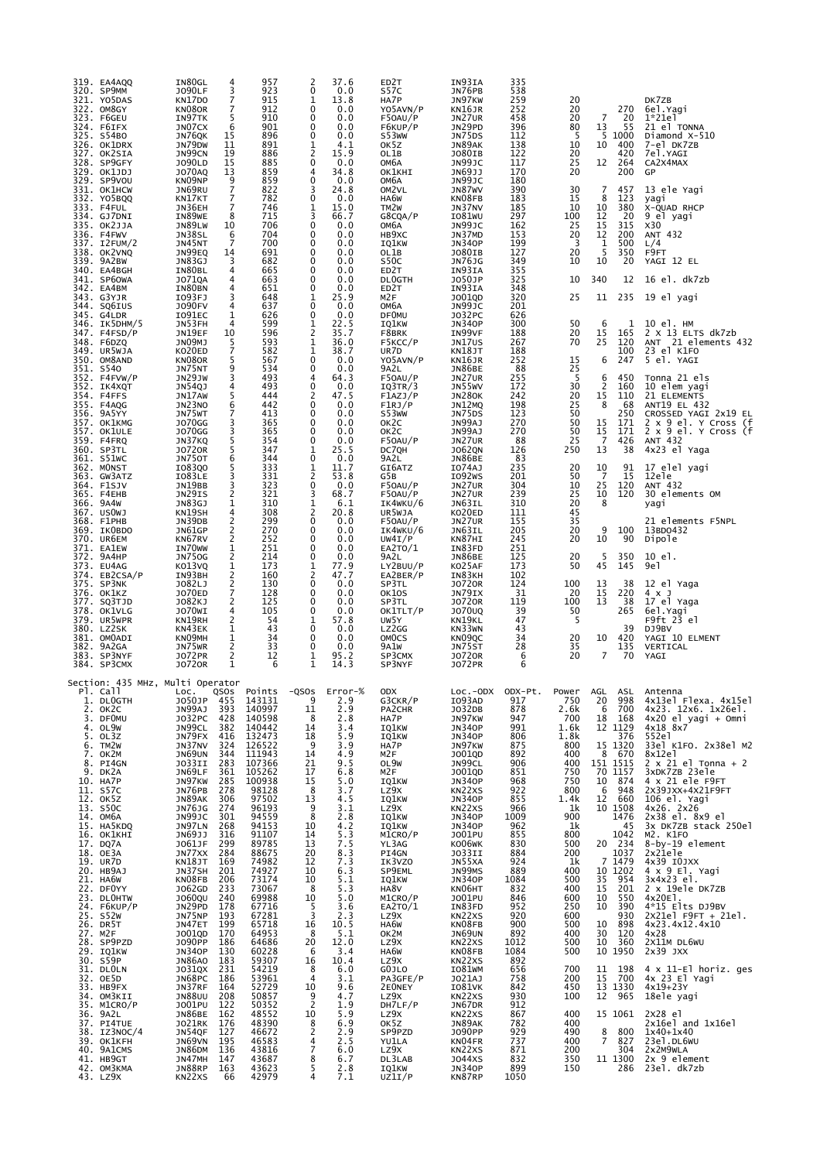| 319. EA4AQQ<br>320. SP9MM<br>321. YO5DAS<br>322. OM8GY<br>323. F6GEU<br>324. F6IFX<br>325. S54BO<br>326. OK1DRX<br>327. OK2SIA<br>328. SP9GFY<br>329. OK1JDJ<br>329. SP9VOU<br>331. OK1HCW<br>332. YO5BQQ<br>333. F4FUL<br>334. GJ7DNI<br>335. OK2JJA<br>336. F4FWV<br>337. I2FUM/2<br>338. OK2VNQ<br>339. 9A2BW<br>340. EA4BGH<br>341. SP6OWA<br>342. EA4BM<br>343. G3YJR<br>344. SQ6IUS<br>345. G4LDR<br>346. IK5DHM/5<br>347. F4FSD/P<br>348. F6DZQ<br>349. UR5WJA<br>350. OM8AND<br>351. S540<br>352. F4FVW/P<br>352. IK4XQT<br>354. F4FFS<br>355. F4AQG<br>356. 9A5YY<br>357. OK1KMG<br>357. OK1ULE<br>359. F4FRQ<br>360. SP3TL<br>361. S51WC<br>362. MONST<br>363. GW3ATZ<br>364. F1SJV<br>365. F4EHB<br>366. 9A4W<br>367. USOWJ<br>368. F1PHB<br>369. ІКОВDO<br>370. UR6EM<br>371. EA1EW<br>372. 9A4HP<br>373. EU4AG<br>374. EB2CSA/P<br>375. SP3NK<br>376. OK1KZ<br>377. SQ3TJD<br>378. OK1VLG<br>379. UR5WPR<br>380. LZ2SK<br>381. OMOADI<br>382. 9A2GA<br>383. SP3NYF<br>384. SP3CMX<br>Section: 435 MHz, Multi Operator | IN80GL<br>4<br><b>JO90LF</b><br>3<br>7<br>KN17DO<br>7<br>KN080R<br>5<br>IN97TK<br>JN07CX<br>6<br>15<br>JN76QK<br>JN79DW<br>11<br>19<br>JN99CN<br>15<br>J090LD<br><b>JO70AQ</b><br>13<br>KN09NP<br>9<br>$\overline{7}$<br>JN69RU<br>7<br>KN17KT<br>7<br>JN36EH<br>8<br>IN89WE<br>JN89LW<br>10<br>JN38SL<br>6<br>7<br>JN45NT<br>JN99EQ<br>14<br>3<br>JN83GJ<br>4<br>IN80BL<br>J071QA<br>4<br>IN80BN<br>4<br>IO93FJ<br>3<br><b>JO90FV</b><br>4<br>1<br>I091EC<br>4<br>JN53FH<br>JN19EF<br>10<br>JNO9MJ<br>5<br>7<br>KO20ED<br>5<br>KN080R<br>9<br>JN75NT<br>3<br>JN29JW<br>JN54QJ<br>4<br>JN17AW<br>5<br>JN23NO<br>6<br>7<br>JN75WT<br><b>JO70GG</b><br>3<br>3<br><b>JO70GG</b><br>5<br>JN37KQ<br><b>JO720R</b><br>5<br>6<br><b>JN750T</b><br>5<br>I083Q0<br>3<br>IO83LE<br>3<br>JN19BB<br>JN29IS<br>2<br>JN83GJ<br>1<br>KN19SH<br>4<br>2<br>JN39DB<br>2<br>JN61GP<br>2<br>KN67RV<br>IN70WW<br>1<br><b>JN750G</b><br>2<br>1<br>KO13VQ<br>2<br>IN93BH<br>$\frac{2}{7}$<br>J082LJ<br>J070ED<br>2<br>J082KJ<br>JO70WI<br>4<br>2<br>KN19RH<br>1<br>KN43EK<br>1<br>KNO9MH<br>2<br>JN75WR<br>2<br><b>JO72PR</b><br><b>JO720R</b><br>1 | 957<br>923<br>915<br>912<br>910<br>901<br>896<br>891<br>886<br>885<br>859<br>859<br>822<br>782<br>746<br>715<br>706<br>704<br>700<br>691<br>682<br>665<br>663<br>651<br>648<br>637<br>626<br>599<br>596<br>593<br>582<br>567<br>534<br>493<br>493<br>444<br>442<br>413<br>365<br>365<br>354<br>347<br>344<br>333<br>331<br>323<br>321<br>310<br>308<br>299<br>270<br>252<br>251<br>214<br>173<br>160<br>130<br>128<br>125<br>105<br>54<br>43<br>34<br>33<br>12<br>6 | 2<br>37.6<br>0<br>0.0<br>13.8<br>1<br>0.0<br>0<br>0<br>0.0<br>0<br>0.0<br>0<br>0.0<br>1<br>4.1<br>2<br>15.9<br>0<br>0.0<br>34.8<br>4<br>$\mathbf 0$<br>0.0<br>24.8<br>3<br>0.0<br>0<br>15.0<br>1<br>3<br>66.7<br>0.0<br>0<br>0<br>0.0<br>0<br>0.0<br>0<br>0.0<br>0<br>0.0<br>0<br>0.0<br>0<br>0.0<br>0.0<br>0<br>25.9<br>1<br>0.0<br>0<br>0.0<br>0<br>22.5<br>1<br>2<br>35.7<br>1<br>36.0<br>1<br>38.7<br>0.0<br>0<br>0.0<br>0<br>64.3<br>4<br>$\mathbf 0$<br>0.0<br>47.5<br>2<br>0<br>0.0<br>0.0<br>0<br>0.0<br>0<br>0<br>0.0<br>0.0<br>0<br>25.5<br>1<br>0<br>0.0<br>1<br>11.7<br>$\overline{2}$<br>53.8<br>$\mathbf 0$<br>0.0<br>68.7<br>3<br>1<br>6.1<br>2<br>20.8<br>0.0<br>0<br>0.0<br>0<br>0<br>0.0<br>0<br>0.0<br>0.0<br>0<br>77.9<br>1<br>2<br>47.7<br>0.0<br>0<br>0<br>0.0<br>0<br>0.0<br>0<br>0.0<br>57.8<br>1<br>0.0<br>0<br>0.0<br>0<br>0<br>0.0<br>95.2<br>1<br>1<br>14.3 | ED2T<br>S57C<br>HA7P<br>YO5AVN/P<br>F50AU/P<br>F6KUP/P<br>S53WW<br>OK5Z<br>OL1B<br>ОМБА<br>OK1KHI<br>ОМбА<br>OM <sub>2</sub> VL<br>HA6W<br>TM <sub>2</sub> W<br>G8CQA/P<br>ОМ6А<br>HB9XC<br>IQ1KW<br>OL1B<br>S50C<br>ED2T<br><b>DLOGTH</b><br>ED <sub>2</sub> T<br>M2F<br>ОМ6А<br><b>DFOMU</b><br>IQ1KW<br>F8BRK<br>F5KCC/P<br>UR7D<br>YO5AVN/P<br>9A2L<br>F50AU/P<br>IQ3TR/3<br>F1AZJ/P<br>F1RJ/P<br>S53WW<br>OK <sub>2</sub> C<br>OK <sub>2</sub> C<br>F50AU/P<br>DC7QH<br>9A2L<br>GI6ATZ<br>G5B<br>F50AU/P<br>F50AU/P<br>IK4WKU/6<br>UR5WJA<br>F50AU/P<br>IK4WKU/6<br>UW4I/P<br>EA2TO/1<br>9A2L<br>LY2BUU/P<br>EA2BER/P<br>SP3TL<br>OK10S<br>SP3TL<br>OK1TLT/P<br>UW5Y<br>LZ2GG<br>OMOCS<br>9A1W<br>SP3CMX<br>SP3NYF | IN93IA<br>JN76PB<br>JN97KW<br>KN16JR<br>JN27UR<br>JN29PD<br>JN75DS<br>JN89AK<br><b>JO80IB</b><br>JN99JC<br>JN69JJ<br>JN99JC<br>JN87WV<br>KN08FB<br>JN37NV<br>IO81WU<br>JN99JC<br>JN37MD<br><b>JN340P</b><br>J080IB<br><b>JN76JG</b><br>IN93IA<br>J050JP<br>IN93IA<br>J001QD<br>JN99JC<br>J032PC<br><b>JN340P</b><br>IN99VF<br><b>JN17US</b><br>KN18JT<br>KN16JR<br>JN86BE<br>JN27UR<br>JN55WV<br><b>JN280K</b><br>JN12MQ<br>JN75DS<br>JN99AJ<br>JN99AJ<br>JN27UR<br><b>JO62QN</b><br><b>JN86BE</b><br>I074AJ<br>I092WS<br>JN27UR<br>JN27UR<br>JN63IL<br>KO20ED<br>JN27UR<br>JN63IL<br>KN87HI<br>IN83FD<br><b>JN86BE</b><br>KO25AF<br>IN83KH<br>J0720R<br>JN79IX<br>J0720R<br>J070UQ<br>KN19KL<br>KN33WN<br>KN09QC<br>JN75ST<br><b>JO720R</b><br>J072PR | 335<br>538<br>259<br>252<br>458<br>396<br>112<br>138<br>122<br>117<br>170<br>180<br>390<br>183<br>185<br>297<br>162<br>153<br>199<br>127<br>349<br>355<br>325<br>348<br>320<br>201<br>626<br>300<br>188<br>267<br>188<br>252<br>88<br>255<br>172<br>242<br>198<br>123<br>270<br>270<br>88<br>126<br>83<br>235<br>201<br>304<br>239<br>310<br>111<br>155<br>205<br>245<br>251<br>125<br>173<br>102<br>124<br>31<br>119<br>39<br>47<br>43<br>34<br>28<br>6<br>6 | 20<br>20<br>20<br>80<br>5<br>10<br>20<br>25<br>20<br>30<br>15<br>10<br>100<br>25<br>20<br>3<br>20<br>10<br>10<br>25<br>50<br>20<br>70<br>15<br>25<br>5<br>30<br>$\frac{20}{25}$<br>50<br>50<br>50<br>25<br>250<br>20<br>50<br>10<br>25<br>20<br>45<br>35<br>20<br>20<br>20<br>50<br>100<br>20<br>100<br>50<br>5<br>20<br>35<br>20 | 270<br>7<br>20<br>13<br>55<br>5<br>1000<br>10<br>400<br>420<br>12<br>264<br>200<br>7<br>457<br>8<br>123<br>10<br>380<br>12<br>20<br>15<br>315<br>12<br>200<br>1<br>500<br>5<br>350<br>10<br>20<br>340<br>12<br>235<br>11<br>6<br>1<br>15<br>165<br>25<br>120<br>100<br>6<br>247<br>6<br>450<br>2<br>160<br>15<br>110<br>8<br>68<br>250<br>15<br>171<br>15<br>171<br>7<br>426<br>13<br>38<br>10<br>91<br>-7<br>15<br>25<br>120<br>120<br>10<br>8<br>9<br>100<br>10<br>90<br>5<br>350<br>45<br>145<br>13<br>38<br>15<br>220<br>13<br>38<br>265<br>39<br>10<br>420<br>135<br>7<br>70 | DK7ZB<br>6el.Yagi<br>1*21el<br>21 el TONNA<br>Diamond X-510<br>7-el DK7ZB<br>7el.YAGI<br>CA2X4MAX<br>GP<br>13 ele Yagi<br>yagi<br>X-QUAD RHCP<br>9 el yagi<br>x30<br>ANT 432<br>L/4<br>F9FT<br>YAGI 12 EL<br>16 el. dk7zb<br>19 el yagi<br>10 el. HM<br>2 X 13 ELTS dk7zb<br>ANT 21 elements 432<br>23 el K1FO<br>5 el. YAGI<br>Tonna 21 els<br>10 elem yagi<br>21 ELEMENTS<br>ANT19 EL 432<br>CROSSED YAGI 2x19 EL<br>2 x 9 el. Y Cross (f<br>2 x 9 el. Y Cross (f<br>ANT 432<br>4x23 el Yaga<br>17 elel yagi<br>12ele<br>ANT 432<br>30 elements OM<br>yagi<br>21 elements F5NPL<br>13BD0432<br>Dipole<br>10 el.<br>9e1<br>12 el Yaga<br>4 x J<br>17 el Yaga<br>6el.Yagi<br>F9ft 23 el<br>DJ9BV<br>YAGI 10 ELMENT<br>VERTICAL<br>YAGI |
|------------------------------------------------------------------------------------------------------------------------------------------------------------------------------------------------------------------------------------------------------------------------------------------------------------------------------------------------------------------------------------------------------------------------------------------------------------------------------------------------------------------------------------------------------------------------------------------------------------------------------------------------------------------------------------------------------------------------------------------------------------------------------------------------------------------------------------------------------------------------------------------------------------------------------------------------------------------------------------------------------------------------------------|------------------------------------------------------------------------------------------------------------------------------------------------------------------------------------------------------------------------------------------------------------------------------------------------------------------------------------------------------------------------------------------------------------------------------------------------------------------------------------------------------------------------------------------------------------------------------------------------------------------------------------------------------------------------------------------------------------------------------------------------------------------------------------------------------------------------------------------------------------------------------------------------------------------------------------------------------------------------------------------------------------------------------------------------------------------------------------------------------------------------------|---------------------------------------------------------------------------------------------------------------------------------------------------------------------------------------------------------------------------------------------------------------------------------------------------------------------------------------------------------------------------------------------------------------------------------------------------------------------|-----------------------------------------------------------------------------------------------------------------------------------------------------------------------------------------------------------------------------------------------------------------------------------------------------------------------------------------------------------------------------------------------------------------------------------------------------------------------------------------------------------------------------------------------------------------------------------------------------------------------------------------------------------------------------------------------------------------------------------------------------------------------------------------------------------------------------------------------------------------------------------------|-------------------------------------------------------------------------------------------------------------------------------------------------------------------------------------------------------------------------------------------------------------------------------------------------------------------------------------------------------------------------------------------------------------------------------------------------------------------------------------------------------------------------------------------------------------------------------------------------------------------------------------------------------------------------------------------------------------------------|--------------------------------------------------------------------------------------------------------------------------------------------------------------------------------------------------------------------------------------------------------------------------------------------------------------------------------------------------------------------------------------------------------------------------------------------------------------------------------------------------------------------------------------------------------------------------------------------------------------------------------------------------------------------------------------------------------------------------------------------------------|---------------------------------------------------------------------------------------------------------------------------------------------------------------------------------------------------------------------------------------------------------------------------------------------------------------------------------------------------------------------------------------------------------------------------------------------------------------|-----------------------------------------------------------------------------------------------------------------------------------------------------------------------------------------------------------------------------------------------------------------------------------------------------------------------------------|-----------------------------------------------------------------------------------------------------------------------------------------------------------------------------------------------------------------------------------------------------------------------------------------------------------------------------------------------------------------------------------------------------------------------------------------------------------------------------------------------------------------------------------------------------------------------------------|----------------------------------------------------------------------------------------------------------------------------------------------------------------------------------------------------------------------------------------------------------------------------------------------------------------------------------------------------------------------------------------------------------------------------------------------------------------------------------------------------------------------------------------------------------------------------------------------------------------------------------------------------------------------------------------------------------------------------------------|
| Pl. Call<br>1. DLOGTH<br>2. OK2C<br>3. DFOMU<br>4. OL9W<br>5. OL3Z<br>6. TM2W<br>7. OK2M<br>8. PI4GN<br>9. DK2A<br>10. HA7P<br>11. S57C<br>12. OK5Z<br>13. S50C<br>14. OM6A<br>15. HA5KDQ<br>16. OK1KHI<br>17. DQ7A<br>18. OE3A<br>19. UR7D<br>20. HB9AJ<br>21. HA6W<br>22. DFOYY<br>23. DLOHTW<br>24. F6KUP/P<br>25. S52W<br>26. DR5T<br>27. M2F<br>28. SP9PZD<br>29. IQ1KW<br>30. S59P<br>31. DLOLN<br>32. OE5D<br>33. HB9FX<br>34. OM3KII<br>35. M1CRO/P<br>36. 9A2L<br>37. PI4TUE<br>38. IZ3NOC/4<br>39. OK1KFH<br>40. 9A1CMS<br>41. HB9GT<br>42. OM3KMA<br>43. LZ9X                                                                                                                                                                                                                                                                                                                                                                                                                                                           | LOC.<br>QSOS<br>J050JP<br>455<br><b>JN99AJ<br/>JO32PC<br/>JN99CL<br/>JN79FX<br/>JN37NV<br/>J.160000</b><br>393<br>428<br>382<br>416<br>$\frac{324}{344}$<br>283<br>JN69UN<br>JO33II<br>JN69LF<br>361<br>285<br>278<br>JN97KW<br>JN76PB<br>JN89AK<br>306<br><b>JN76JG<br/>JN99JC<br/>JN97LN</b><br>274<br>301<br>268<br>JN69JJ<br>J061JF<br>JN77XX<br>316<br>299<br>284<br>169<br>KN18JT<br>JN37SH<br>201<br>KN08FB<br>206<br>1060QU<br>1060QU<br>233<br>240<br>JN29PD 178<br>193<br>199<br>JN75NP<br>JN47ET<br>J001QD<br>170<br>J090PP<br>JN340P<br>186<br>130<br><b>JN86AO</b><br>183<br>231<br>186<br>J031QX<br>JN <u>68</u> PC<br>164<br>JN37RF<br><b>JN88UU</b><br>208<br>J001PU<br>122<br>JN86BE 162<br>JO21RK 176<br>JN54QF 127<br>JN54QF<br>JN69VN<br>195<br>JN86DM<br>136<br>JN47MH<br>147<br>163<br>JN88RP<br>KN22XS<br>66                                                                                                                                                                                                                                                                                          | Points<br>143131<br>140997<br>140598<br>140442<br>132473<br>126522<br>111943<br>107366<br>105262<br>100938<br>98128<br>97502<br>96193<br>94559<br>94153<br>91107<br>89785<br>88675<br>74982<br>74927<br>73174<br>73067<br>69988<br>67716<br>67281<br>65718<br>64953<br>64686<br>60228<br>59307<br>54219<br>53961<br>52729<br>50857<br>50352<br>48552<br>48390<br>46672<br>46583<br>43816<br>43687<br>43623<br>42979                                                 | Error-%<br>-QSOs<br>2.9<br>11<br>2.9<br>8<br>2.8<br>14<br>3.4<br>5.9<br>18<br>- 9<br>3.9<br>4.9<br>14<br>21<br>9.5<br>17<br>6.8<br>15<br>5.0<br>8<br>3.7<br>13<br>4.5<br>9<br>3.1<br>8<br>2.8<br>4.2<br>10<br>5.3<br>14<br>7.5<br>13<br>20<br>8.3<br>12<br>7.3<br>10<br>6.3<br>10<br>5.1<br>5.3<br>8<br>5.0<br>10<br>-5<br>3.6<br>3<br>2.3<br>10.5<br>16<br>8<br>5.1<br>$\frac{12.0}{3.4}$<br>20<br>-6<br>10.4<br>16<br>6.0<br>8<br>3.1<br>$\overline{4}$<br>9.6<br>10<br>9<br>4.7<br>$\overline{2}$<br>1.9<br>10<br>5.9<br>8<br>6.9<br>$\overline{2}$<br>2.9<br>4<br>2.5<br>7<br>6.0<br>8<br>6.7<br>5<br>2.8<br>7.1<br>4                                                                                                                                                                                                                                                               | <b>ODX</b><br>G3CKR/P<br>PA2CHR<br>HA7P<br><b>IQ1KW</b><br>IQ1KW<br>HA7P<br>M2F<br>OL9W<br>M2F<br><b>IQ1KW</b><br>LZ9X<br>IQ1KW<br>LZ9X<br><b>IQ1KW</b><br>IQ1KW<br>M1CRO/P<br>YL3AG<br>PI4GN<br>IK3VZ0<br>SP9EML<br>IQ1KW<br>HA8V<br>M1CRO/P<br>EA2TO/1<br>LZ9X<br>HA6W<br>OK2M<br>LZ9X<br>HA6W<br>LZ9X<br>GOJLO<br>PA3GFE/P<br>2E0NEY<br>LZ9X<br>DH7LF/P<br>LZ9X<br>OK5Z<br>SP9PZD<br>YU1LA<br>LZ9X<br>DL3LAB<br>IQ1KW<br>UZ1I/P                                                                                                                                                                                                                                                                                      | LOC.-ODX ODX-Pt.<br>IO93AD<br>J032DB<br>JN97KW<br><b>JN340P</b><br><b>JN340P</b><br>JN97KW<br>J001QD<br>JN99CL<br>J001QD<br><b>JN34OP</b><br>KN22XS<br><b>JN340P</b><br>KN22XS<br><b>JN340P</b><br><b>JN340P</b><br>JOO1PU<br>KOO6WK<br>J033II<br>JN55XA<br>JN99MS<br><b>JN340P</b><br>KN06HT<br>J001PU<br>IN83FD<br>KN22XS<br>KN08FB<br><b>JN69UN</b><br>KN22XS<br>KN08FB<br>KN22XS<br>IO81WM<br>J021AJ<br><b>IO81VK</b><br>KN22XS<br>JN67DR<br>KN22XS<br>JN89AK<br>JO90PP<br>KN04FR<br>KN22XS<br>J044XS<br><b>JN340P</b><br>KN87RP                                                                                                                                                                                                                   | 917<br>878<br>947<br>991<br>806<br>875<br>892<br>906<br>851<br>968<br>922<br>855<br>966<br>1009<br>962<br>855<br>830<br>884<br>924<br>889<br>1084<br>832<br>846<br>952<br>920<br>900<br>892<br>1012<br>1084<br>892<br>656<br>758<br>842<br>930<br>912<br>867<br>782<br>929<br>737<br>871<br>832<br>899<br>1050                                                                                                                                                | Power<br>750<br>2.6k<br>700<br>$1.6k$<br>$1.8k$<br>800<br>400<br>400<br>750<br>750<br>800<br>1.4k<br>1k<br>900<br>1k<br>800<br>500<br>200<br>1k<br>400<br>500<br>400<br>600<br>250<br>600<br>500<br>400<br>500<br>500<br>700<br>200<br>450<br>100<br>400<br>400<br>490<br>400<br>200<br>350<br>150                                | AGL<br>20 998<br>700<br>6<br>18  168<br>12  1129<br>376<br>15 1320<br>8 670<br>151 1515<br>70 1157<br>10 874<br>948<br>6<br>12 660<br>10 1508<br>1476<br>45<br>1042<br>20 234<br>1037<br>7 1479<br>10 1202<br>35<br>954<br>15<br>201<br>550<br>10<br>10<br>390<br>930<br>10<br>898<br>120<br>30<br>$\begin{array}{r} 10 & 360 \\ 10 & 1950 \end{array}$<br>11<br>198<br>700<br>15<br>13 1330<br>12<br>965<br>15 1061<br>8<br>800<br>$\overline{7}$<br>827<br>304<br>11 1300<br>286                                                                                                | ASL Antenna<br>4x13el Flexa. 4x15el<br>4x23. 12x6. 1x26el.<br>$4x20$ el yagi + Omni<br>$4x18$ $8x7$<br>552el<br>33el K1FO. 2x38el M2<br>8x12e1<br>$2 \times 21$ el Tonna + 2<br>3xDK7ZB 23ele<br>4 x 21 ele F9FT<br>2X39JXX+4X21F9FT<br>106 el. Yagi<br>4x26.2x26<br>2x38 el. 8x9 el<br>3x DK7ZB stack 250el<br>M2. K1FO<br>8-by-19 element<br>2x21ele<br>4x39 IOJXX<br>4 x 9 El. Yagi<br>3x4x23 el.<br>2 x 19ele DK7ZB<br>$4x20E1$ .<br>4*15 Elts DJ9BV<br>$2x21e1$ F9FT + 21e1.<br>4x23.4x12.4x10<br>4x28<br>2X11M DL6WU<br>2x39 JXX<br>$4 \times 11$ -El horiz. ges<br>4x 23 El Yagi<br>$4x19+23Y$<br>18ele yagi<br>2x28 el<br>2x16el and 1x16el<br>1x40+1x40<br>23e1.DL6WU<br>2x2M9WLA<br>2x 9 element<br>23el. dk7zb              |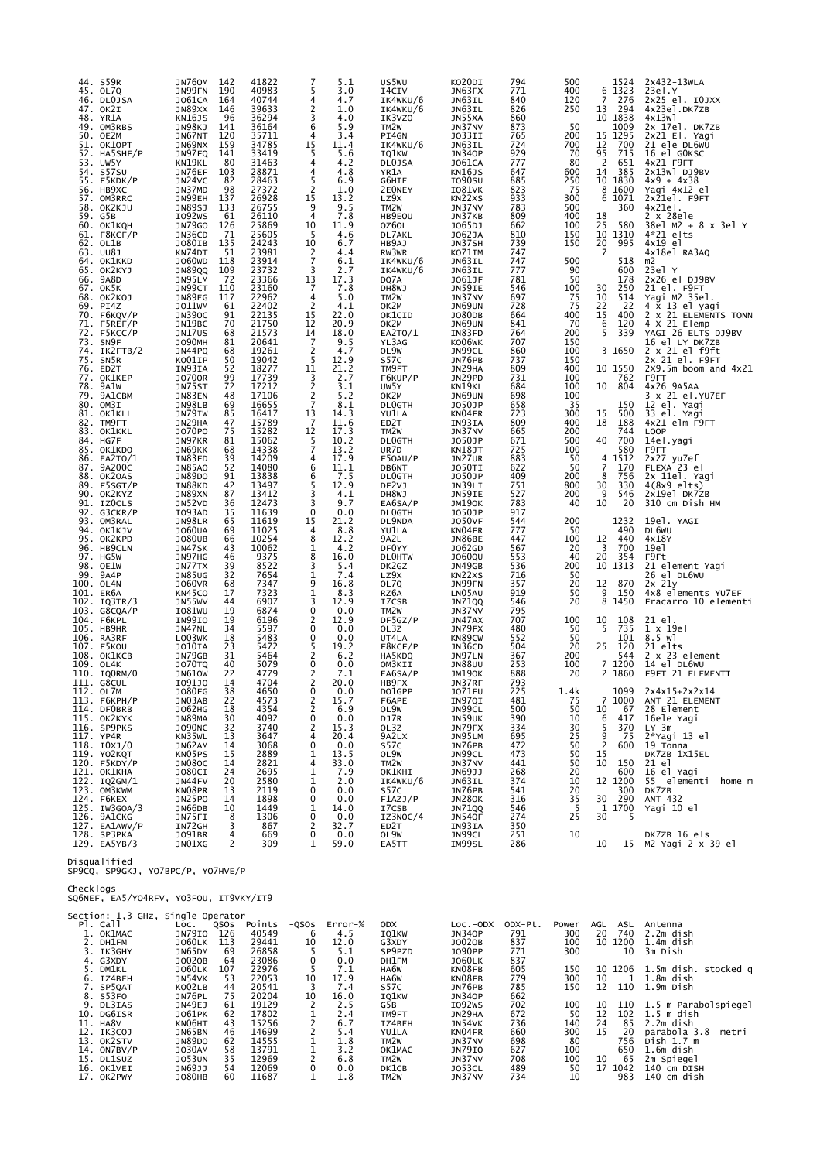| 44.<br>73. | S59R<br>45. OL7Q<br>46. DLOJSA<br>47. OK2I<br>48. YR1A<br>49. OM3RBS<br>50. OE2M<br>51. OK1OPT<br>52. HA5SHF/P<br>53. UW5Y<br>54. S57SU<br>55. F5KDK/P<br>56. НВ9ХС<br>57. OM3RRC<br>58. OK2KJU<br>59. G5B<br>60. ОК1КОН<br>61. F8KCF/P<br>62. OL1B<br>63. UU8J<br>64. OK1KKD<br>65. OK2KYJ<br>66. 9A8D<br>67. OK5K<br>68. OK2KOJ<br>69. PI4Z<br>70. F6KQV/P<br>71. F5REF/P<br>72. F5KCC/P<br>SN9F<br>74. IK2FTB/2<br>75. SN5R<br>76. ED2T<br>77. OK1KEP<br>78. 9A1W<br>79. 9A1CBM<br>80. OM3I<br>81. OK1KLL<br>82. TM9FT<br>83. OK1KKL<br>84. HG7F<br>85. OK1KDO<br>86. EA2TO/1 | JN760M<br>JN99FN<br>J061CA<br>JN89XX<br>KN16JS<br>JN98KJ<br>JN67NT<br>JN69NX<br>JN97FQ<br>KN19KL<br>JN76EF<br>JN24VC<br>JN37MD<br>JN99EH<br>JN89SJ<br>I092WS<br><b>JN79GO</b><br>JN36CD<br>JO80IB<br>KN74DT<br>J060WD<br><b>JN89QQ</b><br>JN95LM<br>JN99CT<br>JN89EG<br>JO11WM<br>JN390C<br>JN19BC<br>JN17US<br><b>JO90MH</b><br>JN44PQ<br>KO01IP<br>IN93IA<br><b>JO700R</b><br>JN75ST<br>JN83EN<br>JN98LB<br>JN79IW<br>JN29HA<br>J070P0<br>JN97KR<br>JN69KK<br>IN83FD | 142<br>190<br>164<br>146<br>96<br>141<br>120<br>159<br>141<br>80<br>103<br>82<br>98<br>137<br>133<br>61<br>126<br>-71<br>135<br>51<br>118<br>109<br>-72<br>110<br>117<br>61<br>91<br>70<br>68<br>81<br>68<br>50<br>52<br>99<br>72<br>48<br>69<br>85<br>47<br>75<br>81<br>68<br>39 | 41822<br>40983<br>40744<br>39633<br>36294<br>36164<br>35711<br>34785<br>33419<br>31463<br>28871<br>28463<br>27372<br>26928<br>26755<br>26110<br>25869<br>25605<br>24243<br>23981<br>23914<br>23732<br>23366<br>23160<br>22962<br>22402<br>22135<br>21750<br>21573<br>20641<br>19261<br>19042<br>18277<br>17739<br>17212<br>17106<br>16655<br>16417<br>15789<br>15282<br>15062<br>14338<br>14209 | 5<br>4<br>2<br>3<br>6<br>4<br>15<br>5<br>4<br>4<br>5<br>2<br>15<br>9<br>4<br>10<br>5<br>10<br>2<br>$\overline{7}$<br>3<br>$\begin{array}{c} 13 \\ 7 \end{array}$<br>4<br>$\overline{2}$<br>15<br>12<br>14<br>$\overline{7}$<br>2<br>5<br>11<br>3<br>$\overline{2}$<br>2<br>$\overline{7}$<br>13<br>$\overline{7}$<br>12<br>5<br>7<br>4 | 5.1<br>3.0<br>4.7<br>1.0<br>4.0<br>5.9<br>3.4<br>11.4<br>5.6<br>4.2<br>4.8<br>6.9<br>1.0<br>$\frac{13.2}{9.5}$<br>7.8<br>11.9<br>4.6<br>6.7<br>4.4<br>6.1<br>2.7<br>17.3<br>7.8<br>5.0<br>4.1<br>22.0<br>20.9<br>18.0<br>9.5<br>4.7<br>12.9<br>21.2<br>2.7<br>3.1<br>5.2<br>8.1<br>14.3<br>11.6<br>17.3<br>10.2<br>13.2<br>17.9 | <b>US5WU</b><br>I4CIV<br>IK4WKU/6<br>IK4WKU/6<br>IK3VZO<br>TM <sub>2</sub> W<br>PI4GN<br>IK4WKU/6<br>IQ1KW<br><b>DLOJSA</b><br>YR1A<br>G6HIE<br>2E0NEY<br>LZ9X<br>TM <sub>2</sub> W<br>HB9EOU<br>OZ6OL<br>DL7AKL<br>HB9AJ<br>RW3WR<br>IK4WKU/6<br>IK4WKU/6<br>DQ7A<br>DH8WJ<br>TM <sub>2</sub> W<br>OK2M<br>OK1CID<br>OK2M<br>EA2TO/1<br>YL3AG<br>OL9W<br>S57C<br>TM9FT<br>F6KUP/P<br>UW5Y<br>OK2M<br><b>DLOGTH</b><br>YU1LA<br>ED <sub>2</sub> T<br>TM <sub>2</sub> W<br><b>DLOGTH</b><br>UR7D<br>F50AU/P | KOZUDI<br>JN63FX<br>JN63IL<br>JN63IL<br>JN55XA<br>JN37NV<br>J033II<br>JN63IL<br><b>JN340P</b><br>J061CA<br>KN16JS<br>I090SU<br>I081VK<br>KN22XS<br>JN37NV<br>JN37KB<br>J065DJ<br>J062JA<br>JN37SH<br>KO71IM<br>JN63IL<br>JN63IL<br>J061JF<br>JN59IE<br>JN37NV<br><b>JN69UN</b><br>J080DB<br>JN69UN<br>IN83FD<br>KO06WK<br>JN99CL<br>JN76PB<br>JN29HA<br>JN29PD<br>KN19KL<br>JN69UN<br>J050JP<br>KN04FR<br>IN93IA<br>JN37NV<br>J050JP<br>KN18JT<br>JN27UR | 794<br>771<br>840<br>826<br>860<br>873<br>765<br>724<br>929<br>777<br>647<br>885<br>823<br>933<br>783<br>809<br>662<br>810<br>739<br>747<br>747<br>777<br>781<br>546<br>697<br>728<br>664<br>841<br>764<br>707<br>860<br>737<br>809<br>731<br>684<br>698<br>658<br>723<br>809<br>665<br>671<br>725<br>883 | 500<br>400<br>120<br>250<br>50<br>200<br>700<br>70<br>80<br>600<br>250<br>75<br>300<br>500<br>400<br>100<br>150<br>150<br>500<br>90<br>50<br>100<br>75<br>75<br>400<br>70<br>200<br>150<br>100<br>150<br>400<br>100<br>100<br>100<br>35<br>300<br>400<br>200<br>500<br>100<br>50 | 1524<br>1323<br>6<br>7<br>276<br>294<br>13<br>10 1838<br>1009<br>1295<br>15<br>700<br>12<br>95<br>715<br>$\overline{2}$<br>651<br>14<br>385<br>10 1830<br>8<br>1600<br>6<br>1071<br>360<br>18<br>25<br>580<br>10 1310<br>20<br>995<br>7<br>518<br>600<br>178<br>30<br>250<br>10<br>514<br>$\begin{array}{c} 22 \\ 15 \end{array}$<br>22<br>400<br>6<br>120<br>5<br>339<br>3 1650<br>10 1550<br>762<br>804<br>10<br>150<br>500<br>15<br>18<br>188<br>744<br>700<br>40<br>580<br>4 1512 | 2x432-13WLA<br>23e1.Y<br>2x25 el. IOJXX<br>4x23el.DK7ZB<br>$4x13w$ ]<br>2x 17el. DK7ZB<br>2x21 El. Yagi<br>21 ele DL6WU<br>16 el GOKSC<br>4x21 F9FT<br>$2x13w$ ] $DJ9BV$<br>$4x9 + 4x38$<br>Yagi 4x12 el<br>2x21el. F9FT<br>4x21el.<br>2 x 28ele<br>38el M2 + 8 x 3el Y<br>4*21 elts<br>4x19 el<br>4x18el RA3AQ<br>m2<br>23el Y<br>$2x26$ el $DJ9BV$<br>21 el. F9FT<br>Yagi M2 35el.<br>4 x 13 el yagi<br>2 x 21 ELEMENTS TONN<br>4 X 21 Elemp<br>YAGI 26 ELTS DJ9BV<br>16 el LY DK7ZB<br>2 x 21 el f9ft<br>2x 21 el. F9FT<br>$2x9.5m$ boom and $4x21$<br>F9FT<br>4x26 9A5AA<br>3 x 21 el.YU7EF<br>12 el. Yagi<br>33 el. Yagi<br>4x21 elm F9FT<br><b>LOOP</b><br>14el.yagi<br>F9FT<br>2x27 yu7ef |
|------------|----------------------------------------------------------------------------------------------------------------------------------------------------------------------------------------------------------------------------------------------------------------------------------------------------------------------------------------------------------------------------------------------------------------------------------------------------------------------------------------------------------------------------------------------------------------------------------|------------------------------------------------------------------------------------------------------------------------------------------------------------------------------------------------------------------------------------------------------------------------------------------------------------------------------------------------------------------------------------------------------------------------------------------------------------------------|-----------------------------------------------------------------------------------------------------------------------------------------------------------------------------------------------------------------------------------------------------------------------------------|-------------------------------------------------------------------------------------------------------------------------------------------------------------------------------------------------------------------------------------------------------------------------------------------------------------------------------------------------------------------------------------------------|----------------------------------------------------------------------------------------------------------------------------------------------------------------------------------------------------------------------------------------------------------------------------------------------------------------------------------------|---------------------------------------------------------------------------------------------------------------------------------------------------------------------------------------------------------------------------------------------------------------------------------------------------------------------------------|------------------------------------------------------------------------------------------------------------------------------------------------------------------------------------------------------------------------------------------------------------------------------------------------------------------------------------------------------------------------------------------------------------------------------------------------------------------------------------------------------------|----------------------------------------------------------------------------------------------------------------------------------------------------------------------------------------------------------------------------------------------------------------------------------------------------------------------------------------------------------------------------------------------------------------------------------------------------------|-----------------------------------------------------------------------------------------------------------------------------------------------------------------------------------------------------------------------------------------------------------------------------------------------------------|----------------------------------------------------------------------------------------------------------------------------------------------------------------------------------------------------------------------------------------------------------------------------------|---------------------------------------------------------------------------------------------------------------------------------------------------------------------------------------------------------------------------------------------------------------------------------------------------------------------------------------------------------------------------------------------------------------------------------------------------------------------------------------|--------------------------------------------------------------------------------------------------------------------------------------------------------------------------------------------------------------------------------------------------------------------------------------------------------------------------------------------------------------------------------------------------------------------------------------------------------------------------------------------------------------------------------------------------------------------------------------------------------------------------------------------------------------------------------------------------|
|            | 87. 9A200C<br>88. OK2OAS<br>89. F5SGT/P<br>90. OK2KYZ<br>91. IZOCLS<br>92. G3CKR/P<br>93. OM3RAL<br>94. OK1KJV<br>95. OK2KPD<br>96. HB9CLN<br>97. HG5W<br>98. OE1W<br>99. 9A4P<br>100. OL4N<br>101. ER6A<br>102. IQ3TR/3                                                                                                                                                                                                                                                                                                                                                         | <b>JN85AO</b><br>JN89DO<br>IN88KD<br>JN89XN<br>JN52VD<br>I093AD<br>JN98LR<br><b>JO60UA</b><br><b>JO80UB</b><br>JN47SK<br>JN97HG<br>JN77TX<br><b>JN85UG</b><br><b>JO60VR</b><br>KN45CO<br>JN55WV                                                                                                                                                                                                                                                                        | 52<br>91<br>42<br>87<br>36<br>35<br>65<br>69<br>66<br>43<br>46<br>39<br>32<br>68<br>17<br>44                                                                                                                                                                                      | 14080<br>13838<br>13497<br>13412<br>12473<br>11639<br>11619<br>11025<br>10254<br>10062<br>9375<br>8522<br>7654<br>7347<br>7323<br>6907                                                                                                                                                                                                                                                          | 6<br>6<br>5<br>3<br>3<br>0<br>15<br>4<br>8<br>1<br>8<br>3<br>1<br>9<br>1<br>3                                                                                                                                                                                                                                                          | 11.1<br>7.5<br>12.9<br>4.1<br>9.7<br>0.0<br>21.2<br>8.8<br>12.2<br>4.2<br>16.0<br>5.4<br>7.4<br>16.8<br>8.3<br>12.9                                                                                                                                                                                                             | DB6NT<br><b>DLOGTH</b><br>DF2VJ<br>DH8WJ<br>EA6SA/P<br><b>DLOGTH</b><br>DL9NDA<br>YU1LA<br>9A2L<br>DF0YY<br><b>DLOHTW</b><br>DK2GZ<br>LZ9X<br>OL7Q<br>RZ6A<br>I7CSB                                                                                                                                                                                                                                                                                                                                        | <b>JO50TI</b><br>J050JP<br>JN39LI<br>JN59IE<br>JM190K<br>J050JP<br><b>JO50VF</b><br>KN04FR<br>JN86BE<br>J062GD<br>J060QU<br>JN49GB<br>KN22XS<br>JN99FN<br>LN05AU<br><b>JN71QQ</b>                                                                                                                                                                                                                                                                        | 622<br>409<br>751<br>527<br>783<br>917<br>544<br>777<br>447<br>567<br>553<br>536<br>716<br>357<br>919<br>546                                                                                                                                                                                              | 50<br>200<br>800<br>200<br>40<br>200<br>50<br>100<br>20<br>40<br>200<br>50<br>20<br>50<br>20                                                                                                                                                                                     | 7<br>170<br>756<br>8<br>30<br>330<br>9<br>546<br>10<br>20<br>1232<br>490<br>12<br>440<br>700<br>3<br>20<br>354<br>10 1313<br>12<br>870<br>9<br>150<br>8 1450                                                                                                                                                                                                                                                                                                                          | FLEXA 23 el<br>2x 11el. Yagi<br>$4(8x9 \text{ elts})$<br>2x19el DK7ZB<br>310 cm Dish HM<br>19el. YAGI<br>DL6WU<br>4x18Y<br>19e1<br>F9Ft<br>21 element Yagi<br>26 el DL6WU<br>$2x$ $21y$<br>4x8 elements YU7EF<br>Fracarro 10 elementi                                                                                                                                                                                                                                                                                                                                                                                                                                                            |
|            | 103. G8CQA/P<br>104. F6KPL<br>105. НВ9НК<br>106. RA3RF<br>107. F5KOU<br>108. OK1KCB<br>109. OL4K<br>110. IQORM/0                                                                                                                                                                                                                                                                                                                                                                                                                                                                 | IO81WU<br>IN99IO<br>JN47NL<br>LO03WK<br>JO10IA<br>JN79GB<br>JO70TQ<br>JN61OW                                                                                                                                                                                                                                                                                                                                                                                           | 19<br>19<br>34<br>18<br>23<br>31<br>40<br>22                                                                                                                                                                                                                                      | 6874<br>6196<br>5597<br>5483<br>5472<br>5464<br>5079<br>4779                                                                                                                                                                                                                                                                                                                                    | 0<br>2<br>0<br>0<br>5<br>0<br>2                                                                                                                                                                                                                                                                                                        | 0.0<br>12.9<br>0.0<br>0.0<br>19.2<br>6.2<br>0.0<br>7.1                                                                                                                                                                                                                                                                          | TM <sub>2</sub> W<br>DF5GZ/P<br>OL3Z<br>UT4LA<br>F8KCF/P<br>HA5KDQ<br>OM3KII<br>EA6SA/P                                                                                                                                                                                                                                                                                                                                                                                                                    | JN37NV<br>JN47AX<br>JN79FX<br>KN89CW<br>JN36CD<br>JN97LN<br><b>JN88UU</b><br>JM190K                                                                                                                                                                                                                                                                                                                                                                      | 795<br>707<br>480<br>552<br>504<br>367<br>253<br>888                                                                                                                                                                                                                                                      | 100<br>50<br>50<br>20<br>200<br>100<br>20                                                                                                                                                                                                                                        | 10<br>108<br>735<br>5<br>101<br>25<br>120<br>544<br>7 1200<br>2 1860                                                                                                                                                                                                                                                                                                                                                                                                                  | 21 el.<br>1 x 19el<br>8.5 wl<br>21 elts<br>$2 \times 23$ element<br>14 el DL6WU<br>F9FT 21 ELEMENTI                                                                                                                                                                                                                                                                                                                                                                                                                                                                                                                                                                                              |
|            | 111. G8CUL<br>112. OL7M<br>113. F6KPH/P<br>114. DFOBRB<br>115. OK2KYK<br>116. SP9PKS<br>117. YP4R<br>118. IOXJ/O<br>119. YO2KQT<br>120. F5KDY/P<br>121. OK1KHA<br>122. IQ2GM/1<br>123. OM3KWM<br>124. F6KEX<br>$125.$ IW3GOA/3<br>126. 9A1CKG<br>127. EA1AWV/P<br>128. SP3PKA<br>129. EA5YB/3                                                                                                                                                                                                                                                                                    | 1091J0<br><b>JO80FG</b><br><b>JNU3AB</b><br>J062HG<br>JN89MA<br><b>JO90NC</b><br>KN35WL<br>JN62AM<br>KN05PS<br>JN080C<br>J080CI<br>JN44FV<br>KN08PR<br>JN25PO<br>JN66DB<br>JN75FI<br>IN72GH<br>J091BR<br>JN01XG                                                                                                                                                                                                                                                        | 14<br>38<br>22<br>18<br>30<br>32<br>13<br>14<br>15<br>14<br>24<br>20<br>13<br>14<br>10<br>8<br>3<br>4<br>2                                                                                                                                                                        | 4704<br>4650<br>45/3<br>4354<br>4092<br>3740<br>3647<br>3068<br>2889<br>2821<br>2695<br>2580<br>2119<br>1898<br>1449<br>1306<br>867<br>669<br>309                                                                                                                                                                                                                                               | $\Omega$<br>2<br>0<br>2<br>4<br>0<br>1<br>4<br>1<br>1<br>0<br>0<br>1<br>0<br>2<br>0<br>1                                                                                                                                                                                                                                               | 20.0<br>0.0<br>15.7<br>6.9<br>0.0<br>15.3<br>20.4<br>0.0<br>13.5<br>33.0<br>7.9<br>2.0<br>0.0<br>0.0<br>14.0<br>0.0<br>32.7<br>0.0<br>59.0                                                                                                                                                                                      | HB9FX<br>DO1GPP<br>FOAPE<br>OL9W<br>DJ7R<br>OL3Z<br>9A2LX<br>S57C<br>OL9W<br>TM <sub>2</sub> W<br>ОК1КНІ<br>IK4WKU/6<br>S57C<br>F1AZJ/P<br>I7CSB<br>IZ3NOC/4<br>ED2T<br>OL9W<br>EA5TT                                                                                                                                                                                                                                                                                                                      | JN37RF<br>J071FU<br>TNA\QT<br>JN99CL<br>JN59UK<br>JN79FX<br>JN95LM<br>JN76PB<br>JN99CL<br>JN37NV<br>JN69JJ<br>JN63IL<br>JN76PB<br><b>JN280K</b><br>JN71QQ<br>JN54QF<br>IN93IA<br>JN99CL<br>IM99SL                                                                                                                                                                                                                                                        | 793<br>225<br>4ŏ⊥<br>500<br>390<br>334<br>695<br>472<br>473<br>441<br>268<br>374<br>541<br>316<br>546<br>274<br>350<br>251<br>286                                                                                                                                                                         | 1.4k<br>75<br>50<br>10<br>30<br>25<br>50<br>50<br>50<br>20<br>10<br>20<br>35<br>-5<br>25<br>10                                                                                                                                                                                   | 1099<br>1000<br>10<br>67<br>6<br>417<br>5<br>370<br>9<br>75<br>$\overline{2}$<br>600<br>15<br>10<br>150<br>600<br>12 1200<br>300<br>290<br>30<br>1 1700<br>30<br>5<br>10                                                                                                                                                                                                                                                                                                              | $2x4x15+2x2x14$<br>ANI ZI ELEMENI<br>28 Element<br>16ele Yagi<br>LY 3m<br>2*Yagi 13 el<br>19 Tonna<br>DK7ZB 1X15EL<br>21 el<br>16 el Yagi<br>55 elementi<br>home m<br>DK7ZB<br>ANT 432<br>Yagi 10 el<br>DK7ZB 16 els<br>15 M2 Yagi 2 x 39 el                                                                                                                                                                                                                                                                                                                                                                                                                                                     |

Disqualified<br>SP9CQ, SP9GKJ, YO7BPC/P, YO7HVE/P

Checklogs<br>SQ6NEF, EA5/YO4RFV, YO3FOU, IT9VKY/IT9

|     | Section: 1,3 GHz, Single Operator |               |      |        |          |         |                   |               |         |       |     |         |                       |
|-----|-----------------------------------|---------------|------|--------|----------|---------|-------------------|---------------|---------|-------|-----|---------|-----------------------|
|     | Pl. Call                          | LOC.          | QSOS | Points | $-QSOS$  | Error-% | <b>ODX</b>        | Loc.-ODX      | ODX-Pt. | Power | AGL | ASL     | Antenna               |
|     | OK1MAC                            | JN79IO        | 126  | 40549  | 6        | 4.5     | IQ1KW             | <b>JN340P</b> | 791     | 300   | 20  | 740     | 2.2m dish             |
|     | 2. DH1FM                          | <b>JO60LK</b> | 113  | 29441  | 10       | 12.0    | G3XDY             | J0020B        | 837     | 100   |     | 10 1200 | 1.4m dish             |
|     | IK3GHY                            | JN65DM        | 69   | 26858  |          | 5.1     | SP9PZD            | J090PP        | 771     | 300   |     | 10      | 3m Dish               |
|     | 4. G3XDY                          | J0020B        | 64   | 23086  | $\Omega$ | 0.0     | DH1FM             | <b>JO60LK</b> | 837     |       |     |         |                       |
|     | DM1KL                             | <b>JO60LK</b> | 107  | 22976  |          | 7.1     | HA6W              | KN08FB        | 605     | 150   |     | 10 1206 | 1.5m dish. stocked q  |
| 6.  | IZ4BEH                            | JN54VK        | 53   | 22053  | 10       | 17.9    | HA6W              | KN08FB        | 779     | 300   | 10  |         | 1.8m dish             |
|     | 7. SP5QAT                         | KO02LB        | 44   | 20541  |          | 7.4     | S <sub>57</sub> c | JN76PB        | 785     | 150   | 12  | 110     | 1.9m Dish             |
|     | 8. S53FO                          | JN76PL        | 75   | 20204  | 10       | 16.0    | IQ1KW             | <b>JN340P</b> | 662     |       |     |         |                       |
| 9.  | DL3IAS                            | JN49EJ        | 61   | 19129  |          | 2.5     | G5B               | I092WS        | 702     | 100   | 10  | 110     | 1.5 m Parabolspiegel  |
| 10. | DG6ISR                            | J061PK        | 62   | 17802  |          | 2.4     | TM9FT             | JN29HA        | 672     | 50    | 12  | 102     | $1.5$ m dish          |
| 11. | HA8V                              | KN06HT        | 43   | 15256  |          | 6.7     | IZ4BEH            | JN54VK        | 736     | 140   | 24  | 85      | 2.2m dish             |
|     | 12. IK3COJ                        | <b>JN65BN</b> | 46   | 14699  |          | 5.4     | YU1LA             | KN04FR        | 660     | 300   | 15  | 20      | parabola 3.8<br>metri |
|     | 13. OK2STV                        | <b>JN89DO</b> | 62   | 14555  |          | 1.8     | TM <sub>2</sub> w | JN37NV        | 698     | 80    |     | 756     | Disk 1.7 m            |
|     | 14. ON7BV/P                       | <b>JO30AM</b> | 58   | 13791  |          | 3.2     | OK1MAC            | <b>JN79IO</b> | 627     | 100   |     | 650     | 1.6m dish             |
|     | 15. DL1SUZ                        | <b>JO53UN</b> | 35   | 12969  |          | 6.8     | TM <sub>2</sub> W | JN37NV        | 708     | 100   | 10  | 65      | 2m Spiegel            |
|     | 16. OK1VEI                        | JN69JJ        | 54   | 12069  | $\Omega$ | 0.0     | DK1CB             | <b>JO53CL</b> | 489     | 50    | 17  | 1042    | 140 cm DISH           |
|     | 17. OK2PWY                        | <b>JO80HB</b> | 60   | 11687  |          | 1.8     | TM <sub>2</sub> W | JN37NV        | 734     | 10    |     | 983     | 140 cm dish           |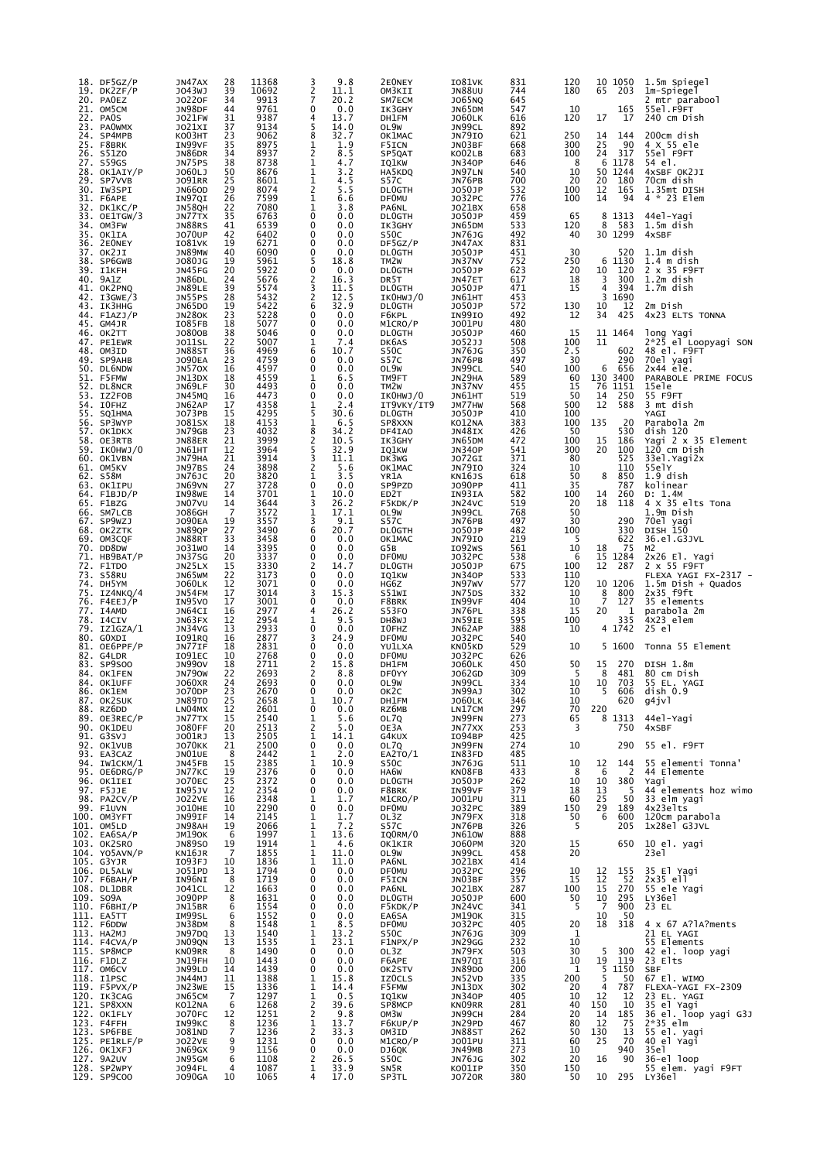|     | $18.$ DF5GZ/P<br>19. DK2ZF/P | JN47AX<br>J043WJ               | 28<br>39 | 11368<br>10692 | 3<br>2                        | 9.8<br>11.1  | 2E0NEY<br>OM3KII                   | <b>IO81VK</b><br><b>JN88UU</b> | 831<br>744 | 120<br>180 | 10 1050<br>203<br>65   | 1.5m Spiegel<br>1m-Spiegel              |
|-----|------------------------------|--------------------------------|----------|----------------|-------------------------------|--------------|------------------------------------|--------------------------------|------------|------------|------------------------|-----------------------------------------|
|     | 20. PAOEZ<br>21. OM5CM       | J0220F<br>JN98DF               | 34<br>44 | 9913<br>9761   | $\overline{7}$<br>$\mathbf 0$ | 20.2<br>0.0  | SM7ECM<br>IK3GHY                   | J065NQ<br>JN65DM               | 645<br>547 | 10         | 165                    | 2 mtr parabool<br>55el.F9FT             |
|     | 22. PAOS                     | J021FW                         | 31       | 9387           | 4                             | 13.7         | DH1FM                              | <b>JO60LK</b>                  | 616        | 120        | 17<br>17               | 240 cm Dish                             |
|     | 23. PAOWMX<br>24. SP4MPB     | J021XI<br>KO03HT               | 37<br>23 | 9134<br>9062   | 5<br>8                        | 14.0<br>32.7 | OL9W<br>OK1MAC                     | JN99CL<br><b>JN79IO</b>        | 892<br>621 | 250        | 144<br>14              | 200cm dish                              |
|     | 25. F8BRK<br>26. S51ZO       | IN99VF<br>JN86DR               | 35<br>34 | 8975<br>8937   | 1<br>2                        | 1.9<br>8.5   | F5ICN<br>SP5QAT                    | JN03BF<br>KO02LB               | 668<br>683 | 300<br>100 | 25<br>90<br>317<br>24  | 4 X 55 ele<br>55el F9FT                 |
|     | 27. S59GS<br>28. OK1AIY/P    | JN75PS<br>J060LJ               | 38<br>50 | 8738<br>8676   | 1<br>1                        | 4.7<br>3.2   | IQ1KW<br>HA5KDQ                    | <b>JN340P</b><br>JN97LN        | 646<br>540 | 8<br>10    | 6<br>1178<br>50 1244   | 54 el.<br>4xSBF OK2JI                   |
| 29. | SP7VVB<br>30. IW3SPI         | J091RR<br><b>JN66OD</b>        | 25<br>29 | 8601<br>8074   | 1<br>2                        | 4.5<br>5.5   | S57C<br><b>DLOGTH</b>              | JN76PB<br>J050JP               | 700<br>532 | 20<br>100  | 20<br>180<br>12<br>165 | 70cm dish<br>1.35mt DISH                |
|     | 31. F6APE                    | IN97QI                         | 26       | 7599           | 1                             | 6.6          | <b>DFOMU</b>                       | J032PC                         | 776        | 100        | 14<br>94               | 4 * 23 Elem                             |
|     | 32. DK1KC/P<br>33. OE1TGW/3  | JN58QH<br>JN77TX               | 22<br>35 | 7080<br>6763   | 1<br>0                        | 3.8<br>0.0   | PA6NL<br><b>DLOGTH</b>             | J021BX<br>J050JP               | 658<br>459 | 65         | 8 1313                 | 44el-Yagi                               |
|     | 34. OM3FW<br>35. OK1IA       | <b>JN88RS</b><br><b>JO70UP</b> | 41<br>42 | 6539<br>6402   | 0<br>0                        | 0.0<br>0.0   | IK3GHY<br>S50C                     | JN65DM<br>JN76JG               | 533<br>492 | 120<br>40  | 8<br>583<br>30 1299    | 1.5m dish<br>4xSBF                      |
|     | 36. 2EONEY<br>37. ОК2ЈІ      | I081VK<br>JN89MW               | 19<br>40 | 6271<br>6090   | 0<br>$\mathbf 0$              | 0.0<br>0.0   | DF5GZ/P<br><b>DLOGTH</b>           | JN47AX<br>J050JP               | 831<br>451 | 30         | 520                    | $1.1m$ dish                             |
|     | 38. SP6GWB<br>39. I1KFH      | J080JG<br>JN45FG               | 19<br>20 | 5961<br>5922   | 5<br>$\mathbf 0$              | 18.8<br>0.0  | TM <sub>2</sub> W<br><b>DLOGTH</b> | JN37NV<br>J050JP               | 752<br>623 | 250<br>20  | 6<br>1130<br>10<br>120 | $1.4$ m dish<br>2 x 35 F9FT             |
|     | 40. 9A1Z                     | JN86DL<br>JN89LE               | 24<br>39 | 5676<br>5574   | 2<br>3                        | 16.3<br>11.5 | DR <sub>5</sub> T                  | JN47ET                         | 617<br>471 | 18<br>15   | 3<br>300<br>4<br>394   | 1.2m dish<br>1.7m dish                  |
|     | 41. OK2PNQ<br>42. I3GWE/3    | JN55PS                         | 28       | 5432           | 2                             | 12.5         | <b>DLOGTH</b><br>IKOHWJ/0          | J050JP<br>JN61HT               | 453        |            | 3<br>1690              |                                         |
|     | 43. IK3HHG<br>44. F1AZJ/P    | JN65DO<br>JN280K               | 19<br>23 | 5422<br>5228   | 6<br>0                        | 32.9<br>0.0  | <b>DLOGTH</b><br>F6KPL             | J050JP<br>IN99IO               | 572<br>492 | 130<br>12  | 10<br>12<br>34<br>425  | 2m Dish<br>4x23 ELTS TONNA              |
|     | 45. GM4JR<br>46. OK2TT       | IO85FB<br>J0800B               | 18<br>38 | 5077<br>5046   | 0<br>$\mathbf 0$              | 0.0<br>0.0   | M1CRO/P<br><b>DLOGTH</b>           | J001PU<br>J050JP               | 480<br>460 | 15         | 11 1464                | long Yagi                               |
|     | 47. PE1EWR<br>48. OM3ID      | <b>JO11SL</b><br><b>JN88ST</b> | 22<br>36 | 5007<br>4969   | 1<br>6                        | 7.4<br>10.7  | DK6AS<br>S50C                      | <b>JO52JJ</b><br><b>JN76JG</b> | 508<br>350 | 100<br>2.5 | 11<br>602              | 2*25 el Loopyagi SON<br>48 el. F9FT     |
|     | 49. SP9AHB<br>50. DL6NDW     | <b>JO90EA</b><br>JN570X        | 23<br>16 | 4759<br>4597   | 0<br>0                        | 0.0<br>0.0   | S57C<br>OL9W                       | JN76PB<br>JN99CL               | 497<br>540 | 30<br>100  | 290<br>656<br>6        | 70el yagi<br>2x44 ele.                  |
|     | 51. F5FMW<br>52. DL8NCR      | JN13DX                         | 18       | 4559<br>4493   | 1<br>$\mathbf 0$              | 6.5          | TM9FT                              | JN29HA                         | 589<br>455 | 60<br>15   | 130 3400<br>76 1151    | PARABOLE PRIME FOCUS                    |
|     | 53. IZ2FOB                   | JN69LF<br>JN45MQ               | 30<br>16 | 4473           | 0                             | 0.0<br>0.0   | TM <sub>2</sub> W<br>IKOHWJ/0      | JN37NV<br>JN61HT               | 519        | 50         | 250<br>14              | 15ele<br>55 F9FT                        |
|     | 54. IOFHZ<br>55. SQ1HMA      | JN62AP<br>J073PB               | 17<br>15 | 4358<br>4295   | 1<br>5                        | 2.4<br>30.6  | IT9VKY/IT9<br><b>DLOGTH</b>        | JM77HW<br>J050JP               | 568<br>410 | 500<br>100 | 12<br>588              | 3 mt dish<br>YAGI                       |
|     | 56. SP3WYP<br>57. OK1DKX     | J081SX<br>JN79GB               | 18<br>23 | 4153<br>4032   | 1<br>8                        | 6.5<br>34.2  | SP8XXN<br>DF4IA0                   | KO12NA<br>JN48IX               | 383<br>426 | 100<br>50  | 135<br>20<br>530       | Parabola 2m<br>dish 120                 |
|     | 58. OE3RTB<br>59. IKOHWJ/0   | JN88ER<br>JN61HT               | 21<br>12 | 3999<br>3964   | $\overline{2}$<br>5           | 10.5<br>32.9 | IK3GHY<br>IQ1KW                    | JN65DM<br><b>JN340P</b>        | 472<br>541 | 100<br>300 | 15<br>186<br>20<br>100 | Yagi 2 x 35 Element<br>120 cm Dish      |
|     | 60. OK1VBN                   | JN79HA<br>JN97BS               | 21<br>24 | 3914<br>3898   | 3<br>2                        | 11.1<br>5.6  | DK3WG                              | J072GI<br><b>JN79IO</b>        | 371<br>324 | 80<br>10   | 525<br>110             | 33el.Yagi2x<br>55elY                    |
|     | 61. OM5KV<br>62. S58M        | JN76JC                         | 20       | 3820           | 1                             | 3.5          | OK1MAC<br>YR1A                     | KN16JS                         | 618        | 50         | 850<br>8               | $1.9$ dish                              |
|     | 63. OK1IPU<br>64. F1BJD/P    | JN69VN<br>IN98WE               | 27<br>14 | 3728<br>3701   | 0<br>1                        | 0.0<br>10.0  | SP9PZD<br>ED <sub>2</sub> T        | J090PP<br>IN93IA               | 411<br>582 | 35<br>100  | 787<br>14<br>260       | kolinear<br>D: 1.4M                     |
|     | 65. F1BZG<br>66. SM7LCB      | JN07VU<br>J086GH               | 14<br>7  | 3644<br>3572   | 3<br>$\mathbf{1}$             | 26.2<br>17.1 | F5KDK/P<br>OL9W                    | JN24VC<br>JN99CL               | 519<br>768 | 20<br>50   | 18<br>118              | 4 X 35 elts Tona<br>1.9m Dish           |
|     | 67. SP9WZJ<br>68. OK2ZTK     | <b>JO90EA</b><br>JN89QP        | 19<br>27 | 3557<br>3490   | 3<br>6                        | 9.1<br>20.7  | S57C<br><b>DLOGTH</b>              | JN76PB<br>J050JP               | 497<br>482 | 30<br>100  | 290<br>330             | 70el yagi<br>DISH 150                   |
|     | 69. OM3CQF<br>70. DD8DW      | JN88RT<br>J031WO               | 33<br>14 | 3458<br>3395   | 0<br>$\mathbf 0$              | 0.0<br>0.0   | OK1MAC<br>G5B                      | <b>JN79IO</b><br>I092WS        | 219<br>561 | 5<br>10    | 622<br>75<br>18        | 36.el.G3JVL<br>M2                       |
|     | 71. HB9BAT/P                 | JN37SG                         | 20       | 3337           | $\mathbf 0$                   | 0.0          | <b>DFOMU</b>                       | J032PC                         | 538<br>675 | 6<br>100   | 15 1284<br>12<br>287   | 2x26 El. Yagi                           |
|     | 72. F1TDO<br>73. S58RU       | JN25LX<br>JN65WM               | 15<br>22 | 3330<br>3173   | 2<br>0                        | 14.7<br>0.0  | <b>DLOGTH</b><br>IQ1KW             | J050JP<br><b>JN340P</b>        | 533        | 110        |                        | 2 x 55 F9FT<br>FLEXA YAGI FX-2317 -     |
|     | 74. DH5YM<br>75. IZ4NKQ/4    | <b>JO60LK</b><br>JN54FM        | 12<br>17 | 3071<br>3014   | 0<br>3                        | 0.0<br>15.3  | HG6Z<br>S51WI                      | JN97WV<br>JN75DS               | 577<br>332 | 120<br>10  | 10 1206<br>8<br>800    | $1.5m$ Dish + Quados<br>$2x35$ f $9f$ t |
| 77. | 76. F4EEJ/P<br>I4AMD         | IN95VO<br>JN64CI               | 17<br>16 | 3001<br>2977   | $\mathbf 0$<br>4              | 0.0<br>26.2  | F8BRK<br>S53FO                     | IN99VF<br>JN76PL               | 404<br>338 | 10<br>15   | 7<br>127<br>20<br>1    | 35 elements<br>parabola 2m              |
|     | 78. I4CIV<br>79. IZ1GZA/1    | JN63FX<br>JN34VG               | 12<br>13 | 2954<br>2933   | 1<br>$\mathbf 0$              | 9.5<br>0.0   | DH8WJ<br>I0FHZ                     | JN59IE<br>JN62AP               | 595<br>388 | 100<br>10  | 335<br>4 1742          | 4x23 elem<br>25 el                      |
|     | 80. GOXDI<br>81. OE6PPF/P    | IO91RQ<br>JN77IF               | 16<br>18 | 2877<br>2831   | 3<br>$\mathbf 0$              | 24.9<br>0.0  | <b>DF0MU</b><br>YU1LXA             | J032PC<br>KN05KD               | 540<br>529 | 10         | 5 1600                 | Tonna 55 Element                        |
|     | 82. G4LDR                    | I091EC                         | 10       | 2768<br>2711   | 0                             | 0.0<br>15.8  | <b>DFOMU</b>                       | J032PC                         | 626        |            | 15                     |                                         |
|     | 83. SP9SOO<br>84. OK1FEN     | <b>JN990V</b><br><b>JN790W</b> | 18<br>22 | 2693           | 2<br>2                        | 8.8          | DH1FM<br>DF0YY                     | <b>JO60LK</b><br>J062GD        | 450<br>309 | 50<br>-5   | 270<br>8<br>481        | DISH 1.8m<br>80 cm Dish                 |
|     | 84. OK1UFF<br>86. OK1EM      | <b>JO60XR</b><br>JO70DP        | 24<br>23 | 2693<br>2670   | 0<br>0                        | 0.0<br>0.0   | OL9W<br>OK <sub>2</sub> C          | JN99CL<br>JN99AJ               | 334<br>302 | 10<br>10   | 10<br>703<br>5<br>606  | 55 EL. YAGI<br>dish 0.9                 |
|     | 87. OK2SUK<br>88. RZ6DD      | JN89TO<br>LN04MX               | 25<br>12 | 2658<br>2601   | 1<br>0                        | 10.7<br>0.0  | DH1FM<br>RZ6MB                     | <b>JO60LK</b><br>LN17CM        | 346<br>297 | 10<br>70   | 620<br>220             | g4jvl                                   |
|     | 89. OE3REC/P<br>90. OK1DEU   | JN77TX<br><b>JO80FF</b>        | 15<br>20 | 2540<br>2513   | 1<br>2                        | 5.6<br>5.0   | OL7Q<br>OE3A                       | JN99FN<br>JN77XX               | 273<br>253 | 65<br>3    | 1313<br>8<br>750       | 44el-Yagi<br>4xSBF                      |
|     | 91. G3SVJ<br>92. OK1VUB      | J001RJ<br><b>JO70KK</b>        | 13<br>21 | 2505<br>2500   | 1<br>0                        | 14.1<br>0.0  | G4KUX<br>OL7Q                      | I094BP<br>JN99FN               | 425<br>274 | 10         | 290                    | 55 el. F9FT                             |
|     | 93. EA3CAZ<br>94. IW1CKM/1   | JNO1UE<br>JN45FB               | 8<br>15  | 2442<br>2385   | 1<br>1                        | 2.0<br>10.9  | EA2TO/1<br>S50C                    | IN83FD<br><b>JN76JG</b>        | 485<br>511 | 10         | 144<br>12              | 55 elementi Tonna'                      |
|     | 95. OE6DRG/P                 | JN77KC<br><b>JO70EC</b>        | 19<br>25 | 2376<br>2372   | 0<br>0                        | 0.0          | HA6W                               | KN08FB                         | 433        | 8          | 6<br>2<br>10           | 44 Elemente                             |
|     | 96. OK1IEI<br>97. F5JJE      | IN95JV                         | 12       | 2354           | 0                             | 0.0<br>0.0   | <b>DLOGTH</b><br>F8BRK             | J050JP<br>IN99VF               | 262<br>379 | 10<br>18   | 380<br>13<br>5         | Yagi<br>44 elements hoz wimo            |
|     | 98. PA2CV/P<br>99. F1UVN     | <b>JO22VE</b><br><b>JO10HE</b> | 16<br>10 | 2348<br>2290   | 1<br>0                        | 1.7<br>0.0   | M1CRO/P<br><b>DF0MU</b>            | J001PU<br>J032PC               | 311<br>389 | 60<br>150  | 25<br>50<br>29<br>189  | 33 elm yagi<br>4x23elts                 |
|     | 100. OM3YFT<br>101. OM5LD    | JN99IF<br>JN98AH               | 14<br>19 | 2145<br>2066   | 1<br>1                        | 1.7<br>7.2   | OL3Z<br>S57C                       | JN79FX<br>JN76PB               | 318<br>326 | 50<br>5    | 6<br>600<br>205        | 120cm parabola<br>1x28el G3JVL          |
|     | 102. EA6SA/P<br>103. OK2SRO  | <b>JM190K</b><br><b>JN89SO</b> | 6<br>19  | 1997<br>1914   | 1<br>1                        | 13.6<br>4.6  | IQ0RM/0<br>OK1KIR                  | JN610W<br>J060PM               | 888<br>320 | 15         | 650                    | 10 el. yagi                             |
|     | 104. YO5AVN/P<br>105. G3YJR  | KN16JR<br>I093FJ               | 7<br>10  | 1855<br>1836   | 1<br>$\mathbf{1}$             | 11.0<br>11.0 | OL9W<br>PA6NL                      | JN99CL<br>J021BX               | 458<br>414 | 20         |                        | 23e1                                    |
|     | 106. DL5ALW<br>107. Г6ВАН/Р  | JO51PD<br>IN96NI               | 13<br>8  | 1794<br>1719   | 0<br>0                        | 0.0<br>0.0   | <b>DFOMU</b><br>F5ICN              | J032PC<br>JN03BF               | 296<br>357 | 10<br>15   | 155<br>12<br>12<br>52  | 35 El Yagi<br>2x35 ell                  |
|     | 108. DL1DBR                  | <b>JO41CL</b>                  | 12       | 1663           | 0                             | 0.0          | PA6NL                              | J021BX                         | 287        | 100        | 15<br>270              | 55 ele Yagi                             |
|     | 109. SO9A<br>110. F6BHI/P    | J090PP<br>JN15BR               | 8<br>6   | 1631<br>1554   | 0<br>0                        | 0.0<br>0.0   | <b>DLOGTH</b><br>F5KDK/P           | J050JP<br>JN24VC               | 600<br>341 | 50<br>5    | 10<br>295<br>7<br>900  | LY36el<br>23 EL                         |
|     | 111. EA5TT<br>112. F6DDW     | IM99SL<br>JN38DM               | 6<br>8   | 1552<br>1548   | 0<br>1                        | 0.0<br>8.5   | EA6SA<br><b>DF0MU</b>              | <b>JM190K</b><br>J032PC        | 315<br>405 | 20         | 10<br>50<br>18<br>318  | 4 x 67 A?lA?ments                       |
|     | 113. HA2MJ<br>114. F4CVA/P   | JN97DQ<br>JN09QN               | 13<br>13 | 1540<br>1535   | 1<br>1                        | 13.2<br>23.1 | S50C<br>F1NPX/P                    | JN76JG<br><b>JN29GG</b>        | 309<br>232 | 1<br>10    |                        | 21 EL YAGI<br>55 Elements               |
|     | 115. SP8MCP<br>116. F1DLZ    | KNO9RR<br>JN19FH               | 8<br>10  | 1490<br>1443   | 0<br>0                        | 0.0<br>0.0   | OL3Z<br>F6APE                      | JN79FX<br>IN97QI               | 503<br>316 | 30<br>10   | 5<br>300<br>19<br>119  | 42 el. loop yagi<br>23 Elts             |
|     | 117. OM6CV<br>118. I1PSC     | JN99LD<br>JN44MJ               | 14<br>11 | 1439<br>1388   | 0<br>1                        | 0.0<br>15.8  | OK2STV<br>IZ0CLS                   | <b>JN89DO</b><br>JN52VD        | 200<br>335 | 1<br>200   | 5<br>1150<br>5<br>50   | <b>SBF</b><br>67 El. WIMO               |
|     | 119. F5PVX/P                 | JN23WE                         | 15       | 1336           | 1                             | 14.4         | F5FMW                              | JN13DX                         | 302        | 20         | 787<br>4               | FLEXA-YAGI FX-2309                      |
|     | 120. IK3CAG<br>121. SP8XXN   | JN65CM<br>KO12NA               | 7<br>6   | 1297<br>1268   | 1<br>2                        | 0.5<br>39.6  | IQ1KW<br>SP8MCP                    | <b>JN340P</b><br>KNO9RR        | 405<br>281 | 10<br>40   | 12<br>12<br>150<br>10  | 23 EL. YAGI<br>35 el Yagi               |
|     | 122. OK1FLY<br>123. F4FFH    | <b>JO70FC</b><br>IN99KC        | 12<br>8  | 1251<br>1236   | 2<br>1                        | 9.8<br>13.7  | OM3W<br>F6KUP/P                    | JN99CH<br>JN29PD               | 284<br>467 | 20<br>80   | 14<br>185<br>12<br>75  | 36 el. loop yagi G3J<br>$2*35$ elm      |
|     | 123. SP6FBE<br>125. PE1RLF/P | J081ND<br><b>JO22VE</b>        | 7<br>9   | 1236<br>1231   | 2<br>0                        | 33.3<br>0.0  | OM3ID<br>M1CRO/P                   | JN88ST<br>J001PU               | 262<br>311 | 50<br>60   | 130<br>13<br>70<br>25  | 55 el. yagi<br>40 el Yagi               |
|     | 126. OK1XFJ<br>127. 9A2UV    | JN69GX<br>JN95GM               | 9<br>6   | 1156<br>1108   | 0<br>2                        | 0.0<br>26.5  | DJ6QK<br>S50C                      | JN49MB<br><b>JN76JG</b>        | 273<br>302 | 10<br>20   | 940<br>16<br>90        | 35e1<br>36-el loop                      |
|     | 128. SP2WPY<br>129. SP9COO   | J094FL<br><b>JO90GA</b>        | 4<br>10  | 1087<br>1065   | 1<br>4                        | 33.9<br>17.0 | SN <sub>5</sub> R<br>SP3TL         | KO01IP<br>J0720R               | 350<br>380 | 150<br>50  | 10<br>295              | 55 elem. yagi F9FT<br>LY36e1            |
|     |                              |                                |          |                |                               |              |                                    |                                |            |            |                        |                                         |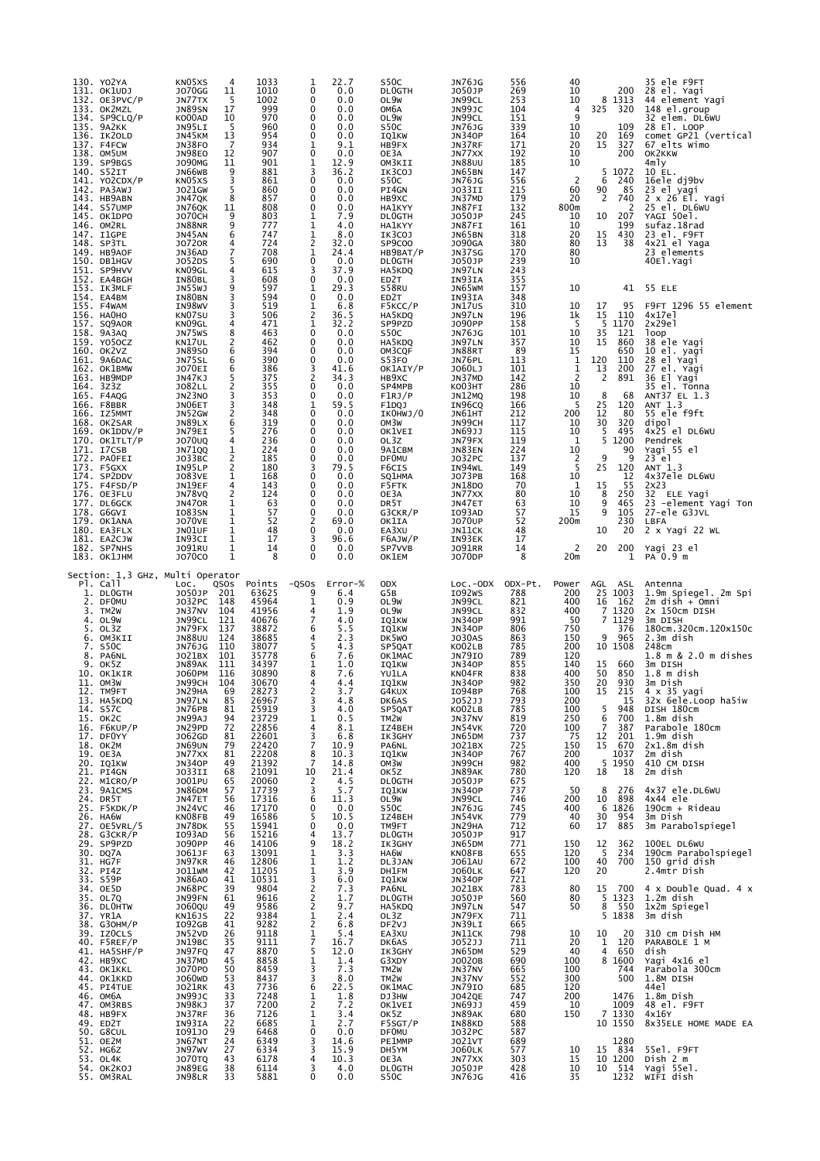| 130. YO2YA<br>131. OK1UDJ<br>132. OE3PVC/P<br>133. OK2MZL<br>$134.$ SP $9CLQ/P$<br>135. 9A2KK<br>136. IK20LD<br>137. F4FCW<br>138. OM5UM<br>139. SP9BGS<br>140. S52IT<br>141. YO2CDX/P<br>142. PA3AWJ<br>143. HB9ABN<br>144. S57UMP<br>145. OK1DPO<br>146. OM2RL<br>147. I1GPE<br>148. SP3TL<br>149. HB9AOF<br>150. DB1HGV<br>151. SP9HVV<br>152. EA4BGH<br>153. IK3MLF<br>154. EA4BM<br>155. F4WAM<br>156. НАОНО<br>157. SQ9AOR<br>158. 9A3AQ<br>159. YO5OCZ<br>160. OK2VZ<br>161. 9A6DAC<br>162. OK1BMW<br>163. НВ9МDР<br>164. 3z3z<br>165. F4AQG<br>166. F8BBR<br>166. IZ5MMT<br>168. OK2SAR<br>169. OK1DDV/P<br>170. OK1TLT/P<br>171. I7CSB<br>172. PAOFEI<br>173. F5GXX<br>174. SP2DDV<br>175. F4FSD/P<br>176. OE3FLU<br>177. DL6GCK<br>178. G6GVI<br>179. OK1ANA<br>180. EA3FLX<br>181. EA2CJW<br>182. SP7NHS                               | KN05XS<br>$\overline{4}$<br>11<br>J070GG<br>-5<br>JN77TX<br>17<br><b>JN89SN</b><br>10<br>KO00AD<br>-5<br>JN95LI<br>13<br>JN45KM<br>$\overline{7}$<br>JN38FO<br><b>JN98EO</b><br>12<br><b>JO90MG</b><br>11<br>9<br>JN66WB<br>KN05XS<br>3<br>5<br>J021GW<br>8<br>JN47QK<br>JN76QK<br>11<br>9<br><b>JO70CH</b><br>9<br><b>JN88NR</b><br>6<br>JN45AN<br>4<br><b>JO720R</b><br>7<br>JN36AD<br>J052DS<br>5<br>KN09GL<br>4<br>3<br>IN80BL<br><b>JN55WJ</b><br>9<br>3<br>IN80BN<br>IN98WV<br>3<br>3<br>KN07SU<br>KN09GL<br>4<br>8<br>JN75WS<br>KN17UL<br>2<br>6<br><b>JN89SO</b><br>JN75SL<br>6<br>JO70EI<br>6<br>JN47KJ<br>5<br>2<br>J082LL<br>JN23NO<br>3<br>3<br>JN06ET<br>2<br>JN52GW<br>JN89LX<br>6<br>JN79EI<br>5<br>J070UQ<br>4<br><b>JN71QQ</b><br>$\frac{1}{2}$<br>J033BC<br>$\overline{\mathbf{c}}$<br>IN95LP<br><b>JO83VE</b><br>1<br>JN19EF<br>4<br>$\overline{2}$<br>JN78VQ<br><b>JN470R</b><br>1<br>1<br>I083SN<br><b>JO70VE</b><br>1<br>JN01UF<br>1<br>1<br>IN93CI<br>$\mathbf{1}$<br>J091RU                                                 | 1033<br>1010<br>1002<br>999<br>970<br>960<br>954<br>934<br>907<br>901<br>881<br>861<br>860<br>857<br>808<br>803<br>777<br>747<br>724<br>708<br>690<br>615<br>608<br>597<br>594<br>519<br>506<br>471<br>463<br>462<br>394<br>390<br>386<br>375<br>355<br>353<br>348<br>348<br>319<br>276<br>236<br>224<br>185<br>180<br>168<br>143<br>124<br>63<br>57<br>52<br>48<br>17<br>14                                                                                                                                        | 22.7<br>1<br>0.0<br>0<br>0.0<br>0<br>0.0<br>0<br>$\mathbf 0$<br>0.0<br>$\Omega$<br>0.0<br>$\mathbf 0$<br>0.0<br>1<br>9.1<br>$\mathbf 0$<br>0.0<br>12.9<br>1<br>3<br>36.2<br>$\Omega$<br>0.0<br>$\mathbf 0$<br>0.0<br>$\mathbf 0$<br>0.0<br>$\mathbf 0$<br>0.0<br>7.9<br>1<br>1<br>4.0<br>1<br>8.0<br>2<br>32.0<br>$\mathbf{1}$<br>24.4<br>$\mathbf 0$<br>0.0<br>37.9<br>3<br>0<br>0.0<br>29.3<br>1<br>0<br>0.0<br>1<br>6.8<br>2<br>36.5<br>1<br>32.2<br>$\mathbf 0$<br>0.0<br>$\Omega$<br>0.0<br>$\Omega$<br>0.0<br>$\mathbf 0$<br>0.0<br>3<br>41.6<br>2<br>34.3<br>$\mathbf 0$<br>0.0<br>$\Omega$<br>0.0<br>59.5<br>1<br>0<br>0.0<br>0<br>0.0<br>0.0<br>0<br>$\mathbf 0$<br>0.0<br>0.0<br>0<br>$\mathbf 0$<br>0.0<br>3<br>79.5<br>$\Omega$<br>0.0<br>0.0<br>0<br>0<br>0.0<br>0<br>0.0<br>0<br>0.0<br>2<br>69.0<br>$\mathbf 0$<br>0.0<br>3<br>96.6<br>$\mathbf 0$<br>0.0 | S50C<br><b>DLOGTH</b><br>OL9W<br>OM6A<br>OL9W<br>S50C<br>IQ1KW<br>HB9FX<br>OE3A<br>OM3KII<br>IK3COJ<br>S50C<br>PI4GN<br>HB9XC<br><b>HA1KYY</b><br><b>DLOGTH</b><br><b>HA1KYY</b><br>IK3COJ<br>SP9C00<br>HB9BAT/P<br><b>DLOGTH</b><br>HA5KDQ<br>ED2T<br>S58RU<br>ED2T<br>F5KCC/P<br>HA5KDQ<br>SP9PZD<br>S50C<br>HA5KDQ<br>OM3CQF<br>S53FO<br>OK1AIY/P<br>HB9XC<br>SP4MPB<br>F1RJ/P<br>F1DQJ<br>IKOHWJ/0<br>OM3W<br>OK1VEI<br>OL3Z<br>9A1CBM<br><b>DFOMU</b><br>F6CIS<br>SQ1HMA<br>F5FTK<br>OE3A<br>DR5T<br>G3CKR/P<br>OK1IA<br>EA3XU<br>F6AJW/P<br>SP7VVB                             | <b>JN76JG</b><br>J050JP<br>JN99CL<br>JN99JC<br>JN99CL<br><b>JN76JG</b><br><b>JN340P</b><br>JN37RF<br>JN77XX<br><b>JN88UU</b><br>JN65BN<br><b>JN76JG</b><br>JO33II<br>JN37MD<br>JN87FI<br>J050JP<br>JN87FI<br>JN65BN<br><b>JO90GA</b><br>JN37SG<br>J050JP<br>JN97LN<br>IN93IA<br>JN65WM<br>IN93IA<br>JN17US<br>JN97LN<br><b>JO90PP</b><br><b>JN76JG</b><br>JN97LN<br>JN88RT<br>JN76PL<br>J060LJ<br>JN37MD<br><b>KO03HT</b><br>JN12MQ<br>IN96CQ<br>JN61HT<br>JN99CH<br>JN69JJ<br>JN79FX<br>JN83EN<br>J032PC<br>IN94WL<br>J073PB<br><b>JN18DO</b><br>JN77XX<br>JN47ET<br>I093AD<br><b>JO70UP</b><br>JN11CK<br>IN93EK<br><b>JO91RR</b>                                                                  | 556<br>269<br>253<br>104<br>151<br>339<br>164<br>171<br>192<br>185<br>147<br>556<br>215<br>179<br>132<br>245<br>161<br>318<br>380<br>170<br>239<br>243<br>355<br>157<br>348<br>310<br>196<br>158<br>101<br>357<br>89<br>113<br>101<br>142<br>286<br>198<br>166<br>212<br>117<br>115<br>119<br>224<br>137<br>149<br>168<br>70<br>80<br>63<br>57<br>52<br>48<br>17<br>14                          | 40<br>10<br>10<br>4<br>9<br>10<br>10<br>20<br>10<br>10<br>$\overline{c}$<br>60<br>20<br>800m<br>10<br>10<br>20<br>80<br>80<br>10<br>10<br>10<br>1k<br>-5<br>10<br>10<br>15<br>1<br>1<br>2<br>10<br>10<br>5<br>200<br>10<br>10<br>1<br>10<br>2<br>5<br>10<br>1<br>10<br>10<br>15<br>200m<br>2                                          | 200<br>8<br>1313<br>325<br>320<br>109<br>169<br>20<br>15<br>327<br>200<br>5 1072<br>6<br>240<br>90<br>85<br>2<br>740<br>2<br>10<br>207<br>199<br>15<br>430<br>13<br>38<br>41<br>17<br>95<br>15<br>110<br>-5<br>1170<br>35<br>121<br>15<br>860<br>650<br>120<br>110<br>13<br>200<br>2<br>891<br>8<br>68<br>25<br>120<br>12<br>80<br>30<br>320<br>5<br>495<br>5<br>1200<br>90<br>9<br>9<br>25<br>120<br>12<br>55<br>15<br>8<br>250<br>9<br>465<br>9<br>105<br>230<br>10<br>20<br>20<br>200                                                                                                                                                  | 35 ele F9FT<br>28 el. Yagi<br>44 element Yagi<br>148 el.group<br>32 elem. DL6WU<br>28 El. LOOP<br>comet GP21 (vertical<br>67 elts Wimo<br>OK2KKW<br>4mly<br>10 EL.<br>16ele dj9bv<br>23 el yagi<br>2 x 26 El. Yagi<br>25 el. DL6WU<br>YAGI 50el.<br>sufaz.18rad<br>23 el. F9FT<br>4x21 el Yaga<br>23 elements<br>40El.Yagi<br>55 ELE<br>F9FT 1296 55 element<br>4x17el<br>2x29e1<br>loop<br>38 ele Yagi<br>10 el. yagi<br>28 el Yagi<br>27 el. Yāqi<br>36 El Yagi<br>35 el. Tonna<br>ANT37 EL 1.3<br>ANT 1.3<br>55 ele f9ft<br>dipol<br>4x25 el DL6WU<br>Pendrek<br>Yagi 55 el<br>$23$ el<br>ANT 1.3<br>4x37ele DL6WU<br>2x23<br>32 ELE Yagi<br>23 -element Yagi Ton<br>27-ele G3JVL<br>LBFA<br>2 x Yagi 22 WL<br>Yagi 23 el                                                                           |
|---------------------------------------------------------------------------------------------------------------------------------------------------------------------------------------------------------------------------------------------------------------------------------------------------------------------------------------------------------------------------------------------------------------------------------------------------------------------------------------------------------------------------------------------------------------------------------------------------------------------------------------------------------------------------------------------------------------------------------------------------------------------------------------------------------------------------------------------------|-----------------------------------------------------------------------------------------------------------------------------------------------------------------------------------------------------------------------------------------------------------------------------------------------------------------------------------------------------------------------------------------------------------------------------------------------------------------------------------------------------------------------------------------------------------------------------------------------------------------------------------------------------------------------------------------------------------------------------------------------------------------------------------------------------------------------------------------------------------------------------------------------------------------------------------------------------------------------------------------------------------------------------------------------------|---------------------------------------------------------------------------------------------------------------------------------------------------------------------------------------------------------------------------------------------------------------------------------------------------------------------------------------------------------------------------------------------------------------------------------------------------------------------------------------------------------------------|--------------------------------------------------------------------------------------------------------------------------------------------------------------------------------------------------------------------------------------------------------------------------------------------------------------------------------------------------------------------------------------------------------------------------------------------------------------------------------------------------------------------------------------------------------------------------------------------------------------------------------------------------------------------------------------------------------------------------------------------------------------------------------------------------------------------------------------------------------------------------|--------------------------------------------------------------------------------------------------------------------------------------------------------------------------------------------------------------------------------------------------------------------------------------------------------------------------------------------------------------------------------------------------------------------------------------------------------------------------------------------------------------------------------------------------------------------------------------|-----------------------------------------------------------------------------------------------------------------------------------------------------------------------------------------------------------------------------------------------------------------------------------------------------------------------------------------------------------------------------------------------------------------------------------------------------------------------------------------------------------------------------------------------------------------------------------------------------------------------------------------------------------------------------------------------------|-------------------------------------------------------------------------------------------------------------------------------------------------------------------------------------------------------------------------------------------------------------------------------------------------------------------------------------------------------------------------------------------------|---------------------------------------------------------------------------------------------------------------------------------------------------------------------------------------------------------------------------------------------------------------------------------------------------------------------------------------|-------------------------------------------------------------------------------------------------------------------------------------------------------------------------------------------------------------------------------------------------------------------------------------------------------------------------------------------------------------------------------------------------------------------------------------------------------------------------------------------------------------------------------------------------------------------------------------------------------------------------------------------|--------------------------------------------------------------------------------------------------------------------------------------------------------------------------------------------------------------------------------------------------------------------------------------------------------------------------------------------------------------------------------------------------------------------------------------------------------------------------------------------------------------------------------------------------------------------------------------------------------------------------------------------------------------------------------------------------------------------------------------------------------------------------------------------------------|
| 183. ОК1ЈНМ<br>Section: 1,3 GHz, Multi Operator<br>Pl. Call<br>1.<br><b>DLOGTH</b><br>2.<br><b>DFOMU</b><br>3.<br>TM2W<br>4.<br>OL9W<br>5.<br>OL3Z<br>OM3KII<br>6.<br>S50C<br>7.<br>8.<br>PA6NL<br>9.<br>OK5Z<br>10. OK1KIR<br>11. OM3W<br>12. TM9FT<br>13. HA5KDQ<br>14. S57C<br>15. OK2C<br>16. F6KUP/P<br>17. DFOYY<br>18. OK2M<br>19. OE3A<br>20. IQ1KW<br>21. PI4GN<br>22. M1CRO/P<br>23. 9A1CMS<br>24. DR5T<br>25. F5KDK/P<br>26. HA6W<br>27. OE5VRL/5<br>28. G3CKR/P<br>29. SP9PZD<br>30. DQ7A<br>31. HG7F<br>32. PI4Z<br>33. S59P<br>34. OE5D<br>35. OL7Q<br>36. DLOHTW<br>37. YR1A<br>38. G3OHM/P<br>39. IZOCLS<br>40. F5REF/P<br>41. HA5SHF/P<br>42. НВ9ХС<br>43. OK1KKL<br>44. OK1KKD<br>45. PI4TUE<br>46. ОМбА<br>47. OM3RBS<br>48. HB9FX<br>49. ED2T<br>50. G8CUL<br>51. OE2M<br>52. HG6Z<br>53. OL4K<br>54. OK2KOJ<br>OM3RAL<br>55. | 1<br><b>JO70CO</b><br>LOC.<br>QSOS<br>J050JP<br>201<br>J032PC<br>148<br>JN37NV<br>104<br>JN99CL<br>121<br>137<br>JN79FX<br><b>JN88UU</b><br>124<br>110<br>JN76JG<br>101<br>J021BX<br>JN89AK<br>111<br>116<br>J060PM<br>104<br>JN99CH<br>JN29HA<br>69<br>JN97LN<br>85<br>81<br>JN76PB<br>JN99AJ<br>94<br>JN29PD<br>72<br>81<br>J062GD<br>79<br>JN69UN<br>JN77XX<br>JN34OP<br>81<br>49<br>J033II<br>68<br>J001PU<br>$rac{65}{57}$<br>JN86DM<br>56<br>JN47ET<br>JN24VC<br>KNO&FB<br>46<br>$\frac{49}{55}$<br>JN78DK<br>I093AD<br>56<br>46<br><b>JO90PP</b><br>J061JF<br>63<br>JN97KR<br>46<br>$^{42}_{41}$<br>J011WM<br><b>JN86AO</b><br>JN68PC<br>39<br>61<br>JN99FN<br>J060QU<br>49<br>$\frac{22}{41}$<br>26<br>KN16JS<br>IO92GB<br>JN52VD<br>JN19BC<br>$\frac{35}{47}$<br>JN97FQ<br>JN37MD<br>45<br>J070P0<br>50<br>$\frac{53}{43}$<br>J060WD<br>J021RK<br>$\frac{33}{37}$<br>JN99JC<br>JN98KJ<br>JN37RF<br>36<br>IN93IA<br>22<br>109130<br>$\frac{25}{24}$<br>JN67NT<br>JN97WV<br>27<br>43<br><b>JO70TQ</b><br>JN89EG<br>38<br><b>JN98LR</b><br>33 | 8<br>Points<br>$-QSOS$<br>63625<br>45964<br>41956<br>40676<br>38872<br>38685<br>38077<br>35778<br>34397<br>30890<br>30670<br>28273<br>26967<br>25919<br>23729<br>22856<br>22601<br>22420<br>22208<br>21392<br>21392<br>20060<br>17739<br>17316<br>17170<br>16586<br>15941<br>15216<br>14106<br>13091<br>12806<br>11205<br>10531<br>9804<br>9616<br>9586<br>9384<br>9282<br>9118<br>9111<br>8870<br>8858<br>$8459$<br>$8437$<br>7736<br>7248<br>7200<br>7126<br>6685<br>6468<br>6349<br>6334<br>6178<br>6114<br>5881 | $\Omega$<br>0.0<br>Error-%<br>9<br>6.4<br>0.9<br>1<br>1.9<br>4<br>7<br>4.0<br>6<br>5.5<br>2.3<br>4<br>5<br>4.3<br>6<br>7.6<br>1<br>1.0<br>8<br>7.6<br>4<br>4.4<br>2<br>3.7<br>3<br>4.8<br>3<br>4.0<br>1<br>0.5<br>4<br>8.1<br>$\frac{3}{7}$<br>6.8<br>10.9<br>$\frac{8}{7}$<br>10.3<br>14.8<br>10<br>21.4<br>2<br>4.5<br>$\frac{3}{6}$<br>5.7<br>11.3<br>0<br>0.0<br>10.5<br>5<br>$\Omega$<br>0.0<br>4<br>13.7<br>9<br>18.2<br>1<br>3.3<br>$\mathbf{1}$<br>1.2<br>$\frac{1}{3}$<br>3.9<br>6.0<br>$\begin{array}{c} 2 \\ 2 \\ 2 \end{array}$<br>7.3<br>1.7<br>9.7<br>2.4<br>1<br>$\overline{2}$<br>1<br>6.8<br>5.4<br>7<br>16.7<br>5<br>12.0<br>1<br>1.4<br>3<br>7.3<br>3<br>8.0<br>6<br>22.5<br>1<br>1.8<br>$\overline{c}$<br>$\overline{7}.2$<br>1<br>3.4<br>1<br>2.7<br>0<br>0.0<br>3<br>14.6<br>15.9<br>3<br>4<br>10.3<br>3<br>4.0<br>0<br>0.0                        | OK1EM<br><b>ODX</b><br>G5B<br>OL9W<br>OL9W<br>IQ1KW<br>IQ1KW<br>DK5WO<br>SP5QAT<br>OK1MAC<br>IQ1KW<br>YU1LA<br>IQ1KW<br>G4KUX<br>DK6AS<br>SP5QAT<br>TM2W<br>IZ4BEH<br>IK3GHY<br>PA6NL<br>IQ1KW<br>OM3W<br>OK5Z<br><b>DLOGTH</b><br>IQ1KW<br>OL9W<br>S50C<br>IZ4BEH<br>TM9FT<br>DL0GTH<br>IK3GHY<br>HA6W<br>DL3JAN<br>DH1FM<br>IQ1KW<br>PA6NL<br>DL0GTH<br>HA5KDQ<br>OL3Z<br>DF2VJ<br>EA3XU<br>DK6AS<br>IK3GHY<br>G3XDY<br>TM <sub>2</sub> W<br>TM <sub>2</sub> W<br>OK1MAC<br>DJ3HW<br>OK1VEI<br>OK5Z<br>F5SGT/P<br><b>DF0MU</b><br>PE1MMP<br>DH5YM<br>OE3A<br><b>DLOGTH</b><br>S50C | J070DP<br>$Loc.-ODX$<br>I092WS<br>JN99CL<br>JN99CL<br><b>JN340P</b><br><b>JN340P</b><br><b>JO30AS</b><br>KO02LB<br><b>JN79IO</b><br><b>JN340P</b><br>KN04FR<br><b>JN340P</b><br>I094BP<br><b>JO52JJ</b><br>KO02LB<br>JN37NV<br>JN54VK<br>JN65DM<br>J021BX<br>JN340P<br>JN99CH<br>JN89AK<br>J050JP<br><b>JN340P</b><br>JN99CL<br><b>JN76JG</b><br>JN54VK<br>JN29HA<br>J050JP<br>JN65DM<br>KN08FB<br><b>JO61AU</b><br><b>JO60LK</b><br><b>JN340P</b><br>J021BX<br>J050JP<br>JN97LN<br>JN79FX<br>JN39LI<br>JN11CK<br>305233<br>3N65DM<br>J0020B<br>JN37NV<br>JN37NV<br><b>JN79IO</b><br><b>JO42QE</b><br>JN69JJ<br>JN89AK<br>IN88KD<br>JO32PC<br>J021VT<br><b>JO60LK</b><br>JN77XX<br>J050JP<br>JN76JG | 8<br>ODX-Pt.<br>788<br>821<br>832<br>991<br>806<br>863<br>785<br>789<br>855<br>838<br>982<br>768<br>793<br>785<br>819<br>720<br>737<br>725<br>767<br>982<br>780<br>675<br>737<br>746<br>745<br>779<br>712<br>917<br>771<br>655<br>672<br>647<br>721<br>783<br>560<br>547<br>798<br>711<br>529<br>690<br>665<br>552<br>685<br>747<br>459<br>680<br>588<br>587<br>689<br>577<br>303<br>428<br>416 | 20m<br>Power<br>200<br>400<br>400<br>50<br>750<br>150<br>200<br>120<br>140<br>400<br>350<br>100<br>200<br>100<br>250<br>100<br>75<br>150<br>200<br>400<br>120<br>50<br>200<br>400<br>40<br>60<br>150<br>120<br>100<br>120<br>80<br>80<br>50<br>10<br>20<br>40<br>100<br>100<br>300<br>120<br>200<br>10<br>150<br>10<br>15<br>10<br>35 | 1<br>AGL<br>ASL<br>25<br>1003<br>16<br>162<br>7<br>1320<br>7 1129<br>376<br>9<br>965<br>10 1508<br>15<br>660<br>50<br>850<br>20<br>930<br>15<br>215<br>15<br>5<br>948<br>6<br>700<br>$\overline{7}$<br>387<br>12<br>201<br>15<br>670<br>1037<br>5<br>1950<br>18<br>18<br>8<br>276<br>10<br>898<br>1826<br>6<br>30<br>954<br>885<br>17<br>$\begin{array}{c} 12 \\ 5 \end{array}$<br>362<br>234<br>40<br>700<br>20<br>15<br>700<br>$5 \t1323$<br>$8 - 550$<br>5 1838<br>10<br>20<br>$1\,$<br>120<br>$\overline{4}$<br>650<br>8 1600<br>744<br>500<br>1476<br>1009<br>7 1330<br>10 1550<br>1280<br>15<br>834<br>10 1200<br>514<br>10<br>1232 | PA 0.9 m<br>Antenna<br>1.9m Spiegel. 2m Spi<br>$2m$ dish + $Omni$<br>2x 150cm DISH<br>3m DISH<br>180cm.320cm.120x150c<br>2.3m dish<br>248cm<br>1.8 m & 2.0 m dishes<br>3m DISH<br>$1.8m$ dish<br>3m Dish<br>4 x 35 yagi<br>32x 6ele.Loop ha5iw<br>DISH 180cm<br>1.8m dish<br>Parabole 180cm<br>1.9m dish<br>2x1.8m dish<br>2m dish<br>410 CM DISH<br>2m dish<br>4x37 ele.DL6WU<br>4x44 ele<br>190cm + Rideau<br>3m Dish<br>3m Parabolspiegel<br>100EL DL6WU<br>190cm Parabolspiegel<br>150 grid dish<br>2.4mtr Dish<br>4 x Double Quad. 4 x<br>1.2m dish<br>1x2m Spiegel<br>3m dish<br>310 cm Dish HM<br>PARABOLE 1 M<br>dish<br>Yagi 4x16 el<br>Parabola 300cm<br>1.8M DISH<br>44e1<br>1.8m Dish<br>48 el. F9FT<br>4x16Y<br>8x35ELE HOME MADE EA<br>55el. F9FT<br>Dish 2 m<br>Yagi 55el.<br>WIFI dish |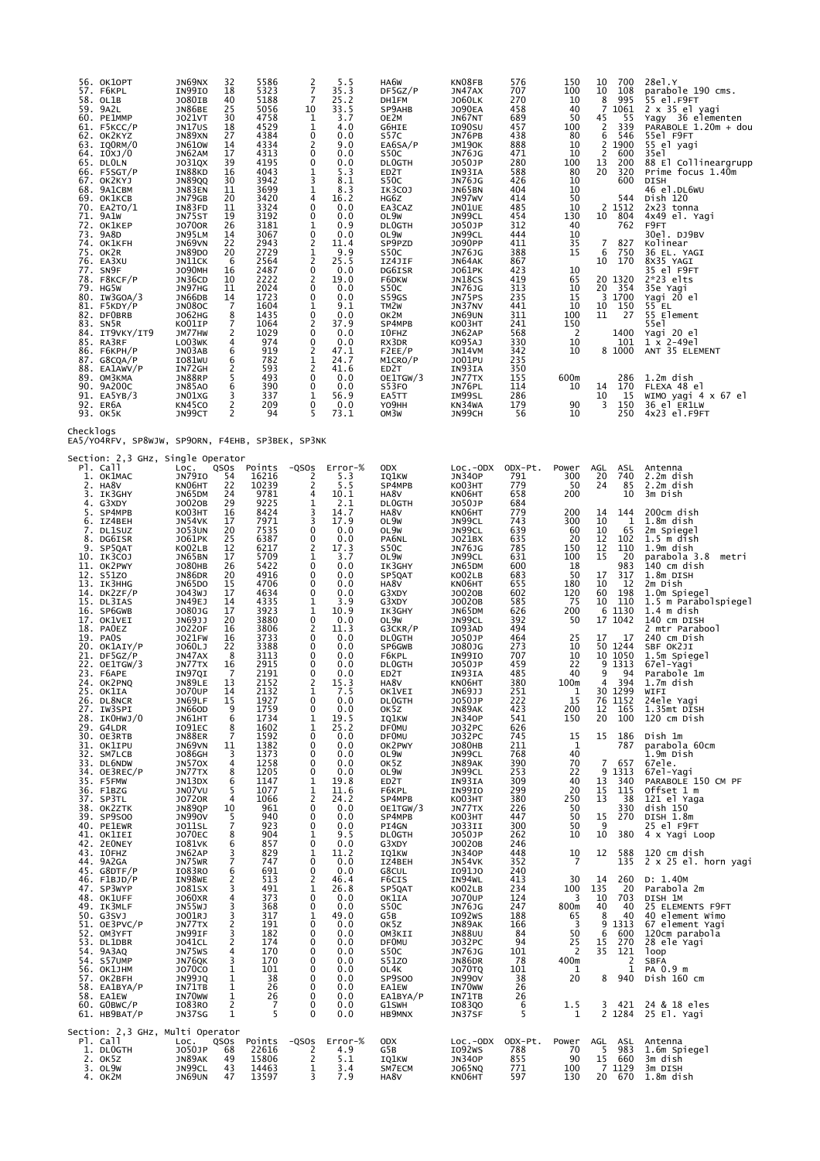| 56. OK1OPT<br>57. F6KPL<br>58. OL1B<br>59. 9A2L<br>60. PE1MMP<br>61. F5KCC/P<br>62. OK2KYZ<br>63. IQORM/0<br>64. IOXJ/0<br>65. DLOLN<br>$66.$ F5SGT/P<br>67. OK2KYJ<br>68. 9A1CBM<br>69. OK1KCB<br>70. EA2TO/1<br>71. 9A1W<br>72. OK1KEP<br>73. 9A8D<br>74. OK1KFH<br>75. OK2R<br>76. EA3XU<br>77. SN9F<br>78. F8KCF/P<br>79. HG5W<br>80. IW3GOA/3<br>81. F5KDY/P<br>82. DFOBRB<br>83. SN5R<br>84. IT9VKY/IT9<br>85. RA3RF<br>86. Ғ6КРН/Р<br>87. G8CQA/P<br>88. EA1AWV/P<br>89. OM3KMA<br>90. 9A200C<br>91. EA5YB/3<br>92. ER6A<br>93. OK5K                                                                                                                                                                                                                                                                                                                                     | JN69NX<br>IN99IO<br><b>JO80IB</b><br>JN86BE<br>J021VT<br>JN17US<br>JN89XN<br><b>JN610W</b><br>JN62AM<br>J031QX<br>IN88KD<br>JN89QQ<br>JN83EN<br>JN79GB<br>IN83FD<br>JN75ST<br><b>JO700R</b><br>JN95LM<br>JN69VN<br><b>JN89DO</b><br>JN11CK<br><b>JO90MH</b><br>JN36CD<br>JN97HG<br>JN66DB<br><b>JN080C</b><br>J062HG<br>KO01IP<br>JM77HW<br>LO03WK<br>JN03AB<br>IO81WU<br>IN72GH<br>JN88RP<br><b>JN85AO</b><br>JN01XG<br>KN45CO<br>JN99CT                                                                                                                                                                                                                            | 32<br>18<br>40<br>25<br>30<br>18<br>27<br>14<br>17<br>39<br>16<br>30<br>11<br>20<br>11<br>19<br>26<br>14<br>22<br>20<br>6<br>16<br>10<br>11<br>14<br>$\overline{7}$<br>8<br>$\overline{7}$<br>2<br>4<br>6<br>6<br>2<br>5<br>6<br>3<br>2<br>2                                                                                                                                                                 | 5586<br>5323<br>5188<br>5056<br>4758<br>4529<br>4384<br>4334<br>4313<br>4195<br>4043<br>3942<br>3699<br>3420<br>3324<br>3192<br>3181<br>3067<br>2943<br>2729<br>2564<br>2487<br>2222<br>2024<br>1723<br>1604<br>1435<br>1064<br>1029<br>974<br>919<br>782<br>593<br>493<br>390<br>337<br>209<br>94                                                                                                                                                                | $\frac{2}{7}$<br>$\overline{7}$<br>10<br>1<br>1<br>0<br>2<br>0<br>0<br>$\frac{1}{3}$<br>1<br>4<br>0<br>0<br>1<br>0<br>2<br>1<br>$\overline{2}$<br>0<br>$\frac{2}{0}$<br>0<br>1<br>$\mathbf 0$<br>2<br>0<br>$\mathbf 0$<br>2<br>1<br>$\overline{c}$<br>0<br>0<br>1<br>0<br>5                                                                                                                           | 5.5<br>35.3<br>25.2<br>33.5<br>3.7<br>4.0<br>0.0<br>9.0<br>0.0<br>0.0<br>5.3<br>8.1<br>8.3<br>16.2<br>0.0<br>0.0<br>0.9<br>0.0<br>11.4<br>9.9<br>25.5<br>0.0<br>19.0<br>0.0<br>0.0<br>9.1<br>0.0<br>37.9<br>0.0<br>0.0<br>47.1<br>24.7<br>41.6<br>0.0<br>0.0<br>56.9<br>0.0<br>73.1                                                                                                                                                             | HA6W<br>DF5GZ/P<br>DH1FM<br>SP9AHB<br>OE2M<br>G6HIE<br>S57C<br>EA6SA/P<br>S50C<br><b>DLOGTH</b><br>ED <sub>2</sub> T<br>S50C<br>IK3COJ<br>HG6Z<br>EA3CAZ<br>OL9W<br><b>DLOGTH</b><br>OL9W<br>SP9PZD<br>S50C<br>IZ4JIF<br>DG6ISR<br>F6DKW<br>S50C<br>S59GS<br>TM <sub>2</sub> W<br>ок2м<br>SP4MPB<br>I0FHZ<br>RX3DR<br>F2EE/P<br>M1CRO/P<br>ED2T<br>OE1TGW/3<br>S53FO<br>EA5TT<br>YO9HH<br>OM3W                                                                                                                                                                                                                           | <b>KNO8FB</b><br>JN47AX<br><b>JO60LK</b><br><b>JO90EA</b><br>JN67NT<br>I090SU<br>JN76PB<br><b>JM190K</b><br><b>JN76JG</b><br>J050JP<br>IN93IA<br><b>JN76JG</b><br>JN65BN<br>JN97WV<br>JNO1UE<br>JN99CL<br>J050JP<br>JN99CL<br>J090PP<br><b>JN76JG</b><br>JN64AK<br><b>JO61PK</b><br>JN18CS<br><b>JN76JG</b><br>JN75PS<br>JN37NV<br>JN69UN<br><b>KO03HT</b><br>JN62AP<br>K095AJ<br>JN14VM<br>J001PU<br>IN93IA<br>JN77TX<br>JN76PL<br>IM99SL<br>KN34WA<br>JN99CH                                                                                                                                                                                                                       | 576<br>707<br>270<br>458<br>689<br>457<br>438<br>888<br>471<br>280<br>588<br>426<br>404<br>414<br>485<br>454<br>312<br>444<br>411<br>388<br>867<br>423<br>419<br>313<br>235<br>441<br>311<br>241<br>568<br>330<br>342<br>235<br>350<br>155<br>114<br>286<br>179<br>56                                                                                                                                                                 | 150<br>100<br>10<br>40<br>50<br>100<br>80<br>10<br>10<br>100<br>80<br>10<br>10<br>50<br>10<br>130<br>40<br>10<br>35<br>15<br>10<br>65<br>10<br>15<br>10<br>100<br>150<br><sup>2</sup><br>10<br>10<br>600m<br>10<br>90<br>10                                                                                                                                       | 10<br>700<br>10<br>108<br>8<br>995<br>1061<br>7<br>45<br>55<br>2<br>339<br>6<br>546<br>2<br>1900<br>2<br>600<br>13<br>200<br>20<br>320<br>600<br>544<br>2 1512<br>10<br>804<br>762<br>7<br>827<br>6<br>750<br>170<br>10<br>20 1320<br>354<br>20<br>3 1700<br>10<br>150<br>11<br>27<br>1400<br>101<br>8 1000<br>286<br>14<br>170<br>10<br>15<br>3<br>150<br>250                                                                                                                                                                                                                                                               | 28e L . Y<br>parabole 190 cms.<br>55 el.F9FT<br>$2 \times 35$ el yagi<br>Yagy 36 elementen<br>PARABOLE 1.20m + dou<br>55el F9FT<br>55 el yagi<br>35e1<br>88 El Collineargrupp<br>Prime focus 1.40m<br><b>DISH</b><br>46 el.DL6WU<br>Dish 120<br>2x23 tonna<br>4x49 el. Yagi<br>F9FT<br>30el. DJ9BV<br>Kolinear<br>36 EL. YAGI<br>8X35 YAGI<br>35 el F9FT<br>$2*23$ elts<br>35e Yagi<br>Yagi 20 el<br>55 EL<br>55 Element<br>55e1<br>Yagi 20 el<br>$1 \times 2 - 49e$<br>ANT 35 ELEMENT<br>1.2m dish<br>FLEXA 48 el<br>WIMO yagi 4 x 67 el<br>36 el ER1LW<br>$4x23$ el.F9FT                                                                                                                                                                                                                                                       |
|---------------------------------------------------------------------------------------------------------------------------------------------------------------------------------------------------------------------------------------------------------------------------------------------------------------------------------------------------------------------------------------------------------------------------------------------------------------------------------------------------------------------------------------------------------------------------------------------------------------------------------------------------------------------------------------------------------------------------------------------------------------------------------------------------------------------------------------------------------------------------------|----------------------------------------------------------------------------------------------------------------------------------------------------------------------------------------------------------------------------------------------------------------------------------------------------------------------------------------------------------------------------------------------------------------------------------------------------------------------------------------------------------------------------------------------------------------------------------------------------------------------------------------------------------------------|--------------------------------------------------------------------------------------------------------------------------------------------------------------------------------------------------------------------------------------------------------------------------------------------------------------------------------------------------------------------------------------------------------------|-------------------------------------------------------------------------------------------------------------------------------------------------------------------------------------------------------------------------------------------------------------------------------------------------------------------------------------------------------------------------------------------------------------------------------------------------------------------|-------------------------------------------------------------------------------------------------------------------------------------------------------------------------------------------------------------------------------------------------------------------------------------------------------------------------------------------------------------------------------------------------------|-------------------------------------------------------------------------------------------------------------------------------------------------------------------------------------------------------------------------------------------------------------------------------------------------------------------------------------------------------------------------------------------------------------------------------------------------|--------------------------------------------------------------------------------------------------------------------------------------------------------------------------------------------------------------------------------------------------------------------------------------------------------------------------------------------------------------------------------------------------------------------------------------------------------------------------------------------------------------------------------------------------------------------------------------------------------------------------|--------------------------------------------------------------------------------------------------------------------------------------------------------------------------------------------------------------------------------------------------------------------------------------------------------------------------------------------------------------------------------------------------------------------------------------------------------------------------------------------------------------------------------------------------------------------------------------------------------------------------------------------------------------------------------------|---------------------------------------------------------------------------------------------------------------------------------------------------------------------------------------------------------------------------------------------------------------------------------------------------------------------------------------------------------------------------------------------------------------------------------------|-------------------------------------------------------------------------------------------------------------------------------------------------------------------------------------------------------------------------------------------------------------------------------------------------------------------------------------------------------------------|------------------------------------------------------------------------------------------------------------------------------------------------------------------------------------------------------------------------------------------------------------------------------------------------------------------------------------------------------------------------------------------------------------------------------------------------------------------------------------------------------------------------------------------------------------------------------------------------------------------------------|----------------------------------------------------------------------------------------------------------------------------------------------------------------------------------------------------------------------------------------------------------------------------------------------------------------------------------------------------------------------------------------------------------------------------------------------------------------------------------------------------------------------------------------------------------------------------------------------------------------------------------------------------------------------------------------------------------------------------------------------------------------------------------------------------------------------------------|
| Checklogs<br>EA5/YO4RFV, SP8WJW, SP9ORN, F4EHB, SP3BEK, SP3NK                                                                                                                                                                                                                                                                                                                                                                                                                                                                                                                                                                                                                                                                                                                                                                                                                   |                                                                                                                                                                                                                                                                                                                                                                                                                                                                                                                                                                                                                                                                      |                                                                                                                                                                                                                                                                                                                                                                                                              |                                                                                                                                                                                                                                                                                                                                                                                                                                                                   |                                                                                                                                                                                                                                                                                                                                                                                                       |                                                                                                                                                                                                                                                                                                                                                                                                                                                 |                                                                                                                                                                                                                                                                                                                                                                                                                                                                                                                                                                                                                          |                                                                                                                                                                                                                                                                                                                                                                                                                                                                                                                                                                                                                                                                                      |                                                                                                                                                                                                                                                                                                                                                                                                                                       |                                                                                                                                                                                                                                                                                                                                                                   |                                                                                                                                                                                                                                                                                                                                                                                                                                                                                                                                                                                                                              |                                                                                                                                                                                                                                                                                                                                                                                                                                                                                                                                                                                                                                                                                                                                                                                                                                  |
| Section: 2,3 GHz, Single Operator<br>Pl. Call<br>1. OK1MAC<br>2. HA8V<br>3. IK3GHY<br>4. G3XDY<br>5. SP4MPB<br>6. IZ4BEH<br>7. DL1SUZ<br>8. DG6ISR<br>9. SP5QAT<br>10. IK3COJ<br>11. OK2PWY<br>12. S51ZO<br>13. ІКЗННС<br>14. DK2ZF/P<br>15. DL3IAS<br>16. SP6GWB<br>17. OK1VEI<br>18. PAOEZ<br>19. PAOS<br>20. OK1AIY/P<br>21. DF5GZ/P<br>22. OE1TGW/3<br>23. F6APE<br>24. OK2PNQ<br>25. OK1IA<br>26. DL8NCR<br>27. IW3SPI<br>28. ІКОНWJ/О<br>29. G4LDR<br>30. OE3RTB<br>31. OK1IPU<br>32. SM7LCB<br>33. DL6NDW<br>34. OE3REC/P<br>35. F5FMW<br>36. F1BZG<br>37. SP3TL<br>38. OK2ZTK<br>39. SP9S00<br>40. PE1EWR<br>41. OK1IEI<br>42. 2EONEY<br>43. IOFHZ<br>44. 9A2GA<br>45. G8DTF/P<br>46. F1BJD/P<br>47. SP3WYP<br>48. OK1UFF<br>49. IK3MLF<br>50. G3SVJ<br>51. OE3PVC/P<br>52. OM3YFT<br>53. DL1DBR<br>54. 9A3AQ<br>54. S57UMP<br>56. ОК1ЈНМ<br>57. OK2BFH<br>58. EA1BYA/P | LOC.<br>JN79IO<br>KN06HT<br>JN65DM<br>J0020B<br>KO03HT<br>JN54VK<br><b>JO53UN</b><br>J061PK<br>KO02LB<br>JN65BN<br><b>JO80HB</b><br>JN86DR<br>JN65DO<br>J043WJ<br>JN49EJ<br>J080JG<br>JN69JJ<br>J0220F<br><b>JO21FW</b><br>J060LJ<br>JN47AX<br>JN77TX<br>IN97QI<br>JN89LE<br><b>JO70UP</b><br><b>JNPALL</b><br><b>JN66OD</b><br>JN61HT<br>I091EC<br>JN88ER<br>JN69VN<br>J086GH<br><b>JN570X</b><br>JN77TX<br>JN13DX<br>JN07VU<br>J0720R<br>JN89QP<br><b>JN990V</b><br>J011SL<br>J070EC<br>IO81VK<br>JN62AP<br>JN75WR<br>I083R0<br>IN98WE<br>J081SX<br>J060XR<br>JN55WJ<br>J001RJ<br>JN77TX<br>JN99IF<br><b>JO41CL</b><br>JN75WS<br>JN76QK<br>J070C0<br><b>JN99JQ</b> | QSOS<br>54<br>22<br>24<br>29<br>16<br>17<br>20<br>25<br>12<br>17<br>26<br>20<br>15<br>17<br>14<br>17<br>20<br>16<br>16<br>22<br>8<br>16<br>7<br>13<br>14<br>15<br>9<br>6<br>8<br>$\overline{7}$<br>11<br>3<br>$\overline{4}$<br>8<br>6<br>5<br>4<br>10<br>5<br>$\overline{7}$<br>8<br>6<br>3<br>$\overline{7}$<br>6<br>2<br>3<br>4<br>3<br>3<br>$\overline{c}$<br>3<br>2<br>4<br>3<br>1<br>$\mathbf{1}$<br>1 | Points<br>16216<br>10239<br>9781<br>9225<br>8424<br>7971<br>7535<br>6387<br>6217<br>5709<br>5422<br>4916<br>4706<br>4634<br>4335<br>3923<br>3880<br>3806<br>3733<br>3388<br>3113<br>2915<br>2191<br>2152<br>2132<br>1927<br>1759<br>1734<br>1602<br>1592<br>1382<br>1373<br>1258<br>1205<br>1147<br>1077<br>1066<br>961<br>940<br>923<br>904<br>857<br>829<br>747<br>691<br>513<br>491<br>373<br>368<br>317<br>191<br>182<br>174<br>170<br>170<br>101<br>38<br>26 | $-QSOS$<br>2<br>2<br>4<br>1<br>3<br>3<br>$\mathbf 0$<br>0<br>$\overline{2}$<br>1<br>0<br>0<br>0<br>0<br>1<br>$\mathbf{1}$<br>0<br>2<br>$\mathbf 0$<br>0<br>$\mathbf 0$<br>0<br>0<br>2<br>1<br>0<br>0<br>$\frac{1}{1}$<br>0<br>0<br>0<br>0<br>0<br>1<br>$\frac{1}{2}$<br>0<br>0<br>0<br>1<br>0<br>1<br>0<br>0<br>$\overline{c}$<br>1<br>0<br>0<br>$\mathbf{1}$<br>0<br>0<br>0<br>0<br>0<br>0<br>0<br>0 | $Error-%$<br>5.3<br>5.5<br>10.1<br>2.1<br>14.7<br>17.9<br>0.0<br>0.0<br>17.3<br>3.7<br>0.0<br>0.0<br>0.0<br>0.0<br>3.9<br>10.9<br>0.0<br>11.3<br>0.0<br>0.0<br>0.0<br>0.0<br>0.0<br>15.3<br>7.5<br>0.0<br>0.0<br>19.5<br>25.2<br>0.0<br>0.0<br>0.0<br>0.0<br>0.0<br>19.8<br>11.6<br>24.2<br>0.0<br>0.0<br>0.0<br>9.5<br>0.0<br>11.2<br>0.0<br>0.0<br>46.4<br>26.8<br>0.0<br>0.0<br>49.0<br>0.0<br>0.0<br>0.0<br>0.0<br>0.0<br>0.0<br>0.0<br>0.0 | ODX<br>IQ1KW<br>SP4MPB<br>HA8V<br><b>DLOGTH</b><br>HA8V<br>OL9W<br>OL9W<br>PA6NL<br>S50C<br>OL9W<br>IK3GHY<br>SP5QAT<br>HA8V<br>G3XDY<br>G3XDY<br>IK3GHY<br>OL9W<br>G3CKR/P<br><b>DLOGTH</b><br>SP6GWB<br>F6KPL<br><b>DLOGTH</b><br>ED <sub>2</sub> T<br>HA8V<br>OK1VEI<br><b>DLUGIH</b><br>ok5z<br>IQ1KW<br>DF0MU<br><b>DF0MU</b><br>OK2PWY<br>OL9W<br>OK5Z<br>OL9W<br>ED <sub>2</sub> T<br>F6KPL<br>SP4MPB<br>OE1TGW/3<br>SP4MPB<br>PI4GN<br><b>DLOGTH</b><br>G3XDY<br>IQ1KW<br>IZ4BEH<br>G8CUL<br>F6CIS<br>SP5QAT<br>OK1IA<br>S50C<br>G5B<br>OK5Z<br>OM3KII<br><b>DFOMU</b><br>S50C<br>S51Z0<br>OL4K<br><b>SP9S00</b> | $Loc.-ODX$<br><b>JN340P</b><br><b>KO03HT</b><br>KN06HT<br>J050JP<br>KN06HT<br>JN99CL<br>JN99CL<br>J021BX<br><b>JN76JG</b><br>JN99CL<br>JN65DM<br>KO02LB<br>KN06HT<br>J0020B<br>J0020B<br>JN65DM<br>JN99CL<br>I093AD<br>J050JP<br>J080JG<br><b>IN99IO</b><br>J050JP<br>IN93IA<br>KN06HT<br>JN69JJ<br><b>JO20JP</b><br>JN89AK<br><b>JN340P</b><br>J032PC<br>J032PC<br><b>JO80HB</b><br>JN99CL<br>JN89AK<br>JN99CL<br>IN93IA<br>IN99I0<br>K003HT<br>JN77TX<br>KO03HT<br>J033II<br>J050JP<br>J0020B<br>JN340P<br>JN54VK<br>1091J0<br>IN94WL<br>KO02LB<br>JO70UP<br>JN76JG<br>I092WS<br>JN89AK<br><b>JN88UU</b><br>J032PC<br>JN76JG<br>JN86DR<br><b>JO70TQ</b><br><b>JN990V</b><br>IN70WW | ODX-Pt.<br>791<br>779<br>658<br>684<br>779<br>743<br>639<br>635<br>785<br>631<br>600<br>683<br>655<br>602<br>585<br>626<br>392<br>494<br>464<br>273<br>707<br>459<br>485<br>380<br>251<br>222<br>423<br>541<br>626<br>745<br>211<br>768<br>390<br>253<br>309<br>299<br>380<br>226<br>447<br>300<br>262<br>246<br>448<br>352<br>240<br>413<br>234<br>124<br>247<br>188<br>166<br>84<br>94<br>101<br>78<br>101<br>38<br>$\overline{26}$ | Power<br>300<br>50<br>200<br>200<br>300<br>60<br>20<br>150<br>100<br>18<br>50<br>180<br>120<br>75<br>200<br>50<br>$^{25}_{10}$<br>10<br>22<br>40<br>100m<br>1<br>15<br>200<br>150<br>15<br>1<br>40<br>70<br>22<br>40<br>20<br><b>250</b><br>50<br>50<br>50<br>10<br>10<br>7<br>30<br>100<br>3<br>800m<br>65<br>3<br>50<br>25<br>$\overline{2}$<br>400m<br>1<br>20 | ASL<br>AGL<br>20<br>740<br>24<br>85<br>10<br>14<br>144<br>10<br>$\mathbf{1}$<br>65<br>10<br>12<br>102<br>12<br>110<br>20<br>15<br>983<br>17<br>317<br>10<br>12<br>60<br>198<br>10<br>110<br>1130<br>6<br>17 1042<br>17<br>17<br>50 1244<br>10 1050<br>9<br>1313<br>9<br>94<br>394<br>4<br>30 1299<br>76 1152<br>12<br>165<br>20<br>100<br>15<br>186<br>787<br>7 657<br>9 1313<br>13<br>340<br>15<br>115<br>38<br>13<br>330<br>15<br>270<br>9<br>10<br>380<br>12<br>588<br>135<br>260<br>14<br>135<br>20<br>10<br>703<br>40<br>40<br>8<br>40<br>9 1313<br>6<br>600<br>270<br>15<br>35<br>121<br>2<br>$\mathbf{1}$<br>8<br>940 | Antenna<br>2.2m dish<br>2.2m dish<br>3m Dish<br>200cm dish<br>1.8m dish<br>2m Spiegel<br>$1.5m$ dish<br>1.9m dish<br>parabola 3.8<br>metri<br>140 cm dish<br>1.8m DISH<br>2m Dish<br>1.0m Spiegel<br>1.5 m Parabolspiegel<br>$1.4 \text{ m}$ dish<br>140 cm DISH<br>2 mtr Parabool<br>240 cm Dish<br>SBF OK2JI<br>1.5m Spiegel<br>67el-Yagi<br>Parabole 1m<br>1.7m dish<br>WIFI<br>24ele Yagi<br>1.35mt DISH<br>120 cm Dish<br>Dish 1m<br>parabola 60cm<br>1.9m Dish<br>67ele.<br>67el-Yagi<br>PARABOLE 150 CM PF<br>Offset 1 m<br>121 el Yaga<br>dish 150<br>DISH 1.8m<br>25 el F9FT<br>4 x Yagi Loop<br>120 cm dish<br>2 x 25 el. horn yagi<br>D: 1.40M<br>Parabola 2m<br>DISH 1M<br>25 ELEMENTS F9FT<br>40 element wimo<br>67 element Yagi<br>120cm parabola<br>28 ele Yagi<br>loop<br><b>SBFA</b><br>PA 0.9 m<br>Dish 160 cm |
| 58. EA1EW<br>60. GOBWC/P<br>61. HB9BAT/P                                                                                                                                                                                                                                                                                                                                                                                                                                                                                                                                                                                                                                                                                                                                                                                                                                        | IN70WW<br>I083RO<br>JN37SG                                                                                                                                                                                                                                                                                                                                                                                                                                                                                                                                                                                                                                           | 1<br>$\overline{2}$<br>$\mathbf{1}$                                                                                                                                                                                                                                                                                                                                                                          | 26<br>7<br>5                                                                                                                                                                                                                                                                                                                                                                                                                                                      | 0<br>0<br>$\Omega$                                                                                                                                                                                                                                                                                                                                                                                    | 0.0<br>0.0<br>0.0                                                                                                                                                                                                                                                                                                                                                                                                                               | EA1BYA/P<br>G1SWH<br>HB9MNX                                                                                                                                                                                                                                                                                                                                                                                                                                                                                                                                                                                              | IN71TB<br>108300<br>JN37SF                                                                                                                                                                                                                                                                                                                                                                                                                                                                                                                                                                                                                                                           | 26<br>6<br>5                                                                                                                                                                                                                                                                                                                                                                                                                          | 1.5<br>1                                                                                                                                                                                                                                                                                                                                                          | 3 421<br>2 1284                                                                                                                                                                                                                                                                                                                                                                                                                                                                                                                                                                                                              | 24 & 18 eles<br>25 El. Yagi                                                                                                                                                                                                                                                                                                                                                                                                                                                                                                                                                                                                                                                                                                                                                                                                      |
| Section: 2,3 GHz, Multi Operator<br>Pl. Call<br>1. DLOGTH<br>2. OK5Z<br>3. OL9W<br>4. OK2M                                                                                                                                                                                                                                                                                                                                                                                                                                                                                                                                                                                                                                                                                                                                                                                      | LOC.<br>J050JP<br>JN89AK<br>JN99CL<br>JN69UN                                                                                                                                                                                                                                                                                                                                                                                                                                                                                                                                                                                                                         | QSOS<br>68<br>49<br>43<br>47                                                                                                                                                                                                                                                                                                                                                                                 | Points<br>22616<br>15806<br>14463<br>13597                                                                                                                                                                                                                                                                                                                                                                                                                        | $-QSOS$<br>2<br>$\overline{\mathbf{c}}$<br>$\mathbf{1}$<br>3                                                                                                                                                                                                                                                                                                                                          | Error-%<br>4.9<br>5.1<br>$\overline{3}.\overline{4}$<br>7.9                                                                                                                                                                                                                                                                                                                                                                                     | <b>ODX</b><br>G5B<br>IQ1KW<br>SM7ECM<br>HA8V                                                                                                                                                                                                                                                                                                                                                                                                                                                                                                                                                                             | $Loc.-ODX$<br>I092WS<br><b>JN340P</b><br>3065NQ<br>KN06HT                                                                                                                                                                                                                                                                                                                                                                                                                                                                                                                                                                                                                            | ODX-Pt.<br>788<br>855<br>771<br>597                                                                                                                                                                                                                                                                                                                                                                                                   | Power<br>70<br>90<br>100<br>130                                                                                                                                                                                                                                                                                                                                   | AGL<br>ASL<br>5<br>983<br>15<br>660<br>$\frac{1}{2}$ 1129                                                                                                                                                                                                                                                                                                                                                                                                                                                                                                                                                                    | Antenna<br>1.6m Spiegel<br>3m dish<br>3m DISH<br>20 670 1.8m dish                                                                                                                                                                                                                                                                                                                                                                                                                                                                                                                                                                                                                                                                                                                                                                |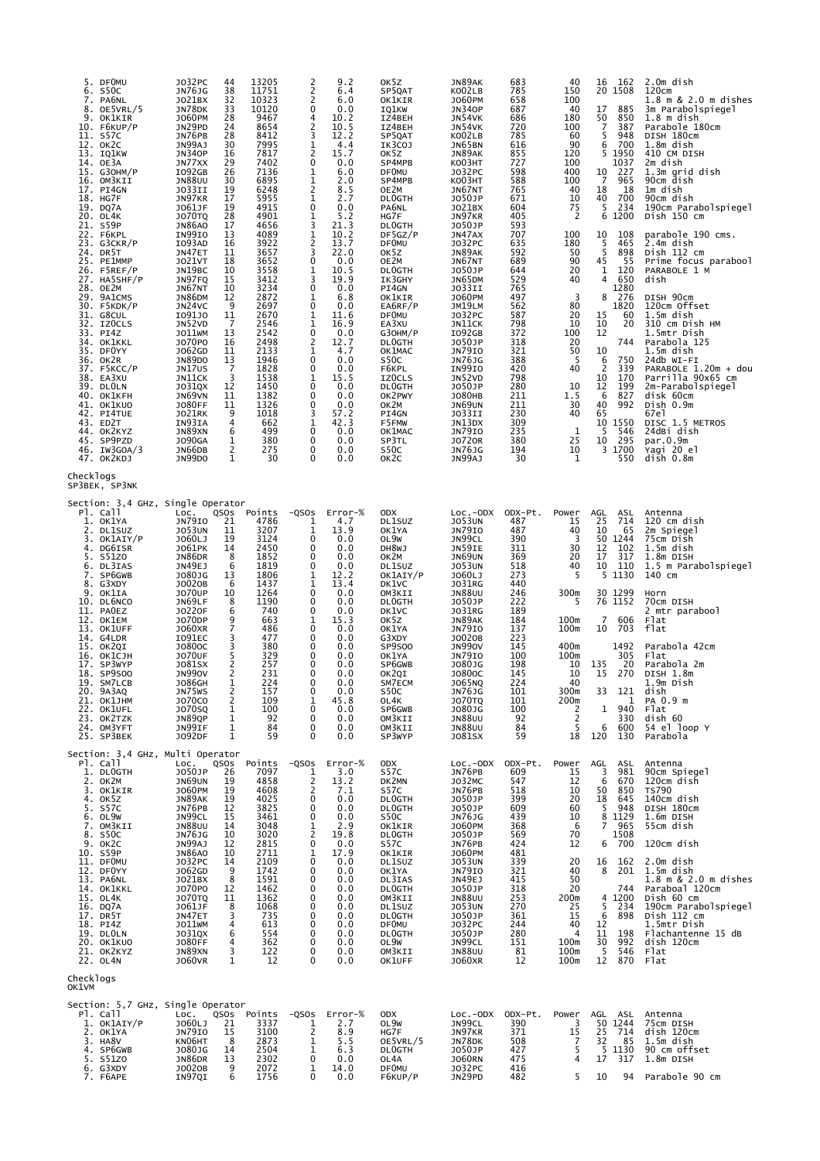| 5. DFOMU<br>6. S50C<br>7. PA6NL<br>8. OE5VRL/5<br>9. OK1KIR<br>10. F6KUP/P<br>11. S57C<br>12. OK2C<br>13. IQ1KW<br>14. OE3A<br>15. G30HM/P<br>16. OM3KII<br>17. PI4GN<br>18. HG7F<br>19. DQ7A<br>20. OL4K<br>21. S59P<br>22. F6KPL<br>23. G3CKR/P<br>24. DR5T<br>25. PE1MMP<br>26. F5REF/P<br>27. HA5SHF/P<br>28. OE2M<br>29. 9A1CMS<br>30. F5KDK/P<br>31. G8CUL<br>32. IZOCLS<br>33. PI4Z<br>34. OK1KKL<br>35. DFOYY<br>36. OK2R<br>37. F5KCC/P<br>38. EA3XU<br>39. DLOLN<br>40. OK1KFH<br>41. OK1KUO<br>42. PI4TUE<br>43. ED2T<br>44. OK2KYZ<br>45. SP9PZD<br>46. IW3GOA/3<br>47. OK2KDJ | J032PC<br>JN76JG<br>JO21BX<br>JN78DK<br>J060PM<br>JN29PD<br>JN76PB<br>JN99AJ<br><b>JN340P</b><br>JN77XX<br>I092GB<br><b>JN88UU</b><br>JO33II<br>JN97KR<br>J061JF<br><b>JO70TQ</b><br><b>JN86A0</b><br>IN99IO<br>I093AD<br>JN47ET<br><b>JO21VT</b><br>JN19BC<br>JN97FQ<br>JN67NT<br>JN86DM<br>JN24VC<br>1091J0<br>JN52VD<br>J011WM<br>J070P0<br>J062GD<br><b>JN89DO</b><br>JN17US<br>JN11CK<br>J031QX<br>JN69VN<br><b>JO80FF</b><br><b>JO21RK</b><br>IN93IA<br>JN89XN<br><b>JO90GA</b><br>JN66DB<br><b>JN99DO</b> | 44<br>38<br>$\begin{array}{c} 32 \\ 33 \end{array}$<br>28<br>24<br>28<br>30<br>16<br>29<br>26<br>30<br>19<br>17<br>19<br>28<br>17<br>13<br>16<br>11<br>18<br>10<br>15<br>10<br>12<br>9<br>11<br>7<br>13<br>16<br>11<br>13<br>$\overline{7}$<br>3<br>12<br>11<br>11<br>9<br>$\overline{4}$<br>6<br>1<br>2<br>1 | 13205<br>11751<br>10323<br>10120<br>9467<br>8654<br>8412<br>7995<br>7817<br>7402<br>7136<br>6895<br>6248<br>5955<br>4915<br>4901<br>4656<br>4089<br>3922<br>3657<br>3652<br>3558<br>3412<br>3234<br>2872<br>2697<br>2670<br>2546<br>2542<br>2498<br>2133<br>1946<br>1828<br>1538<br>1450<br>1382<br>1326<br>1018<br>662<br>499<br>380<br>275<br>30 | $\frac{2}{2}$<br>$\overline{2}$<br>0<br>4<br>$\frac{2}{3}$<br>ī<br>$\overline{\mathbf{c}}$<br>0<br>1<br>1<br>$\overline{c}$<br>1<br>0<br>1<br>3<br>$\frac{1}{2}$<br>3<br>0<br>$\mathbf{1}$<br>3<br>0<br>1<br>0<br>1<br>1<br>0<br>$\frac{2}{1}$<br>0<br>0<br>1<br>0<br>0<br>0<br>3<br>1<br>0<br>0<br>0<br>0 | 9.2<br>6.4<br>6.0<br>0.0<br>10.2<br>10.5<br>12.2<br>4.4<br>15.7<br>0.0<br>6.0<br>2.0<br>8.5<br>2.7<br>0.0<br>5.2<br>21.3<br>10.2<br>13.7<br>22.0<br>0.0<br>10.5<br>19.9<br>0.0<br>6.8<br>0.0<br>11.6<br>16.9<br>0.0<br>12.7<br>4.7<br>0.0<br>0.0<br>15.5<br>0.0<br>0.0<br>0.0<br>57.2<br>42.3<br>0.0<br>0.0<br>0.0<br>0.0 | OK5Z<br>SP5QAT<br>OK1KIR<br>IQ1KW<br>IZ4BEH<br>IZ4BEH<br>SP5QAT<br>IK3COJ<br>OK5Z<br>SP4MPB<br><b>DF0MU</b><br>SP4MPB<br>OE2M<br><b>DLOGTH</b><br>PA6NL<br>HG7F<br><b>DLOGTH</b><br>DF5GZ/P<br><b>DFOMU</b><br>OK5Z<br>OE2M<br><b>DLOGTH</b><br>IK3GHY<br>PI4GN<br>OK1KIR<br>EA6RF/P<br><b>DFOMU</b><br>EA3XU<br>G30HM/P<br><b>DLOGTH</b><br>OK1MAC<br>S50C<br>F6KPL<br>IZ0CLS<br>DL0GTH<br>OK2PWY<br>OK2M<br>PI4GN<br>F5FMW<br>OK1MAC<br>SP3TL<br>S50C<br>OK <sub>2</sub> C | JN89AK<br>KO02LB<br><b>JO60PM</b><br><b>JN340P</b><br>JN54VK<br>JN54VK<br>KO02LB<br>JN65BN<br>JN89AK<br><b>KO03HT</b><br>J032PC<br>KO03HT<br>JN67NT<br>J050JP<br>J021BX<br>JN97KR<br>J050JP<br>JN47AX<br>J032PC<br>JN89AK<br>JN67NT<br>J050JP<br>JN65DM<br>J033II<br>J060PM<br>JM19LM<br>J032PC<br>JN11CK<br>I092GB<br>J050JP<br>JN79IO<br>JN76JG<br>IN99IO<br>JN52VD<br>J050JP<br><b>JO80HB</b><br>JN69UN<br>J033II<br>JN13DX<br>JN79IO<br><b>JO720R</b><br><b>JN76JG</b><br>JN99AJ | 683<br>785<br>658<br>687<br>686<br>720<br>785<br>616<br>855<br>727<br>598<br>588<br>765<br>671<br>604<br>405<br>593<br>707<br>635<br>592<br>689<br>644<br>529<br>765<br>497<br>562<br>587<br>798<br>372<br>318<br>321<br>388<br>420<br>798<br>280<br>211<br>211<br>230<br>309<br>235<br>380<br>194<br>30 | 40<br>150<br>100<br>40<br>180<br>100<br>60<br>90<br>120<br>100<br>400<br>100<br>40<br>10<br>75<br>$\overline{2}$<br>100<br>180<br>50<br>90<br>20<br>40<br>3<br>80<br>20<br>10<br>100<br>20<br>50<br>-5<br>40<br>10<br>1.5<br>30<br>40<br>1<br>25<br>10<br>1 | 162<br>16<br>20 1508<br>17<br>885<br>50<br>850<br>7<br>387<br>5<br>948<br>6<br>700<br>5 1950<br>1037<br>10<br>227<br>$\overline{7}$<br>965<br>18<br>18<br>700<br>40<br>5<br>234<br>6<br>1200<br>10<br>108<br>5<br>465<br>$\overline{5}$<br>898<br>45<br>55<br>1<br>120<br>$\overline{4}$<br>650<br>1280<br>276<br>8<br>1820<br>15<br>60<br>10<br>20<br>12<br>744<br>10<br>750<br>6<br>$\overline{2}$<br>339<br>10<br>170<br>12<br>199<br>827<br>6<br>992<br>40<br>65<br>10 1550<br>546<br>5<br>295<br>10<br>3<br>1700<br>550 | 2.0m dish<br>120cm<br>1.8 m & 2.0 m dishes<br>3m Parabolspiegel<br>$1.8m$ dish<br>Parabole 180cm<br>DISH 180cm<br>1.8m dish<br>410 CM DISH<br>2m dish<br>1.3m grid dish<br>90cm dish<br>1m dish<br>90cm dish<br>190cm Parabolspiegel<br>Dish 150 cm<br>parabole 190 cms.<br>2.4m dish<br>Dish 112 cm<br>Prime focus parabool<br>PARABOLE 1 M<br>dish<br>DISH 90cm<br>120cm Offset<br>1.5m dish<br>310 cm Dish HM<br>1.5mtr Dish<br>Parabola 125<br>1.5m dish<br>24db WI-FI<br>PARABOLE 1.20m + dou<br>Parrilla 90x65 cm<br>2m-Parabolspiegel<br>disk 60cm<br>Dish 0.9m<br>67e1<br>DISC 1.5 METROS<br>24dBi dish<br>par.0.9m<br>Yagi 20 el<br>dish 0.8m |
|--------------------------------------------------------------------------------------------------------------------------------------------------------------------------------------------------------------------------------------------------------------------------------------------------------------------------------------------------------------------------------------------------------------------------------------------------------------------------------------------------------------------------------------------------------------------------------------------|------------------------------------------------------------------------------------------------------------------------------------------------------------------------------------------------------------------------------------------------------------------------------------------------------------------------------------------------------------------------------------------------------------------------------------------------------------------------------------------------------------------|---------------------------------------------------------------------------------------------------------------------------------------------------------------------------------------------------------------------------------------------------------------------------------------------------------------|----------------------------------------------------------------------------------------------------------------------------------------------------------------------------------------------------------------------------------------------------------------------------------------------------------------------------------------------------|------------------------------------------------------------------------------------------------------------------------------------------------------------------------------------------------------------------------------------------------------------------------------------------------------------|---------------------------------------------------------------------------------------------------------------------------------------------------------------------------------------------------------------------------------------------------------------------------------------------------------------------------|------------------------------------------------------------------------------------------------------------------------------------------------------------------------------------------------------------------------------------------------------------------------------------------------------------------------------------------------------------------------------------------------------------------------------------------------------------------------------|--------------------------------------------------------------------------------------------------------------------------------------------------------------------------------------------------------------------------------------------------------------------------------------------------------------------------------------------------------------------------------------------------------------------------------------------------------------------------------------|----------------------------------------------------------------------------------------------------------------------------------------------------------------------------------------------------------------------------------------------------------------------------------------------------------|-------------------------------------------------------------------------------------------------------------------------------------------------------------------------------------------------------------------------------------------------------------|------------------------------------------------------------------------------------------------------------------------------------------------------------------------------------------------------------------------------------------------------------------------------------------------------------------------------------------------------------------------------------------------------------------------------------------------------------------------------------------------------------------------------|--------------------------------------------------------------------------------------------------------------------------------------------------------------------------------------------------------------------------------------------------------------------------------------------------------------------------------------------------------------------------------------------------------------------------------------------------------------------------------------------------------------------------------------------------------------------------------------------------------------------------------------------------------|
| Checklogs<br>SP3BEK, SP3NK                                                                                                                                                                                                                                                                                                                                                                                                                                                                                                                                                                 |                                                                                                                                                                                                                                                                                                                                                                                                                                                                                                                  |                                                                                                                                                                                                                                                                                                               |                                                                                                                                                                                                                                                                                                                                                    |                                                                                                                                                                                                                                                                                                            |                                                                                                                                                                                                                                                                                                                           |                                                                                                                                                                                                                                                                                                                                                                                                                                                                              |                                                                                                                                                                                                                                                                                                                                                                                                                                                                                      |                                                                                                                                                                                                                                                                                                          |                                                                                                                                                                                                                                                             |                                                                                                                                                                                                                                                                                                                                                                                                                                                                                                                              |                                                                                                                                                                                                                                                                                                                                                                                                                                                                                                                                                                                                                                                        |
| Section: 3,4 GHz, Single Operator<br>Pl. Call<br>1. OK1YA<br>2. DL1SUZ<br>3. OK1AIY/P<br>4. DG6ISR<br>5.<br>s51zo<br>6. DL3IAS<br>7. SP6GWB<br>8. G3XDY<br>9. OK1IA<br>10. DL6NCO<br>11. PAOEZ<br>12. OK1EM<br>13. OK1UFF<br>14. G4LDR<br>15. OK2QI<br>16. ОК1СЈН<br>17. SP3WYP<br>18. SP9SOO<br>19. SM7LCB<br>20. 9A3AQ<br>21. ОК1ЈНМ<br>22. OK1UFL<br>23. OK2TZK<br>24. OM3YFT<br>25. SP3BEK                                                                                                                                                                                             | Loc.<br>JN79IO<br><b>JO53UN</b><br>J060LJ<br>J061PK<br>JN86DR<br>JN49EJ<br>J080JG<br>J0020B<br>J070UP<br>JN69LF<br>J0220F<br>J070DP<br>J060XR<br>I091EC<br>J0800C<br><b>JO70UF</b><br>J081SX<br><b>JN990V</b><br><b>JO86GH</b><br>JN75WS<br><b>JO70CO</b><br>J070SQ<br>JN89QP<br>JN99IF<br>J092DF                                                                                                                                                                                                                | QSOS<br>21<br>11<br>19<br>14<br>8<br>6<br>13<br>6<br>10<br>8<br>6<br>9<br>7<br>3<br>3<br>5<br>$\frac{2}{2}$<br>1<br>2<br>$\mathcal{L}_{\mathcal{L}}$<br>1<br>1<br>1<br>1                                                                                                                                      | Points<br>4786<br>3207<br>3124<br>2450<br>1852<br>1819<br>1806<br>1437<br>1264<br>1190<br>740<br>663<br>486<br>477<br>380<br>329<br>257<br>231<br>224<br>157<br>109<br>100<br>92<br>84<br>59                                                                                                                                                       | $-QSOS$<br>1<br>1<br>0<br>0<br>0<br>0<br>1<br>1<br>0<br>0<br>0<br>1<br>0<br>0<br>0<br>0<br>0<br>0<br>0<br>0<br>T<br>0<br>0<br>0<br>$\Omega$                                                                                                                                                                | $Error-%$<br>4.7<br>13.9<br>0.0<br>0.0<br>0.0<br>0.0<br>12.2<br>13.4<br>0.0<br>0.0<br>0.0<br>15.3<br>0.0<br>0.0<br>0.0<br>0.0<br>0.0<br>0.0<br>0.0<br>0.0<br>45.8<br>0.0<br>0.0<br>0.0<br>0.0                                                                                                                             | <b>ODX</b><br>DL1SUZ<br>OK1YA<br>OL9W<br>DH8WJ<br>ок2м<br>DL1SUZ<br>OK1AIY/P<br>DK1VC<br>OM3KII<br>DL0GTH<br>DK1VC<br>OK5Z<br>OK1YA<br>G3XDY<br>SP9S00<br>OK1YA<br>SP6GWB<br>OK2QI<br>SM7ECM<br>S50C<br>OL4K<br>SP6GWB<br>OM3KII<br>OM3KII<br>SP3WYP                                                                                                                                                                                                                         | $Loc.-ODX$<br><b>JO53UN</b><br><b>JN79IO</b><br>JN99CL<br>JN59IE<br><b>JN69UN</b><br><b>JO53UN</b><br>J060LJ<br><b>JO31RG</b><br><b>JN88UU</b><br>J050JP<br><b>JO31RG</b><br>JN89AK<br><b>JN79IO</b><br>J0020B<br><b>JN990V</b><br><b>JN79IO</b><br>J080JG<br>J0800C<br>J065NQ<br><b>JN76JG</b><br><b>JO70TQ</b><br>J080JG<br><b>JN88UU</b><br>JN88UU<br>J081SX                                                                                                                      | ODX-Pt.<br>487<br>487<br>390<br>311<br>369<br>518<br>273<br>440<br>246<br>222<br>189<br>184<br>137<br>223<br>145<br>100<br>198<br>145<br>224<br>101<br>101<br>100<br>92<br>84<br>59                                                                                                                      | Power<br>15<br>40<br>3<br>30<br>20<br>40<br>5<br>300m<br>5<br>100m<br>100m<br>400m<br>100m<br>10<br>10<br>40<br>300m<br>200m<br>2<br>$\overline{2}$<br>5<br>18                                                                                              | AGL<br>ASL<br>25<br>714<br>10<br>65<br>50<br>1244<br>12<br>102<br>17<br>317<br>10<br>110<br>5 1130<br>30 1299<br>76 1152<br>$\overline{7}$<br>606<br>10<br>703<br>1492<br>305<br>135<br>20<br>15<br>270<br>121<br>33<br>1<br>940<br>1<br>330<br>6<br>600<br>120<br>130                                                                                                                                                                                                                                                       | Antenna<br>120 cm dish<br>2m Spiegel<br>75cm Dish<br>1.5m dish<br>1.8m DISH<br>1.5 m Parabolspiegel<br>140 cm<br>Horn<br>70cm DISH<br>2 mtr parabool<br>Flat<br>flat<br>Parabola 42cm<br>Flat<br>Parabola 2m<br>DISH 1.8m<br>1.9m Dish<br>dish<br>PA 0.9 m<br>Flat<br>dish 60<br>54 el loop Y<br>Parabola                                                                                                                                                                                                                                                                                                                                              |
| Section: 3,4 GHz, Multi Operator<br>Pl. Call<br>1. DLOGTH<br>2. OK2M<br>3. OK1KIR<br>4. OK5Z<br>5. S57C<br>6. OL9W<br>7. OM3KII<br>8. S50C<br>9. OK2C<br>10. S59P<br>11. DFOMU<br>12. DFOYY<br>13. PA6NL<br>14. OK1KKL<br>15. OL4K<br>16. DQ7A<br>17. DR5T<br>18. PI4Z<br>19. DLOLN<br>20. OK1KUO<br>21. OK2KYZ<br>22. OL4N                                                                                                                                                                                                                                                                | LOC.<br>J050JP<br>JN69UN<br>J060PM<br>JN89AK<br>JN76PB<br>JN99CL<br><b>JN88UU</b><br>JN76JG<br>JN99AJ<br><b>JN86A0</b><br>J032PC<br>J062GD<br>J021BX<br>J070P0<br><b>JO70TQ</b><br>J061JF<br>JN47ET<br>JO11WM<br>J031QX<br><b>JO80FF</b><br>JN89XN<br><b>JO60VR</b>                                                                                                                                                                                                                                              | QSOS<br>26<br>19<br>19<br>19<br>12<br>15<br>14<br>10<br>12<br>10<br>14<br>9<br>8<br>$\begin{array}{c} 12 \\ 11 \end{array}$<br>8<br>3<br>4<br>6<br>4<br>3<br>1                                                                                                                                                | Points<br>7097<br>4858<br>4608<br>4025<br>3825<br>3461<br>3048<br>3020<br>2815<br>2711<br>2109<br>1742<br>1591<br>1462<br>1362<br>1068<br>735<br>613<br>554<br>362<br>122<br>12                                                                                                                                                                    | $-QSOS$<br>1<br>2<br>2<br>$\mathbf 0$<br>0<br>0<br>1<br>$\frac{2}{0}$<br>1<br>0<br>0<br>0<br>$\Omega$<br>0<br>0<br>0<br>0<br>0<br>0<br>0<br>$\Omega$                                                                                                                                                       | Error-%<br>3.0<br>13.2<br>7.1<br>0.0<br>0.0<br>0.0<br>2.9<br>19.8<br>0.0<br>17.9<br>0.0<br>0.0<br>0.0<br>0.0<br>0.0<br>0.0<br>0.0<br>0.0<br>0.0<br>0.0<br>0.0<br>0.0                                                                                                                                                      | <b>ODX</b><br>S57C<br>DK2MN<br>S57C<br>DL0GTH<br><b>DLOGTH</b><br>S50C<br><b>OK1KIR</b><br><b>DLOGTH</b><br>S57C<br>OK1KIR<br>DL1SUZ<br>OK1YA<br>DL3IAS<br><b>DLOGTH</b><br>OM3KII<br>DL1SUZ<br><b>DLOGTH</b><br><b>DFOMU</b><br><b>DLOGTH</b><br>OL9W<br>OM3KII<br>OK1UFF                                                                                                                                                                                                   | $Loc.-ODX$<br>JN76PB<br>J032MC<br>JN76PB<br><b>JO50JP</b><br>J050JP<br>JN76JG<br><b>JO60PM</b><br>J050JP<br>JN76PB<br><b>JO60PM</b><br><b>JO53UN</b><br><b>JN79IO</b><br>JN49EJ<br>J050JP<br><b>JN88UU</b><br><b>JO53UN</b><br>J050JP<br>J032PC<br>J050JP<br>JN99CL<br><b>JN88UU</b><br><b>JO60XR</b>                                                                                                                                                                                | ODX-Pt.<br>609<br>547<br>518<br>399<br>609<br>439<br>368<br>569<br>424<br>481<br>339<br>321<br>415<br>318<br>253<br>270<br>361<br>244<br>280<br>151<br>81<br>12                                                                                                                                          | Power<br>15<br>12<br>10<br>20<br>60<br>10<br>6<br>70<br>12<br>20<br>40<br>50<br>20<br>200m<br>25<br>15<br>40<br>$\overline{a}$<br>100m<br>100m<br>100m                                                                                                      | AGL<br>ASL<br>3<br>981<br>6<br>670<br>50<br>850<br>18<br>645<br>$\frac{5}{8}$<br>948<br>1129<br>$\overline{7}$<br>965<br>1508<br>700<br>6<br>16<br>162<br>8<br>201<br>744<br>4 1200<br>5<br>234<br>6<br>898<br>12<br>11<br>198<br>30<br>992<br>5<br>546<br>12<br>870                                                                                                                                                                                                                                                         | Antenna<br>90cm Spiegel<br>120cm dish<br><b>TS790</b><br>140cm dish<br>DISH 180cm<br>1.6m DISH<br>55cm dish<br>120cm dish<br>2.0m dish<br>1.5m dish<br>1.8 m & 2.0 m dishes<br>Paraboal 120cm<br>Dish 60 cm<br>190cm Parabolspiegel<br>Dish 112 cm<br>1.5mtr Dish<br>Flachantenne 15 dB<br>dish 120cm<br>Flat<br>Flat                                                                                                                                                                                                                                                                                                                                  |
| Checklogs<br>OK1VM                                                                                                                                                                                                                                                                                                                                                                                                                                                                                                                                                                         |                                                                                                                                                                                                                                                                                                                                                                                                                                                                                                                  |                                                                                                                                                                                                                                                                                                               |                                                                                                                                                                                                                                                                                                                                                    |                                                                                                                                                                                                                                                                                                            |                                                                                                                                                                                                                                                                                                                           |                                                                                                                                                                                                                                                                                                                                                                                                                                                                              |                                                                                                                                                                                                                                                                                                                                                                                                                                                                                      |                                                                                                                                                                                                                                                                                                          |                                                                                                                                                                                                                                                             |                                                                                                                                                                                                                                                                                                                                                                                                                                                                                                                              |                                                                                                                                                                                                                                                                                                                                                                                                                                                                                                                                                                                                                                                        |
| Section: 5,7 GHz, Single Operator<br>PI. Call<br>1. OK1AIY/P<br>2. OK1YA<br>3. HA8V<br>4. SP6GWB<br>5. S51ZO<br>6. G3XDY<br>7. F6APE                                                                                                                                                                                                                                                                                                                                                                                                                                                       | LOC.<br>J060LJ<br><b>JN79IO</b><br>KN06HT<br>J080JG<br>JN86DR<br>J0020B<br>IN97QI                                                                                                                                                                                                                                                                                                                                                                                                                                | QSOS<br>21<br>15<br>8<br>14<br>13<br>9<br>6                                                                                                                                                                                                                                                                   | Points<br>3337<br>3100<br>2873<br>2504<br>2302<br>2072<br>1756                                                                                                                                                                                                                                                                                     | $-QSOS$<br>1<br>2<br>$\mathbf{1}$<br>1<br>0<br>1<br>0                                                                                                                                                                                                                                                      | $Error-%$<br>2.7<br>8.9<br>5.5<br>6.3<br>0.0<br>14.0<br>0.0                                                                                                                                                                                                                                                               | <b>ODX</b><br>OL9W<br>HG7F<br>OE5VRL/5<br><b>DLOGTH</b><br>OL4A<br><b>DF0MU</b><br>F6KUP/P                                                                                                                                                                                                                                                                                                                                                                                   | $Loc.-ODX$<br>JN99CL<br>JN97KR<br>JN78DK<br>JO50JP<br><b>JO60RN</b><br><b>J032PC</b><br>JN29PD                                                                                                                                                                                                                                                                                                                                                                                       | ODX-Pt.<br>390<br>371<br>508<br>427<br>475<br>416<br>482                                                                                                                                                                                                                                                 | Power<br>3<br>15<br>7<br>5<br>4<br>5                                                                                                                                                                                                                        | AGL<br>ASL<br>50 1244<br>25<br>714<br>32<br>85<br>5<br>1130<br>317<br>17<br>10                                                                                                                                                                                                                                                                                                                                                                                                                                               | Antenna<br>75cm DISH<br>dish 120cm<br>1.5m dish<br>90 cm offset<br>1.8m DISH<br>94 Parabole 90 cm                                                                                                                                                                                                                                                                                                                                                                                                                                                                                                                                                      |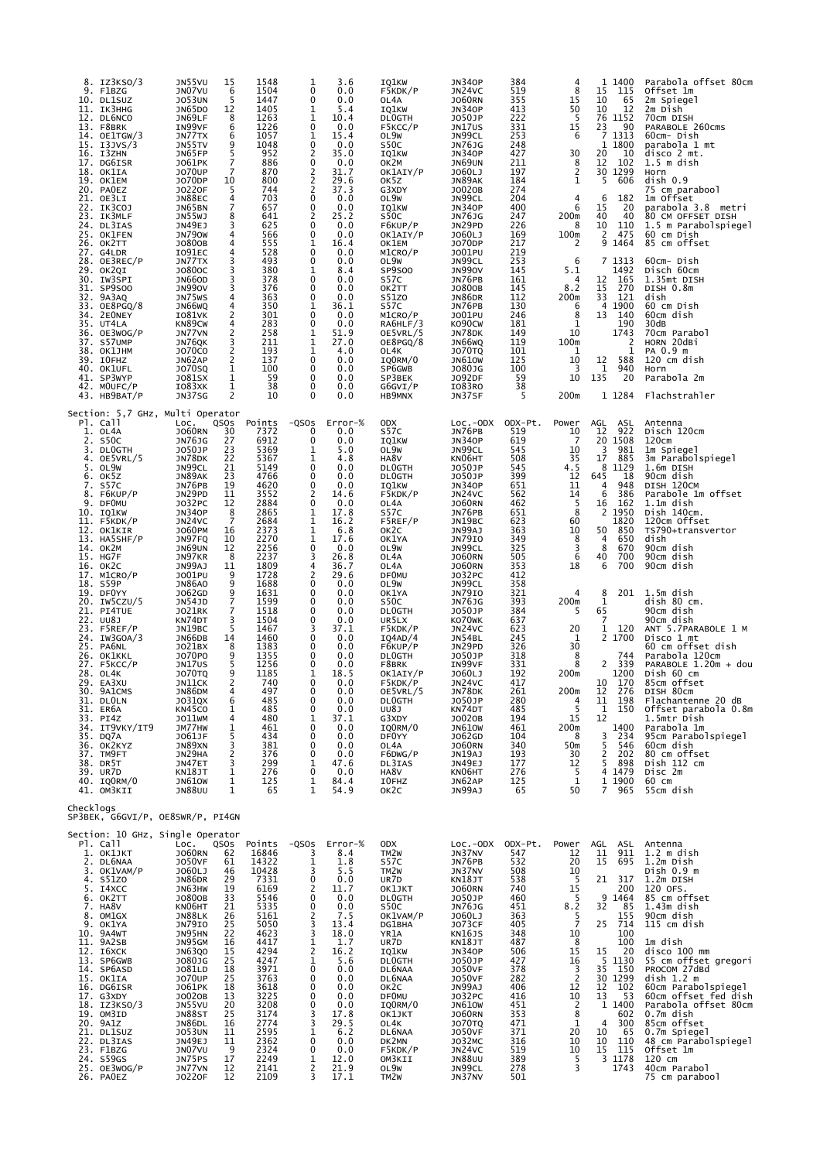| 8.                    | IZ3KSO/3<br>9. F1BZG<br>10. DL1SUZ<br>11. ІКЗННС<br>12. DL6NCO<br>13. F8BRK<br>14. OE1TGW/3<br>15. I3JVS/3<br>16. I3ZHN<br>17. DG6ISR<br>18. OK1IA<br>19. ОК1ЕМ<br>20. PAOEZ<br>21. OE3LI<br>22. IK3COJ<br>23. IK3MLF<br>24. DL3IAS<br>25. OK1FEN<br>26. ОК2ТТ<br>27. G4LDR<br>28. OE3REC/P<br>29. ОК2QI<br>30. IW3SPI<br>31. SP9SOO<br>32. 9A3AQ<br>33. OE8PGQ/8<br>34. 2EONEY<br>35. UT4LA<br>36. OE3WOG/P<br>37. S57UMP<br>38. ОК1ЈНМ<br>39. IOFHZ<br>40. OK1UFL<br>41. SP3WYP<br>42. MOUFC/P<br>43. HB9BAT/P                                                                                                       | JN55VU<br>JN07VU<br><b>JO53UN</b><br>JN65DO<br>JN69LF<br>IN99VF<br>JN77TX<br>JN55TV<br>JN65FP<br>J061PK<br><b>JO70UP</b><br>J070DP<br><b>JO220F</b><br>JN88EC<br>JN65BN<br>JN55WJ<br>JN49EJ<br><b>JN790W</b><br>J0800B<br>I091EC<br>JN77TX<br>J0800C<br><b>JN66OD</b><br><b>JN990V</b><br>JN75WS<br>JN66WQ<br>I081VK<br>KN89CW<br>JN77VN<br>JN76QK<br><b>JO70CO</b><br>JN62AP<br><b>JO70SQ</b><br>J081SX<br>I083XK<br>JN37SG                                                                  | 15<br>6<br>5<br>12<br>8<br>6<br>6<br>9<br>5<br>7<br>$\overline{7}$<br>10<br>5<br>4<br>$\overline{7}$<br>8<br>3<br>4<br>$\overline{4}$<br>4<br>3<br>3<br>3<br>3<br>4<br>$\overline{4}$<br>$\overline{c}$<br>4<br>$\begin{array}{c} 2 \\ 3 \\ 2 \end{array}$<br>2<br>1<br>1<br>$\mathbf{1}$<br>$\overline{2}$ | 1548<br>1504<br>1447<br>1405<br>1263<br>1226<br>1057<br>1048<br>952<br>886<br>870<br>800<br>744<br>703<br>657<br>641<br>625<br>566<br>555<br>528<br>493<br>380<br>378<br>376<br>363<br>350<br>301<br>283<br>258<br>211<br>193<br>137<br>100<br>59<br>38<br>10                                                                    | 1<br>0<br>0<br>1<br>1<br>0<br>1<br>0<br>2<br>0<br>2<br>2<br>2<br>0<br>0<br>2<br>0<br>0<br>1<br>0<br>0<br>1<br>0<br>0<br>0<br>1<br>0<br>0<br>1<br>$\mathbf 1$<br>1<br>0<br>0<br>0<br>0<br>0                                      | 3.6<br>0.0<br>0.0<br>5.4<br>10.4<br>0.0<br>15.4<br>0.0<br>35.0<br>0.0<br>31.7<br>29.6<br>37.3<br>0.0<br>0.0<br>25.2<br>0.0<br>0.0<br>16.4<br>0.0<br>0.0<br>8.4<br>0.0<br>0.0<br>0.0<br>36.1<br>0.0<br>0.0<br>51.9<br>27.0<br>4.0<br>0.0<br>0.0<br>0.0<br>0.0<br>0.0                                                   | IQ1KW<br>F5KDK/P<br>OL4A<br>IQ1KW<br>DL0GTH<br>F5KCC/P<br>OL9W<br>S50C<br>IQ1KW<br>OK2M<br>OK1AIY/P<br>OK5Z<br>G3XDY<br>OL9W<br>IQ1KW<br>S50C<br>F6KUP/P<br>OK1AIY/P<br>OK1EM<br>M1CRO/P<br>OL9W<br>SP9500<br>S57C<br>OK2TT<br>S51Z0<br>S57C<br>M1CRO/P<br>RA6HLF/3<br>OE5VRL/5<br>OE8PGQ/8<br>OL4K<br>IQ0RM/0<br>SP6GWB<br>SP3BEK<br>G6GVI/P<br>HB9MNX                                                                                                                      | <b>JN340P</b><br>JN24VC<br><b>JO60RN</b><br><b>JN340P</b><br>J050JP<br>JN17US<br>JN99CL<br><b>JN76JG</b><br><b>JN340P</b><br>JN69UN<br>J060LJ<br>JN89AK<br>J0020B<br>JN99CL<br><b>JN340P</b><br><b>JN76JG</b><br>JN29PD<br>J060LJ<br><b>JO70DP</b><br>J001PU<br>JN99CL<br><b>JN990V</b><br>JN76PB<br>J0800B<br>JN86DR<br>JN76PB<br>J001PU<br>K090CW<br>JN78DK<br>JN66WQ<br><b>JO70TQ</b><br><b>JN610W</b><br>J080JG<br>J092DF<br>I083R0<br>JN37SF                                                          | 384<br>519<br>355<br>413<br>222<br>331<br>253<br>248<br>427<br>211<br>197<br>184<br>274<br>204<br>400<br>247<br>226<br>169<br>217<br>219<br>253<br>145<br>161<br>145<br>112<br>130<br>246<br>181<br>149<br>119<br>101<br>125<br>100<br>59<br>38<br>5                                                  | 4<br>8<br>15<br>50<br>5<br>15<br>6<br>30<br>8<br>$\overline{2}$<br>$\mathbf{1}$<br>4<br>6<br>200m<br>8<br>100m<br>2<br>6<br>5.1<br>4<br>8.2<br>200m<br>6<br>8<br>1<br>10<br>100m<br>1<br>10<br>3<br>10<br>200m                     | 1400<br>1<br>15<br>115<br>10<br>65<br>10<br>12<br>76 1152<br>23<br>90<br>7<br>1313<br>1 1800<br>20<br>10<br>12<br>102<br>30 1299<br>5<br>606<br>6<br>182<br>15<br>20<br>40<br>40<br>10<br>110<br>$\overline{2}$<br>475<br>9 1464<br>7 1313<br>1492<br>12<br>165<br>15<br>270<br>33<br>121<br>1900<br>$\overline{4}$<br>140<br>13<br>190<br>1743<br>2<br>1<br>588<br>12<br>1<br>940<br>135<br>20<br>1 1284                                           | Parabola offset 80cm<br>Offset 1m<br>2m Spiegel<br>2m Dish<br>70cm DISH<br>PARABOLE 260cms<br>60cm- Dish<br>parabola 1 mt<br>disco 2 mt.<br>$1.5$ m dish<br>Horn<br>dish 0.9<br>75 cm parabool<br>1m Offset<br>parabola 3.8 metri<br>80 CM OFFSET DISH<br>1.5 m Parabolspiegel<br>60 cm Dish<br>85 cm offset<br>60cm- Dish<br>Disch 60cm<br>1.35mt DISH<br>DISH 0.8m<br>dish<br>60 cm Dish<br>60cm dish<br>30dB<br>70cm Parabol<br>HORN 20dBi<br>PA 0.9 m<br>120 cm dish<br>Horn<br>Parabola 2m<br>Flachstrahler                                                                                                                     |
|-----------------------|------------------------------------------------------------------------------------------------------------------------------------------------------------------------------------------------------------------------------------------------------------------------------------------------------------------------------------------------------------------------------------------------------------------------------------------------------------------------------------------------------------------------------------------------------------------------------------------------------------------------|-----------------------------------------------------------------------------------------------------------------------------------------------------------------------------------------------------------------------------------------------------------------------------------------------------------------------------------------------------------------------------------------------------------------------------------------------------------------------------------------------|-------------------------------------------------------------------------------------------------------------------------------------------------------------------------------------------------------------------------------------------------------------------------------------------------------------|----------------------------------------------------------------------------------------------------------------------------------------------------------------------------------------------------------------------------------------------------------------------------------------------------------------------------------|---------------------------------------------------------------------------------------------------------------------------------------------------------------------------------------------------------------------------------|-----------------------------------------------------------------------------------------------------------------------------------------------------------------------------------------------------------------------------------------------------------------------------------------------------------------------|------------------------------------------------------------------------------------------------------------------------------------------------------------------------------------------------------------------------------------------------------------------------------------------------------------------------------------------------------------------------------------------------------------------------------------------------------------------------------|------------------------------------------------------------------------------------------------------------------------------------------------------------------------------------------------------------------------------------------------------------------------------------------------------------------------------------------------------------------------------------------------------------------------------------------------------------------------------------------------------------|-------------------------------------------------------------------------------------------------------------------------------------------------------------------------------------------------------------------------------------------------------------------------------------------------------|------------------------------------------------------------------------------------------------------------------------------------------------------------------------------------------------------------------------------------|-----------------------------------------------------------------------------------------------------------------------------------------------------------------------------------------------------------------------------------------------------------------------------------------------------------------------------------------------------------------------------------------------------------------------------------------------------|--------------------------------------------------------------------------------------------------------------------------------------------------------------------------------------------------------------------------------------------------------------------------------------------------------------------------------------------------------------------------------------------------------------------------------------------------------------------------------------------------------------------------------------------------------------------------------------------------------------------------------------|
| 2.<br>3.<br>7.        | Section: 5,7 GHz, Multi Operator<br>Pl. Call<br>$1.$ OL $4A$<br>S50C<br><b>DLOGTH</b><br>4. OE5VRL/5<br>5. OL9W<br>6. OK5Z<br><b>S57C</b><br>8. F6KUP/P<br>9. DFOMU<br>10. IQ1KW<br>11. F5KDK/P<br>12. OK1KIR<br>13. HA5SHF/P<br>14. ОК2М<br>15. HG7F<br>16. ОК2С<br>17. M1CRO/P<br>18. S59P<br>19. DFOYY<br>20. IW5CZU/5<br>21. PI4TUE<br>22. UU8J<br>23. F5REF/P<br>24. IW3GOA/3<br>25. PA6NL<br>26. OK1KKL<br>27. F5KCC/P<br>28. OL4K<br>29. EA3XU<br>30. 9A1CMS<br>31. DLOLN<br>31. ER6A<br>33. PI4Z<br>34. IT9VKY/IT9<br>35. DQ7A<br>36. OK2KYZ<br>37. TM9FT<br>38. DR5T<br>39. UR7D<br>40. IQORM/0<br>41. OM3KII | LOC.<br><b>JO60RN</b><br><b>JN76JG</b><br>J050JP<br>JN78DK<br>JN99CL<br>JN89AK<br>JN76PB<br>JN29PD<br>J032PC<br><b>JN340P</b><br>JN24VC<br>J060PM<br>JN97FQ<br>JN69UN<br>JN97KR<br>JN99AJ<br>J001PU<br><b>JN86A0</b><br>J062GD<br><b>JN54JD</b><br><b>JO21RK</b><br>KN74DT<br>JN19BC<br>JN66DB<br>J021BX<br>J070P0<br>JN17US<br><b>JO70TQ</b><br>JN11CK<br>JN86DM<br>J031QX<br>KN45CO<br>J011WM<br>JM77HW<br>J061JF<br>JN89XN<br>JN29HA<br>JN47ET<br>KN18JT<br><b>JN610W</b><br><b>JN88UU</b> | QSOS<br>30<br>27<br>23<br>22<br>21<br>23<br>19<br>11<br>12<br>8<br>7<br>16<br>10<br>12<br>8<br>11<br>9<br>9<br>9<br>7<br>$\overline{7}$<br>3<br>5<br>14<br>8<br>9<br>5<br>9<br>2<br>4<br>6<br>1<br>4<br>1<br>5<br>3<br>2<br>3<br>$\mathbf 1$<br>1<br>$\mathbf{1}$                                           | Points<br>7372<br>6912<br>5369<br>5367<br>5149<br>4766<br>4620<br>3552<br>2884<br>2865<br>2684<br>2373<br>2270<br>2256<br>2237<br>1809<br>1728<br>1688<br>1631<br>1599<br>1518<br>1504<br>1467<br>1460<br>1383<br>1355<br>1256<br>1185<br>740<br>497<br>485<br>485<br>480<br>461<br>434<br>381<br>376<br>299<br>276<br>125<br>65 | $-QSOS$<br>0<br>0<br>1<br>1<br>0<br>0<br>0<br>2<br>0<br>1<br>1<br>1<br>1<br>0<br>3<br>4<br>2<br>0<br>0<br>0<br>0<br>0<br>3<br>0<br>0<br>0<br>0<br>1<br>0<br>0<br>0<br>0<br>1<br>0<br>0<br>0<br>0<br>1<br>0<br>1<br>$\mathbf{1}$ | $Error-%$<br>0.0<br>0.0<br>5.0<br>4.8<br>0.0<br>0.0<br>0.0<br>14.6<br>0.0<br>17.8<br>16.2<br>6.8<br>17.6<br>0.0<br>26.8<br>36.7<br>29.6<br>0.0<br>0.0<br>0.0<br>0.0<br>0.0<br>37.1<br>0.0<br>0.0<br>0.0<br>0.0<br>18.5<br>0.0<br>0.0<br>0.0<br>0.0<br>37.1<br>0.0<br>0.0<br>0.0<br>0.0<br>47.6<br>0.0<br>84.4<br>54.9 | <b>ODX</b><br>S57C<br>IQ1KW<br>OL9W<br>HA8V<br><b>DLOGTH</b><br><b>DLOGTH</b><br>IQ1KW<br>F5KDK/P<br>OL4A<br>S57C<br>F5REF/P<br>OK <sub>2</sub> C<br>OK1YA<br>OL9W<br>OL4A<br>OL4A<br><b>DF0MU</b><br>OL9W<br>OK1YA<br>S50C<br><b>DLOGTH</b><br>UR5LX<br>F5KDK/P<br>IQ4AD/4<br>F6KUP/P<br><b>DLOGTH</b><br>F8BRK<br>OK1AIY/P<br>F5KDK/P<br>OE5VRL/5<br><b>DLOGTH</b><br>UU8J<br>G3XDY<br>IQ0RM/0<br>DF0YY<br>OL4A<br>F6DWG/P<br>DL3IAS<br>HA8V<br>I0FHZ<br>OK <sub>2</sub> C | $Loc.-ODX$<br>JN76PB<br><b>JN340P</b><br>JN99CL<br>KN06HT<br>J050JP<br>J050JP<br><b>JN340P</b><br>JN24VC<br><b>JO60RN</b><br>JN76PB<br>JN19BC<br>JN99AJ<br><b>JN79IO</b><br>JN99CL<br><b>JO60RN</b><br><b>JO60RN</b><br>J032PC<br>JN99CL<br><b>JN79IO</b><br><b>JN76JG</b><br>J050JP<br>KO70WK<br>JN24VC<br>JN54BL<br>JN29PD<br>J050JP<br>IN99VF<br>J060LJ<br>JN24VC<br>JN78DK<br>J050JP<br>KN74DT<br>J0020B<br><b>JN610W</b><br>J062GD<br><b>JO60RN</b><br>JN19AJ<br>JN49EJ<br>KN06HT<br>JN62AP<br>JN99AJ | ODX-Pt.<br>519<br>619<br>545<br>508<br>545<br>399<br>651<br>562<br>462<br>651<br>623<br>363<br>349<br>325<br>505<br>353<br>412<br>358<br>321<br>393<br>384<br>637<br>623<br>245<br>326<br>318<br>331<br>192<br>417<br>261<br>280<br>485<br>194<br>461<br>104<br>340<br>193<br>177<br>276<br>125<br>65 | Power<br>10<br>7<br>10<br>35<br>4.5<br>12<br>11<br>14<br>5<br>8<br>60<br>10<br>8<br>3<br>6<br>18<br>4<br>200m<br>5<br>$^{20}_{1}$<br>30<br>8<br>8<br>200m<br>200m<br>4<br>5<br>15<br>200m<br>8<br>50m<br>30<br>12<br>-5<br>1<br>50 | AGL<br>ASL<br>922<br>12<br>20 1508<br>3<br>981<br>885<br>17<br>1129<br>8<br>645<br>18<br>4<br>948<br>6<br>386<br>162<br>16<br>2 1950<br>1820<br>50<br>850<br>650<br>4<br>8<br>670<br>40<br>700<br>6<br>700<br>8<br>201<br>1<br>65<br>1<br>120<br>2 1700<br>744<br>2<br>339<br>1200<br>10<br>170<br>12<br>276<br>11<br>198<br>150<br>1<br>12<br>1400<br>234<br>3<br>5<br>546<br>2<br>202<br>898<br>5<br>1479<br>4<br>1 1900<br>$\overline{7}$<br>965 | Antenna<br>Disch 120cm<br>120cm<br>1m Spiegel<br>3m Parabolspiegel<br>1.6m DISH<br>90cm dish<br>DISH 120CM<br>Parabole 1m offset<br>1.1m dish<br>Dish 140cm.<br>120cm Offset<br>TS790+transvertor<br>dish<br>90cm dish<br>90cm dish<br>90cm dish<br>1.5m dish<br>dish 80 cm.<br>90cm dish<br>90cm dish<br>ANT 5.7PARABOLE 1 M<br>Disco 1 mt<br>60 cm offset dish<br>Parabola 120cm<br>PARABOLE 1.20m + dou<br>Dish 60 cm<br>85cm offset<br>DISH 80cm<br>Flachantenne 20 dB<br>Offset parabola 0.8m<br>1.5mtr_Dish<br>Parabola 1m<br>95cm Parabolspiegel<br>60cm dish<br>80 cm offset<br>Dish 112 cm<br>Disc 2m<br>60 cm<br>55cm dish |
| Checklogs<br>3.<br>9. | SP3BEK, G6GVI/P, OE8SWR/P, PI4GN<br>Section: 10 GHz, Single Operator<br>Pl. Call<br>1. OK1JKT<br>2. DL6NAA<br>OK1VAM/P<br>4. S51ZO<br>5. I4XCC<br>6. OK2TT<br>7. HA8V<br>8. OM1GX<br>OK1YA<br>10. 9A4WT<br>11. 9A2SB<br>12. I6XCK<br>13. SP6GWB<br>14. SP6ASD<br>15. OK1IA<br>16. DG6ISR<br>17. G3XDY<br>18. IZ3KSO/3<br>19. OM3ID<br>20. 9A1Z<br>21. DL1SUZ<br>22. DL3IAS<br>23. F1BZG<br>24. s59GS<br>25. OE3WOG/P<br>26. PAOEZ                                                                                                                                                                                      | LOC.<br><b>JO60RN</b><br><b>JO50VF</b><br>J060LJ<br>JN86DR<br>JN63HW<br>J0800B<br>KN06HT<br>JN88LK<br><b>JN79IO</b><br>JN95HN<br>JN95GM<br><b>JN63QO</b><br>J080JG<br>J081LD<br><b>JO70UP</b><br>J061PK<br>J0020B<br>JN55VU<br>JN88ST<br><b>JN86DL</b><br><b>JO53UN</b><br>JN49EJ<br>JN07VU<br>JN75PS<br>JN77VN<br>J0220F                                                                                                                                                                     | QSOS<br>62<br>61<br>46<br>29<br>19<br>33<br>21<br>26<br>25<br>22<br>16<br>15<br>25<br>18<br>25<br>18<br>13<br>20<br>25<br>16<br>11<br>11<br>- 9<br>17<br>12<br>12                                                                                                                                           | Points<br>16846<br>14322<br>10428<br>7331<br>6169<br>5546<br>5335<br>5161<br>5050<br>4623<br>4417<br>4294<br>4247<br>3971<br>3763<br>3618<br>3225<br>3208<br>3174<br>2774<br>2595<br>2362<br>2324<br>2249<br>2141<br>2109                                                                                                        | $-QSOS$<br>3<br>1<br>3<br>0<br>2<br>0<br>$\mathbf 0$<br>$\frac{2}{3}$<br>$\overline{3}$<br>1<br>$\overline{2}$<br>1<br>0<br>0<br>0<br>0<br>0<br>3<br>3<br>1<br>0<br>0<br>1<br>2<br>3                                            | $Error-%$<br>8.4<br>1.8<br>5.5<br>0.0<br>11.7<br>0.0<br>0.0<br>7.5<br>13.4<br>18.0<br>1.7<br>16.2<br>5.6<br>0.0<br>0.0<br>0.0<br>0.0<br>0.0<br>17.8<br>29.5<br>6.2<br>0.0<br>0.0<br>12.0<br>21.9<br>17.1                                                                                                              | <b>ODX</b><br>TM <sub>2</sub> w<br>S57C<br>TM2W<br>UR7D<br>OK1JKT<br><b>DLOGTH</b><br>S <sub>5</sub> OC<br>OK1VAM/P<br>DG1BHA<br>YR1A<br>UR7D<br>IQ1KW<br><b>DLOGTH</b><br>DL6NAA<br>DL6NAA<br>OK <sub>2</sub> C<br><b>DF0MU</b><br>IQ0RM/0<br>OK1JKT<br>OL4K<br>DL6NAA<br>DK2MN<br>F5KDK/P<br>OM3KII<br>OL9W<br>TM <sub>2</sub> w                                                                                                                                           | $Loc.-ODX$<br>JN37NV<br>JN76PB<br>JN37NV<br>KN18JT<br><b>JO60RN</b><br>J050JP<br>JN76JG<br>J060LJ<br><b>JO73CF</b><br><b>KN16JS</b><br>KN18JT<br><b>JN340P</b><br>J050JP<br><b>JO50VF</b><br><b>JO50VF</b><br>JN99AJ<br>J032PC<br><b>JN610W</b><br><b>JO60RN</b><br><b>JO70TQ</b><br><b>JO50VF</b><br>J032MC<br>JN24VC<br><b>JN88UU</b><br>JN99CL<br>JN37NV                                                                                                                                                | ODX-Pt.<br>547<br>532<br>508<br>538<br>740<br>460<br>451<br>363<br>405<br>348<br>487<br>506<br>427<br>378<br>282<br>406<br>416<br>451<br>353<br>471<br>371<br>316<br>519<br>389<br>278<br>501                                                                                                         | Power<br>12<br>20<br>10<br>5<br>15<br>5<br>8.2<br>5<br>$\overline{7}$<br>10<br>8<br>15<br>16<br>3<br>$\overline{2}$<br>12<br>10<br>$\overline{2}$<br>8<br>1<br>20<br>10<br>10<br>5<br>3                                            | AGL<br>ASL<br>11<br>911<br>15<br>695<br>21<br>317<br>200<br>9 1464<br>32<br>85<br>155<br>714<br>25<br>100<br>100<br>15<br>20<br>5 1130<br>35<br>150<br>$\frac{30}{12}$ $\frac{1299}{102}$<br>13<br>53<br>1 1400<br>602<br>300<br>4<br>10<br>65<br>10<br>110<br>15<br>115<br>3 1178<br>1743                                                                                                                                                          | Antenna<br>$1.2 \text{ m}$ dish<br>1.2m Dish<br>Dish 0.9 m<br>1.2m DISH<br>120 OFS.<br>85 cm offset<br>$1.43m$ dish<br>90cm dish<br>115 cm dish<br>1m dish<br>disco 100 mm<br>55 cm offset gregori<br>PROCOM 27dBd<br>disk 1.2 m<br>60cm Parabolspiegel<br>60cm offset fed dish<br>Parabola offset 80cm<br>0.7m dish<br>85cm offset<br>0.7m Spiegel<br>48 cm Parabolspiegel<br>Offset 1m<br>120 cm<br>40cm Parabol<br>75 cm parabool                                                                                                                                                                                                 |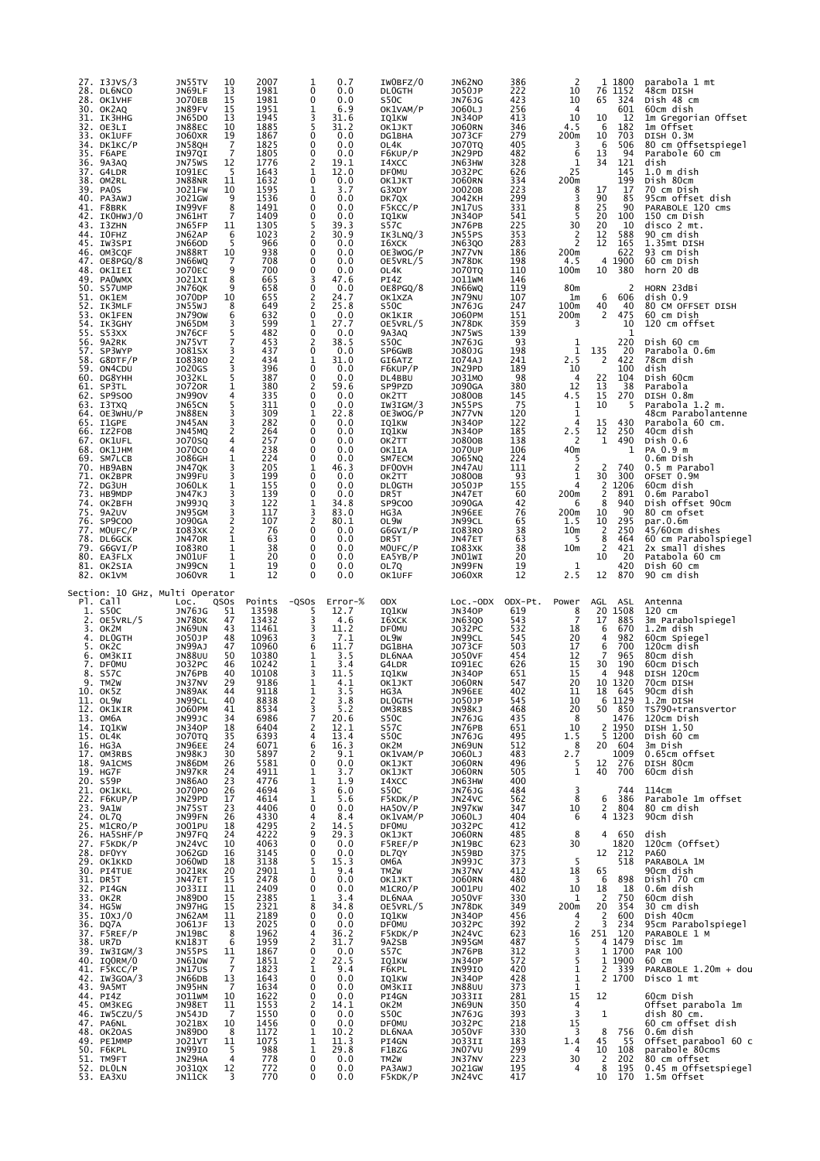|                | 27. I3JVS/3<br>28. DL6NCO<br>28. OK1VHF<br>30. OK2AQ<br>31. ІКЗННС<br>32. OE3LI<br>33. OK1UFF<br>34. DK1КС/Р<br>35. F6APE<br>36. 9A3AQ<br>37. G4LDR<br>38. OM2RL<br>39. PAOS<br>40. PA3AWJ<br>41. F8BRK<br>42. IKOHWJ/0<br>43. I3ZHN<br>44. IOFHZ<br>45. IW3SPI<br>46. OM3CQF<br>47. OE8PGQ/8<br>48. OK1IEI<br>49. PAOWMX<br>50. S57UMP<br>51. OK1EM<br>52. IK3MLF<br>53. OK1FEN<br>54. IK3GHY<br>55. S53XX<br>56. 9A2RK<br>57. SP3WYP<br>58. G8DTF/P<br>59. ON4CDU<br>60. DG8YHH<br>61. SP3TL<br>62. SP9S00<br>63. I3TXQ<br>$64.$ OE3WHU/P<br>65. I1GPE<br>66. IZ2FOB<br>67. OK1UFL<br>68. OK1JHM<br>69. SM7LCB<br>70. HB9ABN<br>71. OK2BPR<br>72. DG3UH<br>73. HB9MDP<br>74. OK2BFH<br>75. 9A2UV<br>76. SP9COO<br>77. MOUFC/P<br>78. DL6GCK<br>79. G6GVI/P<br>80. EA3FLX<br>81. OK2SIA<br>82. OK1VM | JN55TV<br>JN69LF<br><b>JO70EB</b><br>JN89FV<br>JN65DO<br>JN88EC<br><b>JO60XR</b><br>JN58QH<br>IN97QI<br>JN75WS<br>I091EC<br><b>JN88NR</b><br><b>JO21FW</b><br>J021GW<br>IN99VF<br>JN61HT<br>JN65FP<br>JN62AP<br><b>JN66OD</b><br>JN88RT<br>JN66WQ<br><b>JO70EC</b><br>J021XI<br>JN76QK<br>J070DP<br>JN55WJ<br><b>JN790W</b><br>JN65DM<br>JN76CF<br>JN75VT<br>J081SX<br>IO83RO<br><b>JO20GS</b><br><b>JO32KL</b><br><b>JO720R</b><br><b>JN990V</b><br>JN65CN<br>JN88EN<br>JN45AN<br>JN45MQ<br><b>JO70SQ</b><br><b>JO70CO</b><br>J086GH<br>JN47QK<br>JN99FU<br><b>JO60LK</b><br>JN47KJ<br><b>JN99JQ</b><br>JN95GM<br><b>JO90GA</b><br>I083XK<br>JN470R<br>I083R0<br>JN01UF<br>JN99CN<br><b>JO60VR</b> | 10<br>13<br>15<br>15<br>13<br>10<br>19<br>$\overline{7}$<br>7<br>12<br>5<br>11<br>10<br>9<br>8<br>7<br>11<br>6<br>5<br>10<br>7<br>9<br>8<br>9<br>10<br>8<br>6<br>3<br>5<br>$\overline{7}$<br>3<br>2<br>3<br>5<br>1<br>4<br>5<br>3<br>3<br>2<br>4<br>4<br>1<br>3<br>3<br>1<br>3<br>3<br>3<br>2<br>2<br>1<br>$\mathbf{1}$<br>$\mathbf 1$<br>$\mathbf 1$<br>$\mathbf{1}$                                                                                | 2007<br>1981<br>1981<br>1951<br>1945<br>1885<br>1867<br>1825<br>1805<br>1776<br>1643<br>1632<br>1595<br>1536<br>1491<br>1409<br>1305<br>1023<br>966<br>938<br>708<br>700<br>665<br>658<br>655<br>649<br>632<br>599<br>482<br>453<br>437<br>434<br>396<br>387<br>380<br>335<br>311<br>309<br>282<br>264<br>257<br>238<br>224<br>205<br>199<br>155<br>139<br>122<br>117<br>107<br>76<br>63<br>38<br>20<br>19<br>12                           | 0.7<br>1<br>$\mathbf 0$<br>0.0<br>$\mathbf 0$<br>0.0<br>6.9<br>1<br>3<br>31.6<br>5<br>31.2<br>0<br>0.0<br>0<br>0.0<br>0<br>0.0<br>$\overline{2}$<br>19.1<br>$\mathbf 1$<br>12.0<br>$\mathbf 0$<br>0.0<br>1<br>3.7<br>$\mathbf 0$<br>0.0<br>0<br>0.0<br>0<br>0.0<br>$\frac{5}{2}$<br>39.3<br>30.9<br>0<br>0.0<br>0<br>0.0<br>0<br>0.0<br>0<br>0.0<br>$_0^3$<br>47.6<br>0.0<br>2<br>24.7<br>$\overline{a}$<br>25.8<br>0.0<br>1<br>27.7<br>$\mathbf 0$<br>0.0<br>$\overline{c}$<br>38.5<br>0<br>0.0<br>1<br>31.0<br>0<br>0.0<br>0<br>0.0<br>2<br>59.6<br>$\mathbf 0$<br>0.0<br>$\mathbf 0$<br>0.0<br>1<br>22.8<br>0<br>0.0<br>0<br>0.0<br>0<br>0.0<br>$\mathbf 0$<br>0.0<br>0<br>0.0<br>1<br>46.3<br>0<br>0.0<br>0<br>0.0<br>$\mathbf 0$<br>0.0<br>1<br>34.8<br>3<br>83.0<br>$\overline{2}$<br>80.1<br>0<br>0.0<br>0<br>0.0<br>0<br>0.0<br>$\mathbf 0$<br>0.0<br>$\mathbf 0$<br>0.0<br>$\mathbf 0$<br>0.0                                                                                                                                                                       | IWOBFZ/0<br><b>DLOGTH</b><br>S50C<br>OK1VAM/P<br>IQ1KW<br>OK1JKT<br>DG1BHA<br>OL4K<br>F6KUP/P<br>I4XCC<br><b>DFOMU</b><br>OK1JKT<br>G3XDY<br>DK7QX<br>F5KCC/P<br>IQ1KW<br>S57C<br>IK3LNQ/3<br>16XCK<br>OE3WOG/P<br>OE5VRL/5<br>OL4K<br>PI4Z<br>OE8PGQ/8<br>OK1XZA<br>S50C<br>OK1KIR<br>OE5VRL/5<br>9A3AQ<br>S50C<br>SP6GWB<br>GI6ATZ<br>F6KUP/P<br>DL4BBU<br>SP9PZD<br>OK2TT<br>IW3IGM/3<br>OE3WOG/P<br>IQ1KW<br>IQ1KW<br>OK2TT<br>OK1IA<br>SM7ECM<br>DF00VH<br>OK2TT<br><b>DLOGTH</b><br>DR <sub>5</sub> T<br>SP9C00<br>HG3A<br>OL <sub>9W</sub><br>G6GVI/P<br>DR <sub>5</sub> T<br>MOUFC/P<br>EA5YB/P<br>OL7Q<br>OK1UFF | JN62NO<br>J050JP<br>JN76JG<br>J060LJ<br><b>JN340P</b><br><b>JO60RN</b><br><b>JO73CF</b><br><b>JO70TQ</b><br>JN29PD<br>JN63HW<br>J032PC<br><b>JO60RN</b><br>J0020B<br><b>JO42KH</b><br>JN17US<br><b>JN340P</b><br>JN76PB<br>JN55PS<br><b>JN63QO</b><br>JN77VN<br>JN78DK<br><b>JO70TQ</b><br>JO11WM<br>JN66WQ<br>JN79NU<br><b>JN76JG</b><br>J060PM<br>JN78DK<br>JN75WS<br><b>JN76JG</b><br>J080JG<br>IO74AJ<br>JN29PD<br>J031MO<br><b>JO90GA</b><br>J0800B<br>JN55PS<br>JN77VN<br><b>JN340P</b><br><b>JN340P</b><br>J0800B<br><b>JO70UP</b><br>J065NQ<br>JN47AU<br>J0800B<br>J050JP<br>JN47ET<br><b>JO90GA</b><br>JN96EE<br>JN99CL<br>I083R0<br>JN47ET<br>I083XK<br>JNO1WI<br>JN99FN<br><b>JO60XR</b> | 386<br>222<br>423<br>256<br>413<br>346<br>279<br>405<br>482<br>328<br>626<br>334<br>223<br>299<br>331<br>541<br>225<br>353<br>283<br>186<br>198<br>110<br>146<br>119<br>107<br>247<br>151<br>359<br>139<br>93<br>198<br>241<br>189<br>98<br>380<br>145<br>75<br>120<br>122<br>185<br>138<br>106<br>224<br>111<br>93<br>155<br>60<br>42<br>76<br>65<br>38<br>63<br>38<br>20<br>19<br>12                   | 2<br>10<br>10<br>4<br>10<br>4.5<br>200m<br>3<br>6<br>1<br>25<br>200m<br>8<br>3<br>$\bar{8}$<br>5<br>30<br>$\frac{2}{2}$<br>200m<br>4.5<br>100m<br>80m<br>1m<br>100m<br>200m<br>3<br>1<br>$\mathbf{1}$<br>2.5<br>10<br>4<br>12<br>4.5<br>1<br>1<br>4<br>2.5<br>2<br>40m<br>5<br>2<br>1<br>4<br>200m<br>6<br>200m<br>1.5<br>10 <sub>m</sub><br>-5<br>10 <sub>m</sub><br>1<br>2.5                                                                                                                          | 1800<br>1<br>76 1152<br>324<br>65<br>601<br>10<br>12<br>6<br>182<br>10<br>703<br>6<br>506<br>13<br>94<br>121<br>34<br>145<br>199<br>17<br>17<br>90<br>85<br>25<br>90<br>20<br>100<br>20<br>10<br>12<br>588<br>12<br>165<br>622<br>4 1900<br>10<br>380<br>2<br>6<br>606<br>40<br>40<br>2<br>475<br>10<br>1<br>220<br>135<br>20<br>2<br>422<br>100<br>22<br>104<br>$\begin{array}{c} 13 \\ 15 \end{array}$<br>38<br>270<br>10<br>5<br>15<br>430<br>12<br>250<br>1<br>490<br>1<br>2<br>740<br>30<br>300<br>2<br>1206<br>$\overline{2}$<br>891<br>8<br>940<br>10<br>90<br>10<br>295<br>2<br>250<br>8<br>464<br>2<br>421<br>10<br>20<br>420<br>12<br>870                                                               | parabola 1 mt<br>48cm DISH<br>Dish 48 cm<br>60cm dish<br>1m Gregorian Offset<br>1m Offset<br>DISH 0.3M<br>80 cm Offsetspiegel<br>Parabole 60 cm<br>dish<br>$1.0$ m dish<br>Dish 80cm<br>70 cm Dish<br>95cm offset dish<br>PARABOLE 120 Cms<br>150 cm Dish<br>disco 2 mt.<br>90 cm dish<br>1.35mt DISH<br>93 cm Dish<br>60 cm Dish<br>horn 20 dB<br>HORN 23dBi<br>dish 0.9<br>80 CM OFFSET DISH<br>60 cm Dish<br>120 cm offset<br>Dish 60 cm<br>Parabola 0.6m<br>78cm dish<br>dish<br>Dish 60cm<br>Parabola<br>DISH 0.8m<br>Parabola 1.2 m.<br>48cm Parabolantenne<br>Parabola 60 cm.<br>40cm dish<br>Dish 0.6<br>PA 0.9 m<br>0.6m Dish<br>0.5 m Parabol<br>OFSET 0.9M<br>60cm dish<br>0.6m Parabol<br>Dish offset 90cm<br>80 cm ofset<br>par.0.6m<br>45/60cm dishes<br>60 cm Parabolspiegel<br>2x small dishes<br>Patabola 60 cm<br>Dish 60 cm<br>90 cm dish |
|----------------|-------------------------------------------------------------------------------------------------------------------------------------------------------------------------------------------------------------------------------------------------------------------------------------------------------------------------------------------------------------------------------------------------------------------------------------------------------------------------------------------------------------------------------------------------------------------------------------------------------------------------------------------------------------------------------------------------------------------------------------------------------------------------------------------------------|-----------------------------------------------------------------------------------------------------------------------------------------------------------------------------------------------------------------------------------------------------------------------------------------------------------------------------------------------------------------------------------------------------------------------------------------------------------------------------------------------------------------------------------------------------------------------------------------------------------------------------------------------------------------------------------------------------|------------------------------------------------------------------------------------------------------------------------------------------------------------------------------------------------------------------------------------------------------------------------------------------------------------------------------------------------------------------------------------------------------------------------------------------------------|--------------------------------------------------------------------------------------------------------------------------------------------------------------------------------------------------------------------------------------------------------------------------------------------------------------------------------------------------------------------------------------------------------------------------------------------|------------------------------------------------------------------------------------------------------------------------------------------------------------------------------------------------------------------------------------------------------------------------------------------------------------------------------------------------------------------------------------------------------------------------------------------------------------------------------------------------------------------------------------------------------------------------------------------------------------------------------------------------------------------------------------------------------------------------------------------------------------------------------------------------------------------------------------------------------------------------------------------------------------------------------------------------------------------------------------------------------------------------------------------------------------------------------|---------------------------------------------------------------------------------------------------------------------------------------------------------------------------------------------------------------------------------------------------------------------------------------------------------------------------------------------------------------------------------------------------------------------------------------------------------------------------------------------------------------------------------------------------------------------------------------------------------------------------|-----------------------------------------------------------------------------------------------------------------------------------------------------------------------------------------------------------------------------------------------------------------------------------------------------------------------------------------------------------------------------------------------------------------------------------------------------------------------------------------------------------------------------------------------------------------------------------------------------------------------------------------------------------------------------------------------------|----------------------------------------------------------------------------------------------------------------------------------------------------------------------------------------------------------------------------------------------------------------------------------------------------------------------------------------------------------------------------------------------------------|---------------------------------------------------------------------------------------------------------------------------------------------------------------------------------------------------------------------------------------------------------------------------------------------------------------------------------------------------------------------------------------------------------------------------------------------------------------------------------------------------------|-------------------------------------------------------------------------------------------------------------------------------------------------------------------------------------------------------------------------------------------------------------------------------------------------------------------------------------------------------------------------------------------------------------------------------------------------------------------------------------------------------------------------------------------------------------------------------------------------------------------------------------------------------------------------------------------------------------------|--------------------------------------------------------------------------------------------------------------------------------------------------------------------------------------------------------------------------------------------------------------------------------------------------------------------------------------------------------------------------------------------------------------------------------------------------------------------------------------------------------------------------------------------------------------------------------------------------------------------------------------------------------------------------------------------------------------------------------------------------------------------------------------------------------------------------------------------------------------|
| 4.<br>5.<br>6. | Section: 10 GHz, Multi Operator<br>Pl. Call<br>1. S50C<br>2. $OE5VRL/5$<br>3. OK2M<br><b>DLOGTH</b><br>ок2с<br>OM3KII<br>7. DFOMU<br>8. S57C<br>9. TM2W<br>10. OK5Z<br>11. OL9W<br>12. OK1KIR<br>13. OM6A<br>14. IQ1KW<br>15. OL4K<br>16. HG3A<br>17. OM3RBS<br>18. 9A1CMS<br>19. HG7F<br>20. S59P<br>21. OKIKKL<br>22. F6KUP/P<br>23. 9A1W<br>24. OL7Q<br>25. M1CRO/P<br>26. HASSHF/P<br>27. F5KDK/P<br>28. DFOYY<br>29. OK1KKD<br>30. PI4TUE<br>31. DR5T<br>32. PI4GN<br>33. OK2R<br>34. HG5W<br>35. IOXJ/O<br>36. DQ7A<br>37. FSREF/P<br>38. UR7D<br>39. IW3IGM/3<br>40. IQORM/0<br>41. F5KCC/P<br>42. IW3GOA/3<br>43. 9A5MT<br>44. PI4Z<br>45. OM3KEG<br>46. IW5CZU/5<br>47. PA6NL<br>48. OK2OAS<br>49. PE1MMP<br>50. F6KPL<br>51. TM9FT<br>52. DLOLN<br>53. EA3XU                                | LOC.<br><b>JN76JG</b><br>JN78DK<br>JN69UN<br>J050JP<br>JN99AJ<br><b>JN88UU</b><br>J032PC<br>JN76PB<br>JN37NV<br>JN89AK<br>JN99CL<br>J060PM<br>JN99JC<br>JN340P<br><b>JO70TQ</b><br>JN96EE<br><b>JN98KJ</b><br>JN86DM<br>JN97KR<br>JN86A0<br>JO70PO<br>JN29PD<br>JN75ST<br>JN75ST<br>JN99FN<br>JO01PU<br>JN97FQ<br>JN24VC<br>J062GD<br>J060WD<br><b>JO21RK</b><br>JN47ET<br>J033II<br>JN89D0<br>JN97HG<br>JN62AM<br>JO61JF<br>JN19BC<br>KN18JT<br>JN55PS<br>JN610W<br><b>JN17US</b><br><b>JN66DB</b><br>JN95HN<br>JO11WM<br>JN98ET<br>JN54JD<br><b>JO21BX</b><br>JN89DO<br>J021VT<br>IN9910<br>JN29HA<br>J031QX<br>JN11CK                                                                            | QSOS<br>51<br>47<br>43<br>48<br>47<br>50<br>46<br>40<br>29<br>44<br>40<br>41<br>34<br>18<br>35<br>24<br>30<br>$\overline{26}$<br>24<br>$\frac{23}{26}$<br>17<br>$\frac{23}{26}$<br>18<br>24<br>10<br>16<br>18<br>$\overline{20}$<br>15<br>$\frac{11}{15}$<br>15<br>11<br>$\overline{1}\overline{3}$<br>8<br>6<br>$\frac{11}{7}$<br>$\overline{7}$<br>$\frac{13}{7}$<br>10<br>11<br>$\overline{7}$<br>10<br>8<br>11<br>5<br>$\overline{4}$<br>12<br>3 | Points<br>13598<br>13432<br>11461<br>10963<br>10960<br>10380<br>10242<br>10108<br>9186<br>9118<br>8838<br>8534<br>6986<br>6404<br>6393<br>6071<br>5897<br>4911<br>4776<br>4694<br>4614<br>4406<br>4330<br>4295<br>4222<br>4063<br>3145<br>3138<br>2901<br>2478<br>2409<br>2385<br>2321<br>2189<br>2025<br>1962<br>1959<br>1867<br>1851<br>1823<br>1643<br>1634<br>1622<br>1553<br>1550<br>1456<br>1172<br>1075<br>988<br>778<br>772<br>770 | $-QSOS$<br>$Error-%$<br>12.7<br>5<br>3<br>4.6<br>3<br>11.2<br>3<br>7.1<br>6<br>11.7<br>1<br>3.5<br>$\frac{1}{3}$<br>3.4<br>11.5<br>$\mathbf 1$<br>4.1<br>3.5<br>1<br>2<br>3.8<br>3<br>5.2<br>$\overline{7}$<br>20.6<br>$\overline{2}$<br>12.1<br>$\begin{array}{c} 4 \\ 6 \end{array}$<br>$\frac{13.4}{16.3}$<br>2<br>0.1<br>$\pmb{0}$<br>$\mathbf{1}$<br>3.7<br>$\begin{smallmatrix}1\3\3\1\end{smallmatrix}$<br>1.9<br>6.0<br>5.6<br>0<br>0.0<br>4<br>$8.4$<br>14.5<br>$\overline{2}$<br>$29.3$<br>$0.0$<br>9<br>$\ddot{\mathbf{0}}$<br>0<br>0.0<br>15.3<br>5<br>$\overline{1}$<br>9.4<br>0<br>0.0<br>0<br>0.0<br>$\overline{1}$<br>3.4<br>8<br>34.8<br>0<br>$\begin{array}{c} 0.0 \\ 0.0 \\ 36.2 \end{array}$<br>$\mathbf 0$<br>4<br>$\frac{31.7}{0.0}$<br>22.5<br>$_{0}^{2}$<br>$\overline{2}$<br>$\mathbf{1}$<br>$^{9.4}_{0.0}$<br>$\mathbf 0$<br>0<br>0.0<br>$\begin{smallmatrix} 0\\2\\0 \end{smallmatrix}$<br>0.0<br>14.1<br>0.0<br>0<br>0.0<br>$10.2$<br>$11.3$<br>$\frac{1}{1}$<br>$29.8$<br>0.0<br>$\mathbf{1}$<br>$\pmb{0}$<br>$\overline{0}$<br>0.0<br>0<br>0.0 | <b>ODX</b><br>IQ1KW<br>16XCK<br><b>DF0MU</b><br>OL9W<br><b>DG1BHA</b><br>DL6NAA<br>G4LDR<br>IQ1KW<br>OK1JKT<br>HG3A<br><b>DLOGTH</b><br>OM3RBS<br>S50C<br>S57C<br>S50C<br>ок2м<br>OK1VAM/P<br>OK1JKT<br>OK1JKT<br>I4XCC<br>S50C<br>F5KDK/P<br>HA5OV/P<br>OK1VAM/P<br><b>DF0MU</b><br>OK1JKT<br>F5REF/P<br>DL7QY<br>ОМ6А<br>TM <sub>2</sub> w<br>OK1JKT<br>M1CRO/P<br>DL6NAA<br>OE5VRL/5<br>IQ1KW<br>DF0MU<br>F5KDK/P<br>9A2SB <sup>'</sup><br>S57C<br>IQ1KW<br>F6KPL<br>IQ1KW<br>OM3KII<br>PI4GN<br>OK2M<br>S50C<br><b>DF0MU</b><br>DL6NAA<br>PI4GN<br>F1BZG<br>TM2W<br>PA3AWJ<br>F5KDK/P                                 | $Loc.-ODX$<br><b>JN340P</b><br><b>JN63QO</b><br>J032PC<br>JN99CL<br><b>JO73CF</b><br><b>JO50VF</b><br>I091EC<br>JN34OP<br><b>JO60RN</b><br>JN96EE<br>J050JP<br><b>JN98KJ<br/>JN76JG<br/>JN76PB<br/>JN76JG</b><br>JN69UN<br>3060RN<br>3060RN<br>3060RN<br><b>JN63HW<br/>JN76JG<br/>JN24VC<br/>JN97KW<br/>J060LJ<br/>J032PC</b><br><b>JO60RN</b><br>JN19BC<br>JN59BD<br><b>JN99JC<br/>JN37NV<br/>JO60RN</b><br>3001PU<br>3001PU<br>3N78DK<br>3N34OP<br>3032PC<br>3N24VC<br><b>JN95GM<br/>JN76PB</b><br>JN34OP<br><b>IN99IO<br/>JN34OP<br/>JN88UU</b><br><b>JN8800<br/>JO33II<br/>JN690N<br/>JN76JG<br/>JO32PC<br/>JO33II<br/>JN07VU<br/>JN21WC<br/>JN21WC<br/>JN24WC</b><br>JN24VC                    | ODX-Pt.<br>619<br>543<br>532<br>545<br>503<br>454<br>626<br>651<br>547<br>402<br>545<br>468<br>435<br>651<br>495<br>512<br>483<br>496<br>505<br>400<br>$\frac{484}{562}$<br>347<br>404<br>412<br>485<br>623<br>375<br>373<br>412<br>480<br>402<br>330<br>349<br>456<br>392<br>623<br>487<br>312<br>572<br>420<br>$\frac{428}{373}$<br>281<br>350<br>393<br>218<br>330<br>183<br>299<br>223<br>195<br>417 | Power<br>$\frac{8}{7}$<br>18<br>20<br>17<br>12<br>15<br>15<br>20<br>11<br>10<br>20<br>$_{\rm 8}$<br>10<br>$1.\overline{5}$<br>8<br>$2.7$<br>$5$<br>$1$<br>$\frac{3}{8}$<br>10<br>6<br>8<br>30<br>5<br>18<br>$\overline{\mathbf{3}}$<br>10<br>$\ddot{1}$<br>200m<br>$\begin{array}{c} 4 \\ 2 \\ 16 \end{array}$<br>$\begin{array}{c} 5 \\ 3 \\ 5 \end{array}$<br>$\begin{smallmatrix}1\\1\\1\end{smallmatrix}$<br>15<br>$\frac{4}{3}$<br>15<br>$\frac{3}{1.4}$<br>$\overline{4}$<br>30<br>$\overline{4}$ | AGL<br>ASL<br>1508<br>20<br>17<br>885<br>6<br>670<br>4<br>982<br>6<br>700<br>$\overline{7}$<br>965<br>30<br>190<br>$\overline{4}$<br>948<br>10 1320<br>18<br>645<br>6 1129<br>50 850<br>1476<br>2 1950<br>5 1200<br>20 604<br>20<br>1009<br>$\frac{1}{276}$<br>12<br>40<br>700<br>744<br>6<br>386<br>$\frac{2}{4}$<br>804<br>1323<br>4<br>650<br>1820<br>212<br>12<br>518<br>65<br>- 6<br>898<br>$\begin{array}{c}\n 18 \\  2 \\  20\n \end{array}$<br>18<br>750<br>354<br>$\begin{array}{rr}\n 2 & 600 \\  3 & 234 \\  251 & 120\n \end{array}$<br>$\begin{array}{c} 4 & 1479 \\ 1 & 1700 \\ 1 & 1900 \end{array}$<br>2 339<br>2 1700<br>12<br>$\mathbf{1}$<br>$\begin{array}{r} 8 & 756 \\ 45 & 55 \end{array}$ | Antenna<br>120 cm<br>3m Parabolspiegel<br>1.2m dish<br>60cm Spiegel<br>120cm dish<br>80cm dish<br>60cm Disch<br>DISH 120cm<br>70cm DISH<br>90cm dish<br>1.2m DISH<br>TS790+transvertor<br>120cm Dish<br>DISH 1.50<br>$Dist_60$ cm<br>3m Dish<br>O.65cm offset<br>DISH 80cm<br>60cm dish<br>114cm<br>Parabole 1m offset<br>80 cm dish<br>90cm dish<br>dish<br>120cm (Offset)<br><b>PA60</b><br>PARABOLA 1M<br>90cm dish<br>Dishl 70 cm<br>0.6m dish<br>60cm dish<br>30 cm dish<br>Dish 40cm<br>95cm Parabolspiegel<br>PARABOLE 1 M<br>Disc 1m<br>PAR 100<br>60 cm<br>PARABOLE 1.20m + dou<br>Disco 1 mt<br>60cm Dish<br>Offset parabola 1m<br>dish 80 cm.<br>60 cm offset dish<br>0.6m dish<br>45 55 offset parabool 60 c<br>10 108 parabole 80cms<br>2 202 80 cm offset<br>8 195 0.45 m Offsetspiegel<br>10 170 1.5m Offset                                  |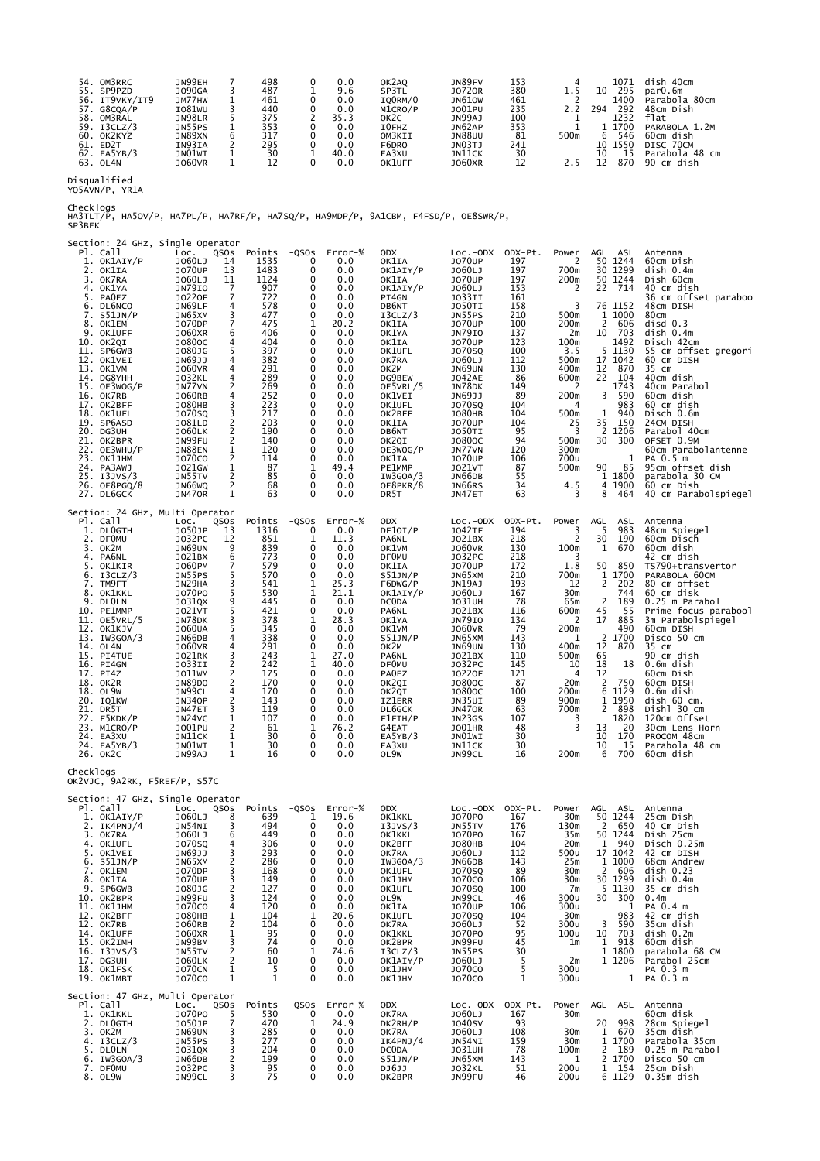| JN99EH<br>498<br>OM3RRC<br>JN89FV<br>153<br>1071<br>0.0<br>OK2AO<br>54.               | dish 40cm      |
|---------------------------------------------------------------------------------------|----------------|
| 380<br>J090GA<br>487<br>295<br>J0720R<br>55. SP9PZD<br>SP3TL<br>9.6<br>10             | parO.6m        |
| <b>JN610W</b><br>1400<br>56. IT9VKY/IT9<br>JM77HW<br>461<br>461<br>0.0<br>IOORM/0     | Parabola 80cm  |
| 292<br>57. G8COA/P<br>IO81WU<br>440<br>235<br>1001PU<br>294<br>0.0<br>M1CRO/P         | 48cm Dish      |
| JN98LR<br>JN99AJ<br>100<br>1232<br>375<br>flat<br>58.<br>OM3RAL<br>35.3<br>ок2с       |                |
| 1 1700<br>JN62AP<br>353<br><b>JN55PS</b><br>353<br>59. I3CLZ/3<br>0.0<br>I0FHZ        | PARABOLA 1.2M  |
| JN89XN<br><b>JN88UU</b><br>81<br>500m<br>317<br>546<br>60.<br>OK2KYZ<br>0.0<br>OM3KII | 60cm dish      |
| JNO3TJ<br>IN93IA<br>295<br>241<br>1550<br>ED <sub>2</sub> T<br>F6DRO<br>0.0<br>61.    | DISC 70CM      |
| 30<br>30<br>JNO1WI<br>EA5YB/3<br>40.0<br>62.<br>JN11CK<br>EA3XU                       | Parabola 48 cm |
| 870<br>1060VR<br><b>JO60XR</b><br>63. OL4N<br>0.0<br>OK1UFF                           | 90 cm dish     |

Disqualified YO5AVN/P, YR1A

Checklogs<br>HA3TLT/P, HA5OV/P, HA7PL/P, HA7RF/P, HA7SQ/P, HA9MDP/P, 9A1CBM, F4FSD/P, OE8SWR/P,<br>SP3BEK

| Pl. Call<br>1. OK1AIY/P<br>2. OK1IA<br>OK7RA<br>3.<br>OK1YA<br>4.<br><b>PAOEZ</b><br>5.<br>6. DL6NCO<br>7. S51JN/P<br>8. OK1EM<br>9.<br>OK1UFF<br>10. ОК2QI<br>11. SP6GWB<br>12. OK1VEI<br>13. OK1VM<br>14. DG8YHH<br>15. OE3WOG/P<br>16. OK7RB<br>17. OK2BFF<br>18. OK1UFL<br>19. SP6ASD<br>20. DG3UH<br>21. OK2BPR<br>22. OE3WHU/P<br>23. ОК1ЈНМ<br>24. PA3AWJ<br>25. I3JVS/3<br>26. OE8PGQ/8<br>27. DL6GCK | Section: 24 GHz, Single Operator<br>LOC.<br>J060LJ<br><b>JO70UP</b><br>J060LJ<br><b>JN79IO</b><br>J0220F<br>JN69LF<br>JN65XM<br>J070DP<br>J060XR<br>J0800C<br>J080JG<br>JN69JJ<br><b>J060VR</b><br><b>JO32KL</b><br>JN77VN<br><b>JO60RB</b><br><b>JO80HB</b><br><b>JO70SQ</b><br>J081LD<br><b>JO60LK</b><br>JN99FU<br><b>JN88EN</b><br><b>JO70CO</b><br>J021GW<br>JN55TV<br>JN66WQ<br><b>JN470R</b> | QSOS<br>Points<br>14<br>1535<br>1483<br>13<br>1124<br>11<br>7<br>907<br>7<br>722<br>4<br>578<br>3<br>477<br>7<br>475<br>6<br>406<br>4<br>404<br>5<br>397<br>4<br>382<br>291<br>4<br>289<br>$\overline{4}$<br>2<br>269<br>4<br>252<br>3<br>223<br>3<br>217<br>$\frac{2}{2}$<br>203<br>190<br>$\frac{2}{1}$<br>140<br>120<br>2<br>114<br>$\frac{1}{2}$<br>87<br>85<br>$\overline{2}$<br>68<br>63<br>1 | $-QSOS$<br>0<br>$\mathbf 0$<br>0<br>0<br>0<br>$\mathbf 0$<br>0<br>1<br>0<br>0<br>0<br>$\mathbf 0$<br>0<br>0<br>0<br>0<br>0<br>$\mathbf 0$<br>0<br>0<br>0<br>0<br>0<br>1<br>0<br>$\mathbf 0$<br>0 | Error-%<br>0.0<br>0.0<br>0.0<br>0.0<br>0.0<br>0.0<br>0.0<br>20.2<br>0.0<br>0.0<br>0.0<br>0.0<br>0.0<br>0.0<br>0.0<br>0.0<br>0.0<br>0.0<br>0.0<br>0.0<br>0.0<br>0.0<br>0.0<br>49.4<br>0.0<br>0.0<br>0.0 | <b>ODX</b><br>OK1IA<br>OK1AIY/P<br>OK1IA<br>OK1AIY/P<br>PI4GN<br>DB6NT<br>I3CLZ/3<br>OK1IA<br>OK1YA<br>OK1IA<br>OK1UFL<br>OK7RA<br>OK2M<br>DG9BEW<br>OE5VRL/5<br>OK1VEI<br>OK1UFL<br>OK2BFF<br>OK1IA<br>DB6NT<br>OK2QI<br>OE3WOG/P<br>OK1IA<br>PE1MMP<br>IW3GOA/3<br>OE8PKR/8<br>DR5T                        | $Loc.-ODX$<br><b>JO70UP</b><br>J060LJ<br><b>JO70UP</b><br>J060LJ<br>JO33II<br><b>JO50TI</b><br><b>JN55PS</b><br><b>JO70UP</b><br><b>JN79IO</b><br><b>JO70UP</b><br><b>JO70SQ</b><br>J060LJ<br><b>JN69UN</b><br><b>JO42AE</b><br>JN78DK<br>JN69JJ<br><b>JO70SQ</b><br><b>JO80HB</b><br><b>JO70UP</b><br>JO50TI<br>J0800C<br>JN77VN<br><b>JO70UP</b><br>J021VT<br>JN66DB<br>JN66RS<br>JN47ET | ODX-Pt.<br>197<br>197<br>197<br>153<br>161<br>158<br>210<br>100<br>137<br>123<br>100<br>112<br>130<br>86<br>149<br>89<br>104<br>104<br>104<br>95<br>94<br>120<br>106<br>87<br>55<br>34<br>63 | Power<br>2<br>700m<br>200m<br>2<br>3<br>500m<br>200m<br>2m<br>100m<br>3.5<br>500m<br>400m<br>600m<br>2<br>200m<br>4<br>500m<br>25<br>3<br>500m<br>300m<br>700u<br>500m<br>4.5<br>3             | AGL ASL<br>50 1244<br>30 1299<br>50 1244<br>22<br>714<br>76 1152<br>1000<br>$\mathbf{1}$<br>$\overline{2}$<br>606<br>10<br>703<br>1492<br>5 1130<br>17 1042<br>870<br>12<br>22<br>104<br>1743<br>3<br>590<br>983<br>940<br>1<br>35<br>150<br>2 1206<br>30<br>300<br>1<br>85<br>90<br>1<br>1800<br>4 1900<br>8<br>464 | Antenna<br>60cm Dish<br>dish 0.4m<br>Dish 60cm<br>40 cm dish<br>36 cm offset paraboo<br>48cm DISH<br>80cm<br>$disd$ $0.3$<br>dish 0.4m<br>Disch 42cm<br>55 cm offset gregori<br>60 cm DISH<br>35 cm<br>40cm dish<br>40cm Parabol<br>60cm dish<br>60 cm dish<br>Disch 0.6m<br>24CM DISH<br>Parabol 40cm<br>OFSET 0.9M<br>60cm Parabolantenne<br>PA 0.5 m<br>95cm offset dish<br>parabola 30 CM<br>60 cm Dish<br>40 cm Parabolspiegel |
|---------------------------------------------------------------------------------------------------------------------------------------------------------------------------------------------------------------------------------------------------------------------------------------------------------------------------------------------------------------------------------------------------------------|-----------------------------------------------------------------------------------------------------------------------------------------------------------------------------------------------------------------------------------------------------------------------------------------------------------------------------------------------------------------------------------------------------|-----------------------------------------------------------------------------------------------------------------------------------------------------------------------------------------------------------------------------------------------------------------------------------------------------------------------------------------------------------------------------------------------------|--------------------------------------------------------------------------------------------------------------------------------------------------------------------------------------------------|--------------------------------------------------------------------------------------------------------------------------------------------------------------------------------------------------------|--------------------------------------------------------------------------------------------------------------------------------------------------------------------------------------------------------------------------------------------------------------------------------------------------------------|--------------------------------------------------------------------------------------------------------------------------------------------------------------------------------------------------------------------------------------------------------------------------------------------------------------------------------------------------------------------------------------------|----------------------------------------------------------------------------------------------------------------------------------------------------------------------------------------------|------------------------------------------------------------------------------------------------------------------------------------------------------------------------------------------------|----------------------------------------------------------------------------------------------------------------------------------------------------------------------------------------------------------------------------------------------------------------------------------------------------------------------|-------------------------------------------------------------------------------------------------------------------------------------------------------------------------------------------------------------------------------------------------------------------------------------------------------------------------------------------------------------------------------------------------------------------------------------|
| Pl. Call<br>1. DLOGTH<br>2. DFOMU<br>3.<br>ок2м<br>4. PA6NL<br>5.<br>OK1KIR<br>$6.$ I3CLZ/3<br>TM9FT<br>7.<br>8. OK1KKL<br>9. DLOLN<br>10. PE1MMP<br>11. OE5VRL/5<br>12. OK1KJV<br>13. IW3GOA/3<br>14. OL4N<br>15. PI4TUE<br>16. PI4GN<br>17. PI4Z<br>18. OK2R<br>18. OL9W<br>20. IQ1KW<br>21. DR5T<br>22. F5KDK/P<br>23. M1CRO/P<br>24. EA3XU<br>24. EA5YB/3<br>26. OK2C                                     | Section: 24 GHz, Multi Operator<br>LOC.<br>J050JP<br>J032PC<br>JN69UN<br>J021BX<br><b>JO60PM</b><br>JN55PS<br>JN29HA<br>J070P0<br>J031QX<br><b>JO21VT</b><br>JN78DK<br><b>JO60UA</b><br>JN66DB<br><b>JO60VR</b><br><b>JO21RK</b><br>J033II<br>JO11WM<br><b>JN89DO</b><br>JN99CL<br><b>JN340P</b><br>JN47ET<br>JN24VC<br>J001PU<br>JN11CK<br>JNO1WI<br>JN99AJ                                        | QSOS<br>Points<br>13<br>1316<br>12<br>851<br>9<br>839<br>6<br>773<br>579<br>7<br>5<br>570<br>3<br>541<br>5<br>530<br>9<br>445<br>5<br>421<br>3<br>378<br>5<br>345<br>4<br>338<br>4<br>291<br>3<br>243<br>2<br>242<br>$\overline{2}$<br>175<br>$\overline{c}$<br>170<br>4<br>170<br>2<br>143<br>3<br>119<br>1<br>107<br>2<br>61<br>1<br>30<br>$\mathbf{1}$<br>30<br>$\mathbf{1}$<br>16               | $-QSOS$<br>0<br>1<br>0<br>0<br>0<br>0<br>1<br>1<br>0<br>0<br>1<br>$\mathbf 0$<br>0<br>$\mathbf 0$<br>1<br>1<br>$\mathbf 0$<br>$\mathbf 0$<br>0<br>0<br>0<br>0<br>1<br>0<br>0<br>0                | $Error-%$<br>0.0<br>11.3<br>0.0<br>0.0<br>0.0<br>0.0<br>25.3<br>21.1<br>0.0<br>0.0<br>28.3<br>0.0<br>0.0<br>0.0<br>27.0<br>40.0<br>0.0<br>0.0<br>0.0<br>0.0<br>0.0<br>0.0<br>76.2<br>0.0<br>0.0<br>0.0 | <b>ODX</b><br>DF10I/P<br>PA6NL<br>OK1VM<br><b>DF0MU</b><br>OK1IA<br>S51JN/P<br>F6DWG/P<br>OK1AIY/P<br>DC <sub>OD</sub> A<br>PA6NL<br>OK1YA<br>OK1VM<br>S51JN/P<br>OK2M<br>PA6NL<br><b>DF0MU</b><br><b>PAOEZ</b><br>OK2QI<br>OK2QI<br><b>IZ1ERR</b><br>DL6GCK<br>F1F1H/P<br>G4EAT<br>EA5YB/3<br>EA3XU<br>OL9W | $Loc.-ODX$<br><b>JO42TF</b><br>J021BX<br><b>J060VR</b><br>J032PC<br><b>JO70UP</b><br>JN65XM<br>JN19AJ<br>J060LJ<br><b>JO31UH</b><br>J021BX<br><b>JN79IO</b><br><b>J060VR</b><br>JN65XM<br>JN69UN<br>J021BX<br>J032PC<br><b>JO220F</b><br>J0800C<br>J0800C<br>JN35UI<br><b>JN470R</b><br><b>JN23GS</b><br>J001HR<br>JNO1WI<br>JN11CK<br>JN99CL                                              | ODX-Pt.<br>194<br>218<br>130<br>218<br>172<br>210<br>193<br>167<br>78<br>116<br>134<br>79<br>143<br>130<br>110<br>145<br>121<br>87<br>100<br>89<br>63<br>107<br>48<br>30<br>30<br>16         | Power<br>3<br>$\overline{2}$<br>100m<br>3<br>1.8<br>700m<br>12<br>30m<br>65m<br>600m<br>2<br>200m<br>1<br>400m<br>500m<br>10<br>4<br>20 <sub>m</sub><br>200m<br>900m<br>700m<br>3<br>3<br>200m | AGL<br>ASL<br>983<br>5<br>30<br>190<br>670<br>1<br>50<br>850<br>1<br>1700<br>2<br>202<br>744<br>2<br>189<br>45<br>55<br>17<br>885<br>490<br>2<br>1700<br>12<br>870<br>65<br>18<br>18<br>12<br>$\overline{2}$<br>750<br>6 1129<br>1 1950<br>2<br>898<br>1820<br>13<br>20<br>10<br>170<br>10<br>15<br>6<br>700         | Antenna<br>48cm Spiegel<br>60cm Disch<br>60cm dish<br>42 cm dish<br>TS790+transvertor<br>PARABOLA 60CM<br>80 cm offset<br>60 cm disk<br>0.25 m Parabol<br>Prime focus parabool<br>3m Parabolspiegel<br>60cm DISH<br>Disco 50 cm<br>35 cm<br>90 cm dish<br>0.6m dish<br>60cm Dish<br>60cm DISH<br>0.6m dish<br>dish 60 cm.<br>Dishl 30 cm<br>120cm Offset<br>30cm Lens Horn<br>PROCOM 48cm<br>Parabola 48 cm<br>60cm dish            |
| Checklogs                                                                                                                                                                                                                                                                                                                                                                                                     | OK2VJC, 9A2RK, F5REF/P, S57C                                                                                                                                                                                                                                                                                                                                                                        |                                                                                                                                                                                                                                                                                                                                                                                                     |                                                                                                                                                                                                  |                                                                                                                                                                                                        |                                                                                                                                                                                                                                                                                                              |                                                                                                                                                                                                                                                                                                                                                                                            |                                                                                                                                                                                              |                                                                                                                                                                                                |                                                                                                                                                                                                                                                                                                                      |                                                                                                                                                                                                                                                                                                                                                                                                                                     |
| Pl. Call<br>1. OK1AIY/P<br>IK4PNJ/4<br>2.<br>3. OK7RA<br>4. OK1UFL<br>5. OK1VEI<br>6. S51JN/P<br>7. OK1EM<br>8. OK1IA<br>9. SP6GWB<br>10. OK2BPR<br>11. ОК1ЈНМ<br>12. OK2BFF<br>12. OK7RB<br>14. OK1UFF<br>15. OK2IMH<br>16. I3JVS/3<br>17. DG3UH<br>18. OK1FSK<br>19. OK1MBT                                                                                                                                 | Section: 47 GHz, Single Operator<br>LOC.<br>J060LJ<br>JN54NI<br>J060LJ<br><b>JO70SQ</b><br>JN69JJ<br>JN65XM<br>J070DP<br><b>JO70UP</b><br>J080JG<br>JN99FU<br>J070C0<br><b>JO80HB</b><br><b>JO60RB</b><br><b>JO60XR</b><br>JN99BM<br>JN55TV<br><b>JO60LK</b><br><b>JO70CN</b><br>J070C0                                                                                                             | QSOS<br>Points<br>8<br>639<br>494<br>3<br>6<br>449<br>306<br>4<br>3<br>293<br>2<br>286<br>3<br>168<br>3<br>149<br>2<br>127<br>3<br>124<br>120<br>4<br>1<br>104<br>2<br>104<br>$\mathbf{1}$<br>95<br>3<br>74<br>$\frac{2}{2}$<br>60<br>10<br>1<br>5<br>1<br>1                                                                                                                                        | $-QSOS$<br>1<br>0<br>0<br>0<br>0<br>0<br>0<br>0<br>0<br>0<br>0<br>1<br>0<br>0<br>0<br>1<br>$\pmb{0}$<br>0<br>0                                                                                   | $Error-%$<br>19.6<br>0.0<br>0.0<br>0.0<br>0.0<br>0.0<br>0.0<br>0.0<br>0.0<br>0.0<br>0.0<br>20.6<br>0.0<br>0.0<br>0.0<br>74.6<br>0.0<br>0.0<br>0.0                                                      | <b>ODX</b><br>OK1KKL<br>I3JVS/3<br>OK1KKL<br>OK2BFF<br>OK7RA<br>IW3GOA/3<br>OK1UFL<br>OK1JHM<br>OK1UFL<br>OL9W<br>OK1IA<br>OK1UFL<br>OK7RA<br><b>OK1KKL</b><br>OK2BPR<br>I3CLZ/3<br>OK1AIY/P<br>OK1JHM<br>OK1JHM                                                                                             | $Loc.-ODX$<br>J070P0<br>JN55TV<br>J070P0<br><b>JO80HB</b><br>J060LJ<br>JN66DB<br>J070SQ<br>J070CO<br>J070SQ<br>JN99CL<br><b>JO70UP</b><br>J070SQ<br>J060LJ<br>J070P0<br>JN99FU<br>JN55PS<br>J060LJ<br>J070C0<br>J070C0                                                                                                                                                                     | ODX-Pt.<br>167<br>176<br>167<br>104<br>112<br>143<br>89<br>106<br>100<br>46<br>106<br>104<br>52<br>95<br>45<br>30<br>5<br>5<br>1                                                             | Power<br>30m<br>130m<br>35m<br>20m<br>500u<br>25m<br>30 <sub>m</sub><br>30 <sub>m</sub><br>7m<br>300u<br>300u<br>30m<br>300u<br>100u<br>1 <sub>m</sub><br>2m<br>300u<br>300u                   | AGL<br>ASL<br>50 1244<br>650<br>2<br>50 1244<br>940<br>1<br>17 1042<br>1 1000<br>2<br>606<br>30 1299<br>5 1130<br>30<br>300<br>1<br>983<br>3<br>590<br>703<br>10<br>1 918<br>1 1800<br>1 1206<br>$\mathbf{1}$                                                                                                        | Antenna<br>25cm Dish<br>40 Cm Dish<br>Dish 25cm<br>Disch 0.25m<br>42 CM DISH<br>68cm Andrew<br>disk 0.23<br>dish 0.4m<br>35 cm dish<br>0.4 <sub>m</sub><br>PA 0.4 m<br>42 cm dish<br>35cm dish<br>dish 0.2m<br>60cm dish<br>parabola 68 CM<br>Parabol 25cm<br>PA 0.3 m<br>PA 0.3 m                                                                                                                                                  |
| Pl. Call<br>1. OK1KKL<br>2. DLOGTH<br>3. OK2M<br>4. I3CLZ/3<br>5. DLOLN<br>6. IW3GOA/3<br>7. DFOMU<br>8. OL9W                                                                                                                                                                                                                                                                                                 | Section: 47 GHz, Multi Operator<br>LOC.<br>J070P0<br>J050JP<br>JN69UN<br>JN55PS<br>J031QX<br>JN66DB<br>J032PC<br>JN99CL                                                                                                                                                                                                                                                                             | Points<br>QSOS<br>530<br>5<br>7<br>470<br>285<br>3<br>277<br>3<br>204<br>3<br>$\overline{\mathbf{c}}$<br>199<br>3<br>95<br>75<br>3                                                                                                                                                                                                                                                                  | $-QSOS$<br>0<br>1<br>0<br>0<br>$\mathbf 0$<br>0<br>0<br>0                                                                                                                                        | Error-%<br>0.0<br>24.9<br>0.0<br>0.0<br>0.0<br>0.0<br>0.0<br>0.0                                                                                                                                       | ODX<br>OK7RA<br>DK2RH/P<br>OK7RA<br>IK4PNJ/4<br>DC <sub>OD</sub> A<br>S51JN/P<br>DJ6JJ<br>OK2BPR                                                                                                                                                                                                             | $Loc.-ODX$<br>J060LJ<br><b>J040SV</b><br>J060LJ<br>JN54NI<br><b>JO31UH</b><br>JN65XM<br><b>JO32KL</b><br>JN99FU                                                                                                                                                                                                                                                                            | ODX-Pt.<br>167<br>93<br>108<br>159<br>78<br>143<br>51<br>46                                                                                                                                  | Power<br>30m<br>30m<br>30m<br>100m<br>1<br>200u<br>200u                                                                                                                                        | ASL<br>AGL<br>20<br>998<br>670<br>1<br>1 1700<br>2 189<br>2 1700<br>1 154                                                                                                                                                                                                                                            | Antenna<br>60cm disk<br>28cm Spiegel<br>35cm dish<br>Parabola 35cm<br>0.25 m Parabol<br>Disco 50 cm<br>25cm Dish<br>6 1129 0.35m dish                                                                                                                                                                                                                                                                                               |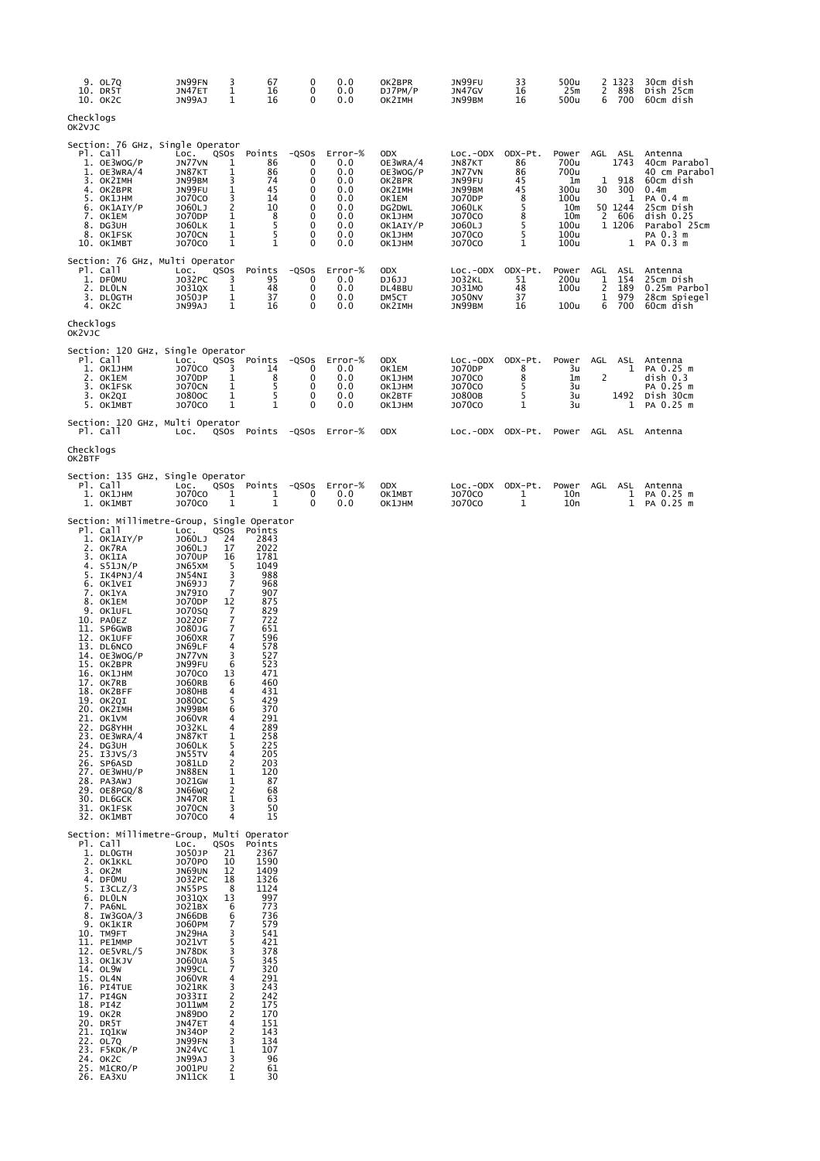| 9. OL7Q<br>10. DR5T<br>10. ОК2С                                                                                                                                                                                                                                                                                                                                                                                                                                                                                    | 3<br>JN99FN<br>1<br>JN47ET<br>JN99AJ<br>1                                                                                                                                                                                                                                                                                                                                                                                                                                                                                                                                                                                           | 67<br>16<br>16                                                                                                                                                                                                                        | 0<br>0<br>0                                               | 0.0<br>0.0<br>0.0                                                             | OK2BPR<br>DJ7PM/P<br>OK2IMH                                                                                         | JN99FU<br>JN47GV<br>JN99BM                                                                                                          | 33<br>16<br>16                                                | 500u<br>25m<br>500u                                                               | 2<br>1323<br>2<br>898<br>700<br>6                                                   | 30cm dish<br>Dish 25cm<br>60cm dish                                                                                                                     |
|--------------------------------------------------------------------------------------------------------------------------------------------------------------------------------------------------------------------------------------------------------------------------------------------------------------------------------------------------------------------------------------------------------------------------------------------------------------------------------------------------------------------|-------------------------------------------------------------------------------------------------------------------------------------------------------------------------------------------------------------------------------------------------------------------------------------------------------------------------------------------------------------------------------------------------------------------------------------------------------------------------------------------------------------------------------------------------------------------------------------------------------------------------------------|---------------------------------------------------------------------------------------------------------------------------------------------------------------------------------------------------------------------------------------|-----------------------------------------------------------|-------------------------------------------------------------------------------|---------------------------------------------------------------------------------------------------------------------|-------------------------------------------------------------------------------------------------------------------------------------|---------------------------------------------------------------|-----------------------------------------------------------------------------------|-------------------------------------------------------------------------------------|---------------------------------------------------------------------------------------------------------------------------------------------------------|
| Checklogs<br>OK2VJC                                                                                                                                                                                                                                                                                                                                                                                                                                                                                                |                                                                                                                                                                                                                                                                                                                                                                                                                                                                                                                                                                                                                                     |                                                                                                                                                                                                                                       |                                                           |                                                                               |                                                                                                                     |                                                                                                                                     |                                                               |                                                                                   |                                                                                     |                                                                                                                                                         |
| Section: 76 GHz, Single Operator<br>PI. Call<br>1. OE3WOG/P<br>$1.$ OE3WRA/4<br>3. OK2IMH<br>4. OK2BPR<br>5. OK1JHM<br>6. OK1AIY/P<br>7. OK1EM<br>8. DG3UH<br>8. OK1FSK<br>10. ОК1МВТ                                                                                                                                                                                                                                                                                                                              | LOC.<br>QSOS<br>JN77VN<br>1<br>JN87KT<br>1<br>3<br>JN99BM<br>1<br>JN99FU<br>3<br><b>JO70CO</b><br>2<br>J060LJ<br>J070DP<br>1<br>1<br><b>JO60LK</b><br>$\mathbf{1}$<br><b>JO70CN</b><br>$\mathbf 1$<br><b>JO70CO</b>                                                                                                                                                                                                                                                                                                                                                                                                                 | Points<br>86<br>86<br>74<br>45<br>14<br>10<br>8<br>5<br>5<br>1                                                                                                                                                                        | $-QSOS$<br>0<br>0<br>0<br>0<br>0<br>0<br>0<br>0<br>0<br>0 | Error-%<br>0.0<br>0.0<br>0.0<br>0.0<br>0.0<br>0.0<br>0.0<br>0.0<br>0.0<br>0.0 | 0DX<br>OE3WRA/4<br>OE3WOG/P<br>OK2BPR<br>OK2IMH<br>OK1EM<br>DG2DWL<br>OK1JHM<br>OK1AIY/P<br>OK1JHM<br><b>OK1JHM</b> | $Loc.-ODX$<br>JN87KT<br>JN77VN<br>JN99FU<br>JN99BM<br>J070DP<br><b>JO60LK</b><br><b>JO70CO</b><br>J060LJ<br><b>JO70CO</b><br>J070C0 | ODX-Pt.<br>86<br>86<br>45<br>45<br>8<br>5<br>8<br>5<br>5<br>1 | Power<br>700u<br>700u<br>1m<br>300u<br>100u<br>10m<br>10m<br>100u<br>100u<br>100u | AGL ASL<br>1743<br>918<br>1<br>300<br>30<br>1<br>50 1244<br>2<br>606<br>1 1206<br>1 | Antenna<br>40cm Parabol<br>40 cm Parabol<br>60cm dish<br>0.4 <sub>m</sub><br>PA 0.4 m<br>25cm Dish<br>disk 0.25<br>Parabol 25cm<br>PA 0.3 m<br>PA 0.3 m |
| Section: 76 GHz, Multi Operator<br>PI. Call<br>1. DFOMU<br>2. DLOLN<br>3. DLOGTH<br>4. OK2C                                                                                                                                                                                                                                                                                                                                                                                                                        | LOC.<br>QSOS<br>J032PC<br>3<br>$\mathbf{1}$<br>J031QX<br>$\mathbf{1}$<br>J050JP<br>1<br>JN99AJ                                                                                                                                                                                                                                                                                                                                                                                                                                                                                                                                      | Points<br>95<br>48<br>37<br>16                                                                                                                                                                                                        | $-QSOS$<br>0<br>0<br>0<br>0                               | Error-%<br>0.0<br>0.0<br>0.0<br>0.0                                           | <b>ODX</b><br>DJ6JJ<br>DL4BBU<br>DM5CT<br>OK2IMH                                                                    | LOC.-ODX ODX-Pt.<br><b>JO32KL</b><br>J031MO<br><b>JO50NV</b><br>JN99BM                                                              | 51<br>48<br>37<br>16                                          | Power<br>200u<br>100u<br>100u                                                     | AGL<br>ASL<br>154<br>1<br>2<br>189<br>$\mathbf{1}$<br>979<br>6<br>700               | Antenna<br>25cm Dish<br>0.25m Parbol<br>28cm Spiegel<br>60cm dish                                                                                       |
| Checklogs<br>OK2VJC                                                                                                                                                                                                                                                                                                                                                                                                                                                                                                |                                                                                                                                                                                                                                                                                                                                                                                                                                                                                                                                                                                                                                     |                                                                                                                                                                                                                                       |                                                           |                                                                               |                                                                                                                     |                                                                                                                                     |                                                               |                                                                                   |                                                                                     |                                                                                                                                                         |
| Section: 120 GHz, Single Operator<br>Pl. Call<br>1. OK1JHM<br>2. OK1EM<br>3. OK1FSK<br>3. OK2QI<br>5. OK1MBT                                                                                                                                                                                                                                                                                                                                                                                                       | LOC.<br>QSOS<br>J070CO<br>3<br>J070DP<br>1<br><b>JO70CN</b><br>1<br>$\mathbf{1}$<br>J0800C<br>$\mathbf{1}$<br><b>JO70CO</b>                                                                                                                                                                                                                                                                                                                                                                                                                                                                                                         | Points<br>14<br>8<br>5<br>5<br>1                                                                                                                                                                                                      | $-QSOS$<br>0<br>0<br>0<br>0<br>$\Omega$                   | Error-%<br>0.0<br>0.0<br>0.0<br>0.0<br>0.0                                    | ODX<br>OK1EM<br>OK1JHM<br>OK1JHM<br>OK2BTF<br>OK1JHM                                                                | LOC.-ODX<br>J070DP<br><b>JO70CO</b><br><b>JO70CO</b><br>J0800B<br>J070C0                                                            | ODX-Pt.<br>8<br>8<br>5<br>5<br>1                              | Power<br>3u<br>1m<br>3u<br>3u<br>3u                                               | AGL<br>ASL<br>1<br>2<br>1492<br>1                                                   | Antenna<br>PA 0.25 m<br>disk 0.3<br>PA 0.25 m<br>Dish 30cm<br>PA 0.25 m                                                                                 |
| Section: 120 GHz, Multi Operator<br>Pl. Call                                                                                                                                                                                                                                                                                                                                                                                                                                                                       | LOC.<br>QSOS                                                                                                                                                                                                                                                                                                                                                                                                                                                                                                                                                                                                                        | Points                                                                                                                                                                                                                                | -QSOs                                                     | Error-%                                                                       | <b>ODX</b>                                                                                                          | LOC.-ODX ODX-Pt.                                                                                                                    |                                                               | Power                                                                             | AGL<br>ASL                                                                          | Antenna                                                                                                                                                 |
| Checklogs<br>OK2BTF                                                                                                                                                                                                                                                                                                                                                                                                                                                                                                |                                                                                                                                                                                                                                                                                                                                                                                                                                                                                                                                                                                                                                     |                                                                                                                                                                                                                                       |                                                           |                                                                               |                                                                                                                     |                                                                                                                                     |                                                               |                                                                                   |                                                                                     |                                                                                                                                                         |
| Section: 135 GHz, Single Operator<br>PI. Call<br>1. OK1JHM<br>1. OK1MBT                                                                                                                                                                                                                                                                                                                                                                                                                                            | LOC.<br>QSOS<br><b>JO70CO</b><br>1<br>$\mathbf{1}$<br>J070C0                                                                                                                                                                                                                                                                                                                                                                                                                                                                                                                                                                        | Points<br>1<br>1                                                                                                                                                                                                                      | $-QSOS$<br>0<br>0                                         | Error-%<br>0.0<br>0.0                                                         | 0DX<br>OK1MBT<br>OK1JHM                                                                                             | LOC.-ODX<br>J070C0<br><b>JO70CO</b>                                                                                                 | ODX-Pt.<br>1<br>$\mathbf{1}$                                  | Power<br>10n<br>10n                                                               | AGL<br>ASL<br>1<br>$\mathbf{1}$                                                     | Antenna<br>PA 0.25 m<br>PA 0.25 m                                                                                                                       |
| Section: Millimetre-Group, Single Operator<br>PI. Call<br>1. OK1AIY/P<br>2. OK7RA<br>3. OKlIA<br>4. S51JN/P<br>5. IK4PNJ/4<br>6. OK1VEI<br>7. OK1YA<br>8. OK1EM<br>9. OK1UFL<br>10. PAOEZ<br>11. SP6GWB<br>12. OK1UFF<br>13. DL6NCO<br>14. OE3WOG/P<br>15. OK2BPR<br>16. ОК1ЈНМ<br>17. OK7RB<br>18. OK2BFF<br>19. ОК2QI<br>20. OK2IMH<br>21. OK1VM<br>22. DG8YHH<br>23. OE3WRA/4<br>24. DG3UH<br>25. I3JVS/3<br>26. SP6ASD<br>27. OE3WHU/P<br>28. PA3AWJ<br>29. OE8PGQ/8<br>30. DL6GCK<br>31. OK1FSK<br>32. OK1MBT | LOC.<br>QSOS<br>J060LJ<br>24<br>J060LJ<br>17<br><b>JO70UP</b><br>16<br>JN65XM<br>5<br>3<br>JN54NI<br>7<br>JN69JJ<br>7<br>JN79IO<br>J070DP<br>12<br>7<br><b>JO70SQ</b><br>$\overline{7}$<br><b>JO220F</b><br>7<br>J080JG<br>7<br><b>JO60XR</b><br>JN69LF<br>4<br>3<br>JN77VN<br>6<br>JN99FU<br><b>JO70CO</b><br>13<br><b>JO60RB</b><br>6<br>4<br><b>JO80HB</b><br>J0800C<br>ͻ<br>JN99BM<br>6<br><b>JO60VR</b><br>4<br><b>JO32KL</b><br>4<br>JN87KT<br>1<br>5<br><b>JO60LK</b><br>JN55TV<br>4<br>J081LD<br>2<br><b>JN88EN</b><br>1<br>1<br>J021GW<br>2<br>JN66WQ<br>$\mathbf 1$<br><b>JN470R</b><br>3<br><b>JO70CN</b><br>J070C0<br>4 | Points<br>2843<br>2022<br>1781<br>1049<br>988<br>968<br>907<br>875<br>829<br>722<br>651<br>596<br>578<br>527<br>523<br>471<br>460<br>431<br>429<br>370<br>291<br>289<br>258<br>225<br>205<br>203<br>120<br>87<br>68<br>63<br>50<br>15 |                                                           |                                                                               |                                                                                                                     |                                                                                                                                     |                                                               |                                                                                   |                                                                                     |                                                                                                                                                         |
| Section: Millimetre-Group, Multi Operator<br>Pl. Call<br>1. DLOGTH<br>2. OK1KKL<br>3. OK2M<br>4. DFOMU<br>5. I3CLZ/3<br>6. DLOLN<br>7. PA6NL<br>8. IW3GOA/3<br>9. OK1KIR<br>10. TM9FT<br>11. PE1MMP<br>12. OE5VRL/5<br>13. OK1KJV<br>14. OL9W<br>15. OL4N<br>16. PI4TUE<br>17. PI4GN<br>18. PI4Z<br>19. OK2R<br>20. DR5T<br>21. IQ1KW<br>22. OL7Q<br>23. F5KDK/P<br>24. OK2C<br>25. M1CRO/P<br>26. EA3XU                                                                                                           | QSOS<br>LOC.<br>21<br>J050JP<br>J070P0<br>10<br><b>JN69UN</b><br>12<br>J032PC<br>18<br>JN55PS<br>8<br>J031QX<br>13<br>J021BX<br>6<br>JN66DB<br>6<br><b>JO60PM</b><br>7<br>JN29HA<br>3<br>J021VT<br>5<br>JN78DK<br>3<br>5<br><b>JO60UA</b><br>7<br>JN99CL<br><b>JO60VR</b><br>4<br>3<br><b>JO21RK</b><br>$\frac{2}{2}$<br>J033II<br>J011WM<br><b>JN89DO</b><br>JN47ET<br>4<br>2<br><b>JN340P</b><br>JN99FN<br>3<br>1<br>JN24VC<br>3<br>JN99AJ<br>$\overline{c}$<br>J001PU<br>JN11CK<br>1                                                                                                                                             | Points<br>2367<br>1590<br>1409<br>1326<br>1124<br>997<br>773<br>736<br>579<br>541<br>421<br>378<br>345<br>320<br>291<br>243<br>242<br>175<br>170<br>151<br>143<br>134<br>107<br>96<br>61<br>30                                        |                                                           |                                                                               |                                                                                                                     |                                                                                                                                     |                                                               |                                                                                   |                                                                                     |                                                                                                                                                         |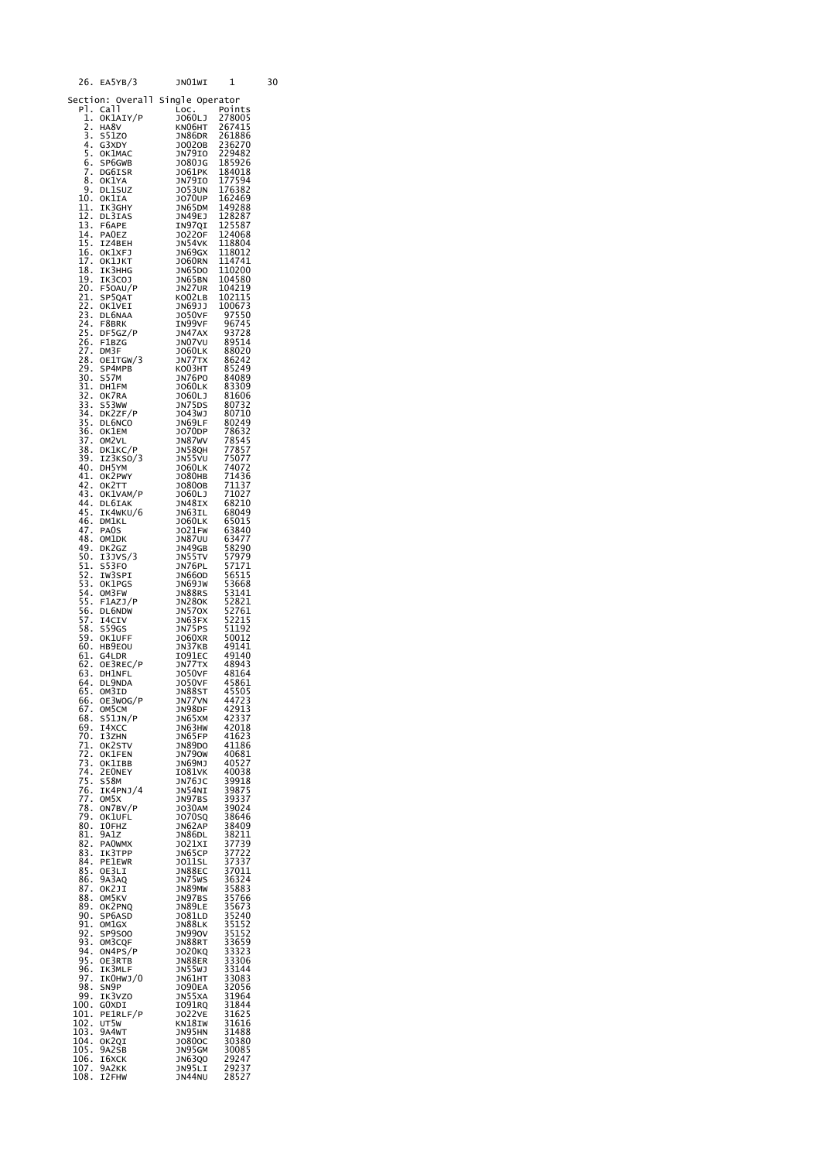| 26.                                    | EA5YB/3                              | JNO1WI                             | 1                                         | 30 |
|----------------------------------------|--------------------------------------|------------------------------------|-------------------------------------------|----|
|                                        | Section: Overall Single Operator     |                                    |                                           |    |
| PÌ.<br>1.                              | Call<br>OK1AIY/P                     | LOC.<br>J060LJ                     | Points<br>278005                          |    |
| 2.<br>3                                | HA8V<br>S51Z0                        | кмо6нт<br>JN86DR                   | 267415<br>261886                          |    |
| 4.                                     | G3XDY                                | J0020B                             | 236270                                    |    |
| 5<br>6.                                | OK1MAC<br>SP6GWB<br>DG6ISR           | JN79IO<br>J080JG                   | 229482<br>185926                          |    |
| Z.<br>8.                               |                                      | J061PK                             | 184018                                    |    |
| 9.                                     | OK1YA<br><b>DL1SUZ</b>               | JN79IO<br><b>JO53UN</b>            | $\frac{177594}{176383}$<br>176382         |    |
| 10.<br>11.                             | OKlIA<br>IK3GHY                      | J070UP<br>JN65DM                   | 162469<br>149288                          |    |
| 12.                                    | DL3IAS                               | JN49EJ                             | 128287                                    |    |
| 13.<br>14.                             | F6APE<br><b>PAOEZ</b>                | IN97QI<br><b>JO220F</b>            | 125587<br>124068                          |    |
| 15.<br>16.                             | IZ4BEH<br>OK1XFJ                     | JN54VK<br>JN69GX                   | 118804<br>118012                          |    |
| 17.                                    | OK1JKT                               | J060RN                             | 114741                                    |    |
| 18.<br>19.                             | IK3HHG<br>IK3COJ                     | JN65DO                             | 110200                                    |    |
| 20.<br>21.                             | F50AU/P<br>SP50AT<br>SP5QAT          | JN65BN<br>JN27UR<br>KO02LB         | 104580<br>104219<br>102115                |    |
| 22.                                    | OKIVEI                               | JN69JJ                             | 100673                                    |    |
| 23.<br>24.                             | DL6NAA<br>F8BRK                      | <b>JO50VF</b><br>IN99VF            | 97550<br>96745                            |    |
| 25.                                    | DF5GZ/P<br>F1BZG                     | JN47AX                             | 93728                                     |    |
| $\frac{26}{7}$<br>27.                  | F1BZG<br>DM3F                        | JN07VU<br><b>JO60LK</b>            | 89514<br>88020                            |    |
| 28.<br>29.                             | OE1TGW/3<br>SP4MPB                   | JN77TX<br>ко03нт                   | 86242<br>85249                            |    |
| 30.                                    | <b>S57M</b>                          | JN76PO                             | 84089                                     |    |
| $\frac{31}{32}$ .<br>$\frac{33}{33}$ . | DH1FM<br>OK7RA                       | J060LK<br>3060L3                   | 83309<br>81606                            |    |
|                                        | S53WW                                | JN75DS<br>J043WJ                   | 80732<br>80710                            |    |
| $\frac{34}{35}$ .                      | DK2ZF/P<br>DL6NCO<br>OK1EM<br>DL6NCO | JN69LF                             | 80249                                     |    |
| 36.                                    | <b>OK1EM</b><br>OM <sub>2</sub> VL   | JO70DP<br><b>JN87WV</b>            | 78632<br>78545                            |    |
| 37.<br>38.<br>39.                      | DK1KC/P<br>IZ3KSO/3                  | <b>JN58QH</b><br>JN55VU            | 77857<br>75077                            |    |
| 40.                                    | DH5YM                                | <b>JO60LK</b>                      | 74072                                     |    |
| 41.<br>42.                             | OK2PWY<br>OK2TT                      | J080HB<br>J0800B                   | 71436<br>71137                            |    |
| 43.<br>44.                             | OK1VAM/P<br>DL6IAK                   | J060LJ<br>JN48IX                   | 71027<br>68210                            |    |
| 45.                                    | IK4WKU/6                             | JN63IL                             | 68049                                     |    |
| 46.<br>47.                             | <b>DM1KL</b><br>PA <sub>0</sub> S    | <b>JO60LK</b><br>JO21FW            | 65015<br>63840                            |    |
| 48.<br>49.                             | OM1DK<br>DK2GZ                       | <b>JN87UU</b><br>JN49GB            | 63477<br>58290                            |    |
| 50.<br>$\overline{51}$ .               | 13JVS/3<br>S53F0                     | J <sub>N</sub> 55TV                | 57979<br>57171                            |    |
| 52.                                    | IW3SPI                               | JN76PL<br>JN66OD                   | 56515                                     |    |
| 53.<br>54.                             | OKlPGS<br>OM3FW                      | JN69JW<br>JN88RS                   | 53668<br>53141                            |    |
| 55.<br>56.                             | F1AZJ/P<br>DL6NDW                    | มง280K<br>วิท5ิ70X                 | 52821<br>52761                            |    |
| 57.                                    | 14CIV                                | JN63FX                             | 52215                                     |    |
| 58.<br>59.                             | S59GS<br>OK1UFF                      | JN75PS<br>J060XR                   | 51192<br>50012                            |    |
| 60.<br>61.                             | HB9EOU<br>G4LDR                      | JN37KB<br>I091EC                   | 49141<br>49140                            |    |
| 62.                                    | OE3REC/P                             | <b>JN77TX</b><br>JO50VF            | 48943                                     |    |
| 63.<br>64.                             | DH1NFL<br>DL9NDA                     | <b>JO50VF</b>                      | 48164<br>45861                            |    |
| 65.<br>66.                             | OM3ID<br>OE3WOG/P                    | JN88ST<br>JN77VN                   | 45505<br>44723                            |    |
| 67.<br>68.                             | OM5CM                                | JN98DF                             | 42913<br>42337                            |    |
| 69.                                    | S51JN/P<br>I4XCC                     | JN65XM<br>JN63HW                   | 42018                                     |    |
| 70.<br>71.                             | I3ZHN<br>OK2STV                      | JN65FP<br>JN89DO                   | 41623<br>41186                            |    |
| 72.<br>73.                             | OK1FEN<br>OK1IBB                     | JN790W<br>JN69MJ                   | 40681                                     |    |
| 74.                                    | 2E0NEY                               | I081VK                             | 40527<br>40038                            |    |
| 75.<br>76.                             | <b>S58M</b><br>IK4PNJ/4              | JN76JC<br>JN54NI                   | 39918<br>39875                            |    |
| 77.<br>78.                             | OM5X<br>ON7BV/P                      | JN97BS<br>JO30AM                   | 39337                                     |    |
| 79.                                    | OK1UFL                               | J070SQ                             | 39024<br>38646                            |    |
| 80.<br>81.                             | I0FHZ<br>9A1Z                        | JN62AP<br>JN86DL                   | 38409<br>38211                            |    |
|                                        | 82. PAOWMX<br>83. IK3TPP             | JO21XI<br>JN65CP                   | 37739<br>37722                            |    |
| 84.                                    | PE1EWR                               | J011SL                             | 37337<br>37011                            |    |
| 85.<br>86.                             | OE3LI<br>9A3AQ                       | JN88EC<br>JN75WS                   | 36324                                     |    |
| 87.<br>88.                             | ОК2ЈІ<br>OM5KV                       | JN89MW<br>JN97BS                   | 35883<br>35766                            |    |
| 89.<br>90.                             | OK2PNQ                               | JN89LE                             | 35673                                     |    |
| 91.                                    | SP6ASD<br>OM1GX                      | J081LD<br>JN88LK                   |                                           |    |
| 92.<br>93.                             | <b>SP9S00</b><br>OM3CQF              | <b>JN990V</b><br>יטפעאנע<br>JN88RT | 35240<br>35240<br>35152<br>33659<br>33659 |    |
| 94.<br>95.                             | ON4PS/P                              | J020KQ                             | 33323<br>33306                            |    |
| 96.                                    | OE3RTB<br>IK3MLF                     | JN88ER<br>JN55WJ                   |                                           |    |
| 97.<br>98.                             | IKOHWJ/O<br>SN9P                     | JN61HT<br>J090EA                   | 33144<br>33083<br>32056<br>31064          |    |
| 99.<br>100.                            | IK3VZ0<br>GOXDI                      | JN55XA<br>1091RQ                   | 31964<br>31844                            |    |
| 101.                                   | PE1RLF/P                             | J022VE                             | 31625                                     |    |
| 102.<br>103.                           | UT5W<br>9A4wT                        | KN18IW<br>JN95HN                   | 31616<br>31488                            |    |
| 104.<br>105.                           | OK2QI<br>9A2SB                       | J0800C<br>JN95GM                   | 31488<br>30380<br>30085                   |    |
| 106.                                   | I6XCK                                | JN63Q0                             | 29247                                     |    |
| 107.<br>108.                           | 9A2KK<br>I2FHW                       | JN95LI<br>JN44NU                   | 29237<br>28527                            |    |
|                                        |                                      |                                    |                                           |    |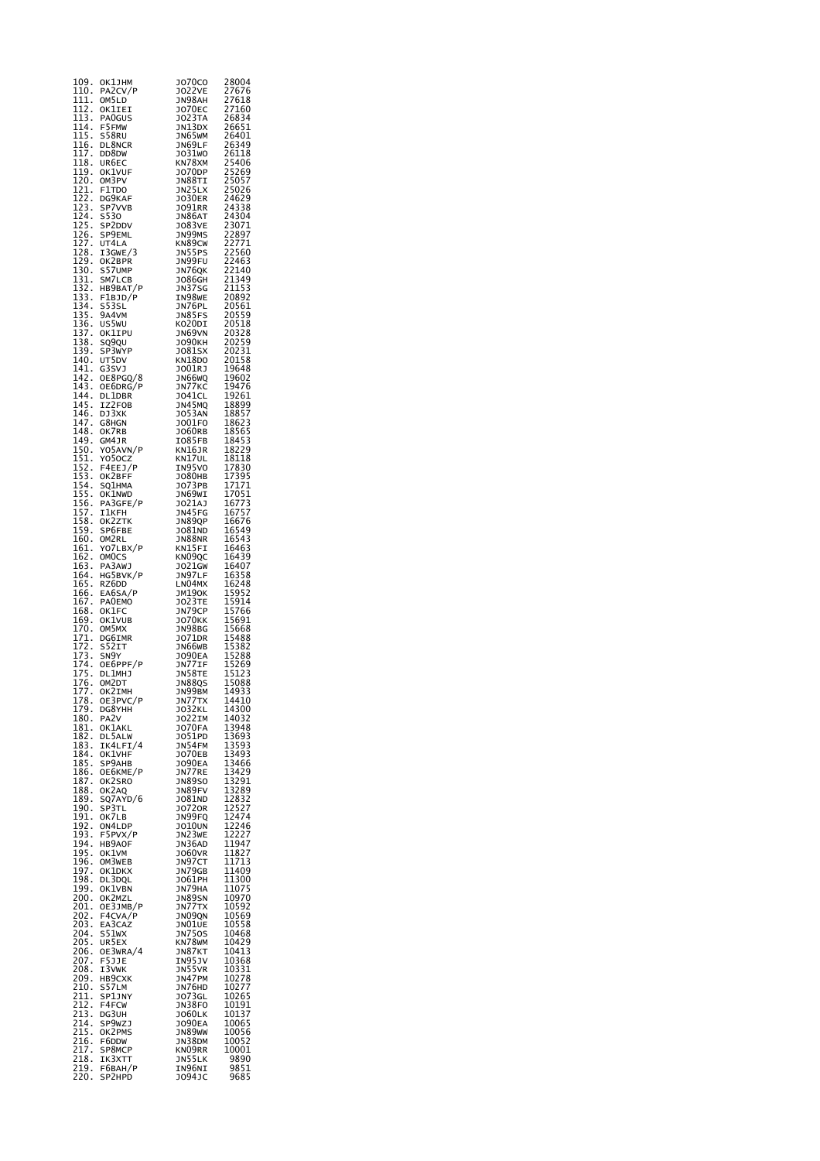| 109.<br>110.                              | ОК1ЛНМ<br>PA2CV/P            | J070C0<br><b>JO22VE</b>        | 28004<br>27676                                                                |
|-------------------------------------------|------------------------------|--------------------------------|-------------------------------------------------------------------------------|
| 111.                                      | OM5LD                        | JN98AH                         | 27618<br>27160                                                                |
| $\overline{1}$ 12.<br>113.                | OK1IEI<br>PA0GUS             | <b>JO70EC</b><br>J023TA        | 26834                                                                         |
| 114.<br>īī5.                              | F5FMW<br>S58RU               | JN13DX<br>JN65WM               | 26651                                                                         |
| 116.                                      | DL8NCR                       | JN69LF                         | 26401<br>26349                                                                |
| ī17.<br>118.                              | DD8DW<br>UR6EC               | J031WO<br>KN78XM               |                                                                               |
| 119.                                      | OK1VUF                       | J070DP                         |                                                                               |
| 120.                                      | OM3PV<br>F1TDO               | JN88TI<br>JN25LX               | 26349<br>26118<br>25406<br>25269<br>25026<br>24629<br>24338<br>24304<br>23071 |
| $\frac{121}{122}$<br>$\frac{122}{123}$ .  | DG9KAF<br>SP7VVB             | <b>JO30ER</b><br>JO91RR        |                                                                               |
| 124.                                      | <b>S530</b>                  | JN86AT                         |                                                                               |
| $\frac{125}{126}$<br>$\frac{127}{127}$    | SP2DDV<br>SP9EML             | <b>JO83VE</b><br>JN99MS        | 243071<br>22897<br>22771<br>22560<br>22463<br>22140                           |
| $\frac{1}{2}$ .                           | UT4LA<br>I3GWE/3             | KN89CW<br><b>JN55PS</b>        |                                                                               |
| 129.<br>130.                              | OK2BPR                       | JN99FU                         |                                                                               |
|                                           | S57UMP<br>SM7LCB             | JN76QK<br><b>JO86GH</b>        |                                                                               |
| 131<br>132<br>133<br>133                  | HB9BAT/P<br>F1BJD/P          | <b>JN37SG</b><br>IN98WE        | 21349<br>21153<br>20892                                                       |
| 134.                                      | S53SL                        | JN76PL                         | 20561                                                                         |
| 135.<br>$\overline{136}$ .                | 9a4vm<br>US5WU               | <b>JN85FS</b><br>KO20DI        | 20559<br>20518                                                                |
| 137<br>138<br>139<br>139                  | OK1IPU                       | JN69VN<br>1090кн               | 20328<br>20259<br>20231                                                       |
|                                           | SQ9QU<br>SP3WYP              | J081SX                         |                                                                               |
| 140.<br>141.                              | UT5DV<br>G3SVJ               | KN18DO<br>JO01RJ               | 20158<br>19648                                                                |
| 142.<br>143.                              | OE8PGQ/8                     | JN66WQ                         | 19602                                                                         |
| 144.                                      | OE6DRG/P<br>DL1DBR<br>IZ2FOB | JN77KC<br>JO41CL               | 19476<br>19261                                                                |
| 145.                                      | DJ3XK                        | JN45MQ<br>J053AN               | 18899                                                                         |
| 146.<br>147.                              | G8HGN                        | J001F0                         | 18857<br>18623                                                                |
| $\bar{1}$ 48.                             | OK7RB<br>GM4JR               | J060RB<br>IO85FB               | 18565                                                                         |
| 149.150.151.152.                          | YO5AVN/P                     | KN16JR                         | 18453<br>18229<br>18118                                                       |
|                                           | Y050CZ<br>F4EEJ/P            | KN17UL<br>IN95VO               |                                                                               |
| 152.<br>153.                              | OK2BFF<br>SQ1HMA             | J080HB<br>J073PB               | 17830<br>17395<br>17171                                                       |
| $154$<br>$155$<br>$156$<br>$157$<br>$158$ | OK1NWD                       | JN69WI                         | $17051$<br>$16773$<br>$16757$<br>$16676$                                      |
|                                           | PA3GFE/P<br><b>IlkFH</b>     | JOŽÍAJ<br>JN45FG               |                                                                               |
| 158.<br>159.                              | OK2ZTK<br>SP6FBE             | JN89QP<br>J081ND               | 16549                                                                         |
| 160.                                      | OM2RL                        | JN88NR                         | 16543                                                                         |
| $\frac{161}{162}$ .                       | YO7LBX/P<br>OMOCS            | KN15FI<br>KN09QC               | 16463<br>16439                                                                |
| $\overline{163}$ .                        | PA3AWJ                       | J021GW                         | 16407                                                                         |
| 164.<br>īš5.                              | HG5BVK/P<br>RZ6DD            | JN97LF<br>LN04MX               | 16358<br>16248                                                                |
| $\overline{166}$ .                        | EA6SA/P<br><b>PAOEMO</b>     | эм19ок<br><b>JO23TE</b>        | 15952<br>15914<br>15766<br>15688<br>15688<br>15488<br>15288<br>15123<br>15123 |
| 167.<br>168.                              | OK1FC<br>OK1VUB              | JN79CP                         |                                                                               |
| 169.<br>170.                              | OM5MX                        | <b>JO70KK</b><br>JN98BG        |                                                                               |
| 171.<br>172.                              | DG6IMR<br>S52IT              | J071DR<br>JN66WB               |                                                                               |
| $\frac{1}{2}$<br>$\cdot$                  | SN <sub>9</sub> Y            | <b>JO90EA</b>                  |                                                                               |
| $\overline{174}$ .<br>$\frac{1}{2}$       | OE6PPF/P<br>DL1MHJ           | JN77IF<br>JN58TE               |                                                                               |
| 176.<br>177                               | OM2DT                        | <b>JN88QS</b>                  | 15088<br>14933                                                                |
| 178.                                      | OK2IMH<br>OE3PVC/P           | лм99вм<br>JN77TX               | 14410                                                                         |
| 179.<br>180.                              | DG8YHH<br>PA2V               | <b>JO32KL</b><br><b>JO22IM</b> | 14300<br>14032                                                                |
| 181.                                      | OK1AKL                       | J070FA                         | 13948                                                                         |
| 182.<br>183.                              | DL5ALW<br>IK4LFI/4           | J051PD<br>JN54FM               | 13693<br>13593                                                                |
| 184.<br>185.                              | OK1VHF<br>SP9AHB             | J070EB<br>J090EA               | 13493<br>13466                                                                |
| 186.                                      | ОЕ6КМЕ/Р                     | JN77RE                         | 13400<br>13429<br>13291                                                       |
| 187.<br>188.                              | OK2SRO<br>OK2AQ              | <b>JN89SO</b><br>JN89FV        | 13289                                                                         |
| 189.                                      | SQ7AYD/6                     | J081ND                         | 12832                                                                         |
| 190.<br>191.                              | SP3TL<br>OK7LB               | J0720R<br>JN99FQ               | 12527<br>12474                                                                |
| 192.<br>193.                              | ON4LDP<br>F5PVX/P            | JO10UN<br>JN23WE               | 12246<br>12227                                                                |
| 194.                                      | HB9AOF                       | JN36AD                         | 11947                                                                         |
| 195.<br>196.                              | <b>OKIVM</b><br>OM3WEB       | J060VR<br><b>JN97CT</b>        | 11827<br>11713                                                                |
| 197.<br>198.                              | OK1DKX<br>DL3DQL             | JN79GB<br>J061PH               | 11409<br>11300                                                                |
| 199.                                      | OK1VBN                       | JN79HA                         | 11075                                                                         |
| 200.<br>201.                              | OK2MZL<br>OE3JMB/P           | JN89SN<br>JN77TX               | 10970<br>10592                                                                |
| 202.<br>203.                              | F4CVA/P<br>EA3CAZ            | JNO9QN<br>JNO1UE               | 10569                                                                         |
| 204.                                      | S51WX                        | <b>JN750S</b>                  | 10558<br>10468                                                                |
| 205.<br>206.                              | UR5EX<br>OE3WRA/4            | KN78WM<br>JN87KT               | 10429<br>10413                                                                |
| 207.                                      | F5JJE<br>I3VWK               | IN95JV<br>JN55VR               | 10368                                                                         |
| 208.<br>209.                              | HB <sub>9</sub> CXK          | JN47PM                         | 10331<br>10278                                                                |
| 210.<br>211.                              | S57LM<br>SP1JNY              | JN76HD<br>J073GL               | 10277<br>10265                                                                |
| 212.                                      | F4FCW                        | JN38FO                         | 10191                                                                         |
| 213.<br>214.                              | DG3UH<br>SP9WZJ              | J060LK<br><b>JO90EA</b>        | 10137<br>10065                                                                |
| 215.<br>216.                              | OK2PMS<br>F6DDW              | JN89WW<br>JN38DM               | 10056<br>10052                                                                |
| 217.                                      | SP8MCP                       | kn09rr                         | 10001                                                                         |
| 218.<br>219.                              | IK3XTT<br>F6BAH/P            | JN55LK<br>IN96NI               | 9890<br>9851                                                                  |
| 220.                                      | SP2HPD                       | J094JC                         | 9685                                                                          |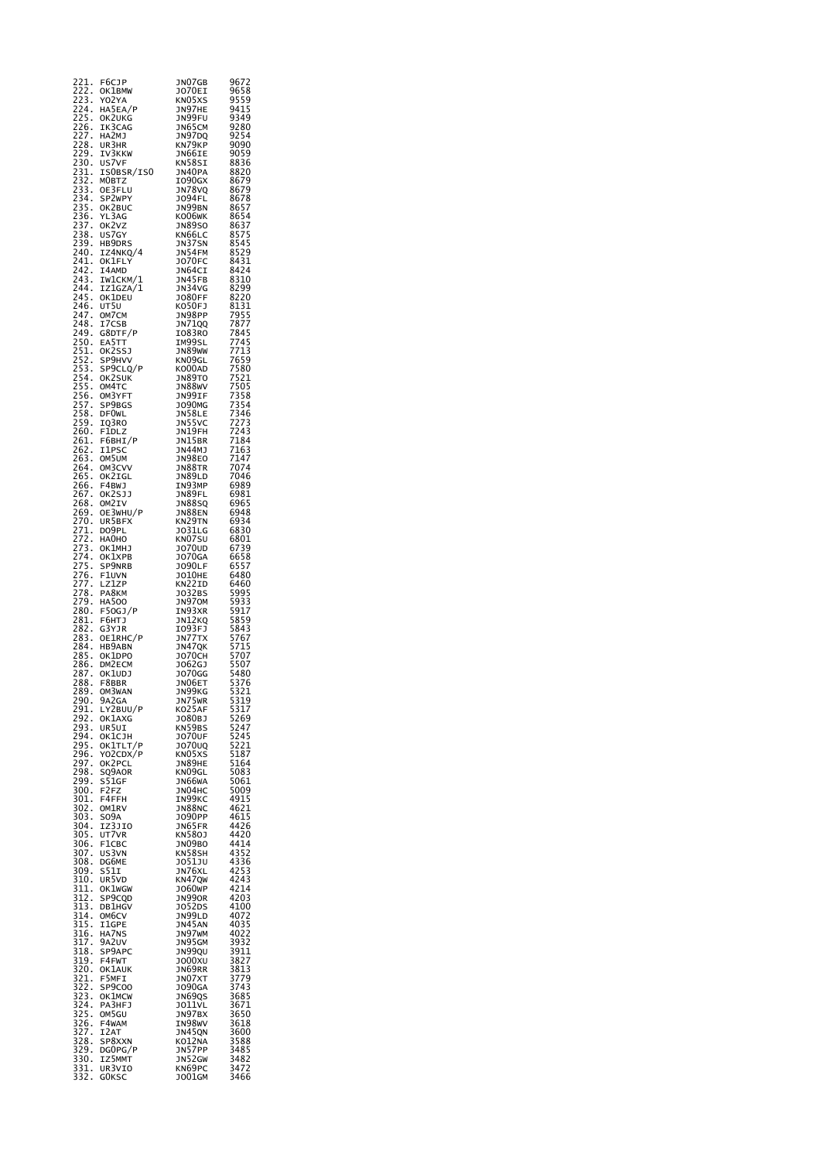| 221.<br>222.                                             | F6CJP<br>OK1BMW               | JNO7GB<br>JO70EI           | 9672<br>9658                                                                  |
|----------------------------------------------------------|-------------------------------|----------------------------|-------------------------------------------------------------------------------|
| 223.<br>224.                                             | Y02YA                         | KN05XS                     | 9559<br>9415                                                                  |
| 225                                                      | HA5EA/P<br>OK2UKG             | JN97HE<br>JN99FU           | 9349                                                                          |
| 226<br>227<br>228<br>$\cdot$                             | IK3CAG<br>HA2MJ               | JN65CM<br>JN97DQ<br>KN79KP | 9280                                                                          |
| $\ddot{\cdot}$                                           | UR3HR                         |                            | 9254<br>9254<br>9090                                                          |
|                                                          | IV3KKW<br>US7VF               | JN66IE<br>KN58SI           |                                                                               |
|                                                          | ISOBSR/ISO                    | JN40PA                     | 8836<br>8820                                                                  |
|                                                          | MOBTZ<br>OE3FLU               | 1090GX<br>א78VQ            | 8679<br>8679                                                                  |
|                                                          | SP2WPY<br>OK2BUC              | J094FL<br>JN99BN           |                                                                               |
|                                                          | YL3AG<br>OK2VZ                | KO06WK                     |                                                                               |
|                                                          | US7GY                         | JN89S0<br>KN66LC           |                                                                               |
|                                                          | HB9DRS<br>IZ4NKQ/4            | JN37SN<br>JN54FM           |                                                                               |
| $241.$<br>$242.$<br>$243.$<br>$244.$<br>$245.$<br>$246.$ | OK1FLY                        | <b>JO70FC</b>              |                                                                               |
|                                                          | I4AMD<br>IW1CKM/1             | JN64CI<br>JN45FB           |                                                                               |
|                                                          | IZIGZA/I<br>OK1DEU            | JN34VG<br>J080FF           |                                                                               |
| $\frac{246}{247}$<br>$\frac{248}{248}$                   | UT5U<br>OM7CM                 | KO50FJ                     |                                                                               |
|                                                          | I7CSB                         | JN98PP<br>JN71QQ           |                                                                               |
|                                                          | G8DTF/P                       | I083R0<br>IM99SL           |                                                                               |
|                                                          | EA5TT<br>OK2SSJ<br>SP9HVV     | JN89WW                     |                                                                               |
|                                                          | SP9CLQ/P                      | KN09GL<br>KO00AD           |                                                                               |
|                                                          | OK2SUK<br>OM4TC               | JN89TO<br><b>JN88WV</b>    |                                                                               |
|                                                          | OM3YFT<br>SP9BGS              | JN99IF<br>J090MG           |                                                                               |
|                                                          | DF0WL                         | JN58LE                     |                                                                               |
|                                                          | IQ3RO<br>F1DLZ                | JN55VC<br>JN19FH           |                                                                               |
|                                                          | F6BHI/P                       | JN15BR                     |                                                                               |
|                                                          | I1PSC<br>OM5UM                | JN44MJ<br><b>JN98EO</b>    | --<br>7184<br>7163<br>7147                                                    |
|                                                          | OM3CVV<br>OK2IGL              | JN88TR<br><b>JN89LD</b>    | 7074<br>7046                                                                  |
|                                                          | F4BWJ                         | IN93MP                     | 6989<br>6981                                                                  |
|                                                          | OK2SJJ<br>OM2IV               | JN89FL<br><b>JN88SQ</b>    | 6965                                                                          |
|                                                          | OE3WHU/P<br>UR5BFX            | JN88EN<br>KN29TN           | $6948$<br>$6934$<br>$6830$                                                    |
|                                                          | DO9PL<br>HA0HO                | J031LG<br>KN07SU           |                                                                               |
|                                                          | OK1MHJ                        | J070UD                     |                                                                               |
|                                                          | OK1XPB<br>SP9NRB              | <b>JO70GA</b><br>J090LF    | 68018657866578665578858677155771557886577155707558584357557557558586855555886 |
|                                                          | F1UVN<br>LZ1ZP                | <b>JO10HE</b><br>KN22ID    |                                                                               |
|                                                          | PA8KM                         | J032BS                     |                                                                               |
|                                                          | HA500<br>F50GJ/P              | JN970M                     |                                                                               |
|                                                          | F6HTJ<br>G3YJR                | IN93XR<br>JN12KQ           |                                                                               |
|                                                          | OE1RHC/P                      | 1093FJ<br>JN77TX           |                                                                               |
| 285                                                      | HB9ABN<br>OK1DPO              | JN47QK<br><b>JO70CH</b>    |                                                                               |
| 286<br>286<br>287<br>288<br>289                          | DM <sub>2</sub> ECM<br>OK1UDJ | J062GJ<br>J070GG           |                                                                               |
|                                                          | F8BBR                         | JN06ET                     |                                                                               |
| 290.                                                     | OM3WAN<br>9A2GA               | JN99KG<br>JN75WR           |                                                                               |
| 291.<br>292.                                             | LY2BUU/P<br>OK1AXG            | KO25AF<br>J080BJ           | 5480<br>5376<br>5321<br>5319<br>5317<br>5269<br>5247<br>5247                  |
| 293.                                                     | UR5UI                         | KN59BS                     |                                                                               |
| 294.<br>295.                                             | OK1CJH<br>OK1TLT/P            | <b>JO70UF</b><br>J070UQ    | 5245<br>5221                                                                  |
| 296.                                                     | YO2CDX/P<br>OK2PCL            | KN05XS<br>JN89HE           | 5187<br>5164                                                                  |
| 297.<br>298.                                             | SQ9AOR                        | KN09GL                     | 5083                                                                          |
| 299.<br>300.                                             | S51GF<br>F2FZ                 | JN66WA<br>JN04HC           | 5061<br>5009                                                                  |
| 301.<br>302.                                             | F4FFH<br>OM1RV                | IN99KC<br>JN88NC           | 4915<br>4621                                                                  |
| 303.                                                     | SO <sub>9</sub> A             | J090PP                     | 4615<br>4426                                                                  |
| 304.<br>305.                                             | IZ3JIO<br>UT7VR               | JN65FR<br>KN580J           | 4420                                                                          |
| $\frac{306}{3}$ .<br>307.                                | F1CBC<br>US3VN                | JNO9BO<br>KN58SH           | 4414<br>4352                                                                  |
| 308.<br>309.                                             | DG6ME                         | J051JU<br>JN76XL           | 4336                                                                          |
| $\frac{1}{310}$ .                                        | S511<br>UR5VD                 | KN47QW                     | 4253<br>4243                                                                  |
| $\frac{1}{311}$ .<br>312.                                | OK1WGW<br>SP9CQD              | J060WP<br><b>JN990R</b>    | 4214<br>4203                                                                  |
| 313.<br>314.                                             | <b>DB1HGV</b>                 | J052DS<br>JN99LD           | 4100<br>4072                                                                  |
| $\overline{315}$ .                                       | OM6CV<br>I1GPE                | JN45AN                     | 4035<br>4022                                                                  |
| $\overline{316}$ .                                       | HA7NS<br>9A2UV                | JN97WM<br>JN95GM           |                                                                               |
| 317<br>318<br>318<br>319                                 | SP9APC                        | JN99QU                     | 3932<br>3911<br>3827                                                          |
| 320.                                                     | F4FWT<br><b>OK1AUK</b>        | J000XU<br>JN69RR           | $\frac{3813}{1}$                                                              |
| 321<br>321<br>322<br>323<br>324                          | F5MFI<br>SP9C00               | JNO7XT<br><b>JO90GA</b>    | 3813<br>3779<br>3743<br>3685<br>3671<br>3650                                  |
|                                                          | OK1MCW<br>PA3HFJ              | JN69QS                     |                                                                               |
| 325.                                                     | OM5GU                         | JO11VL<br>JN97BX           |                                                                               |
| 326.                                                     | F4WAM<br>I2AT                 | IN98WV<br>JN45QN           | 3618<br>3600                                                                  |
| $\frac{327}{328}$<br>$\frac{329}{329}$                   | SP8XXN                        | KO12NA                     | 3588                                                                          |
| 330.<br>331.                                             | DG0PG/P<br>IZ5MMT             | JN57PP<br>JN52GW           | $\frac{3485}{3482}$                                                           |
| 332.                                                     | UR3VIO<br>G <sub>O</sub> KSC  | KN69PC<br>J001GM           | 3472<br>3466                                                                  |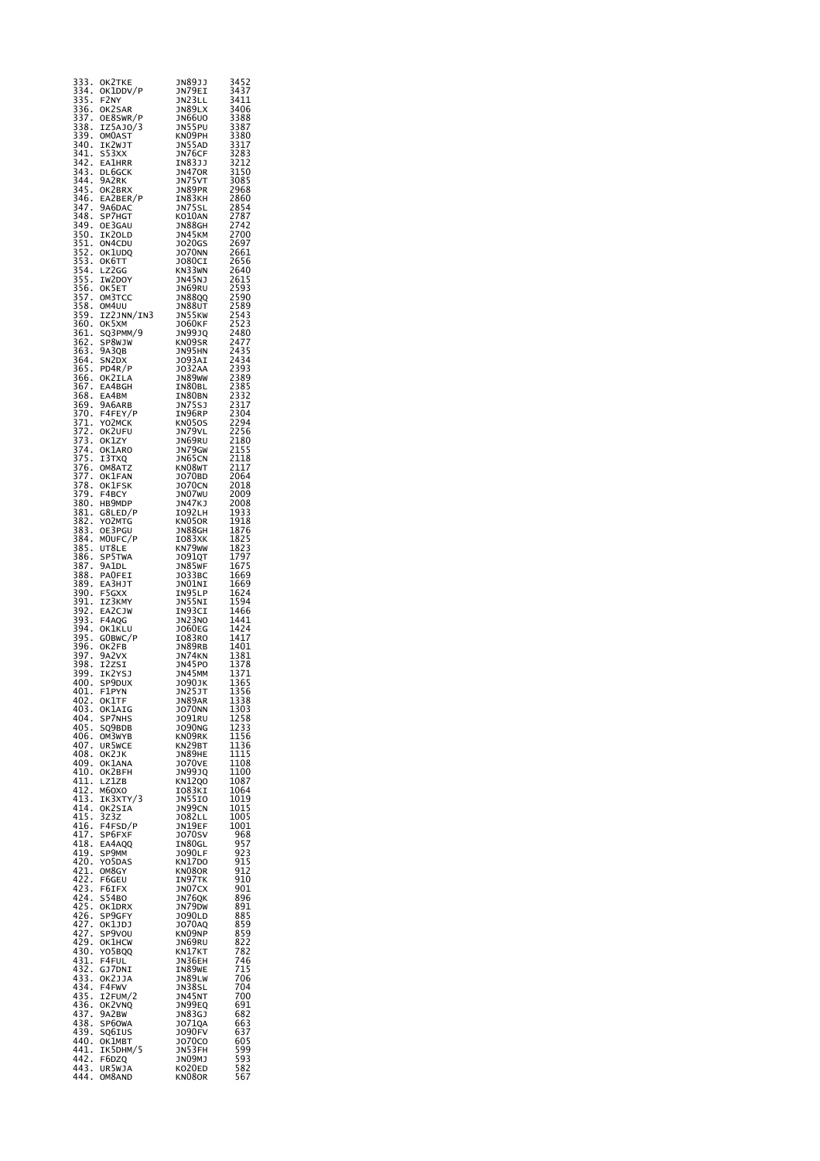| 333<br>334                                           | ок2тке<br>OK1DDV/P             | JN89JJ<br>JN79EI               | 3452<br>3437                                                 |
|------------------------------------------------------|--------------------------------|--------------------------------|--------------------------------------------------------------|
| 335<br>335<br>336<br>337<br>ł,                       | F2NY<br>OK2SAR                 | JN23LL<br>JN89LX               | 3411<br>3406                                                 |
|                                                      | OE8SWR/P<br>IZ5AJ0/3           | JN66U0<br>JN55PU               | 3406<br>3388<br>3387<br>3380<br>3317<br>3283<br>3212<br>3150 |
| 338<br>339<br>340<br>340                             | <b>OMOAST</b>                  | KNO9PH                         |                                                              |
| 341.<br>342.                                         | IK2WJT<br>S53XX                | JN55AD<br>JN76CF               |                                                              |
|                                                      | <b>EA1HRR</b><br><b>DL6GCK</b> | IN83JJ<br><b>JN470R</b>        |                                                              |
| 343<br>344<br>345<br>345                             | 9A2RK<br>OK2BRX                | JN75VT<br>JN89PR               |                                                              |
| 346<br>347                                           | EA2BER/P                       | IN83KH                         |                                                              |
| 346.<br>347.<br>348.                                 | 9A6DAC<br>SP7HGT               | <b>JN75SL</b><br>KO10AN        | 3212<br>3150<br>3085<br>2968<br>2860<br>2854<br>2787         |
|                                                      | OE3GAU<br>IK20LD               | JN88GH<br><b>JN45KM</b>        |                                                              |
|                                                      | ON4CDU<br>OK1UDQ               | J020GS<br><b>JO70NN</b>        |                                                              |
|                                                      | ок6тт<br>LZ2GG                 | <b>JO80CI</b>                  |                                                              |
|                                                      | IW2DOY                         | KN33WN<br><b>JN45NJ</b>        |                                                              |
|                                                      | OK5ET<br>OM3TCC                | <b>JN69RU</b><br>JN88QQ        |                                                              |
|                                                      | OM4UU<br>IZ2JNN/IN3            | JN88UT<br>JN55KW               |                                                              |
|                                                      | ок5хм<br>SQ3PMM/9              | J060KF<br><b>JN99JQ</b>        |                                                              |
| 361<br>362<br>363<br>363                             | SP8WJW                         | KN09SR                         |                                                              |
|                                                      | 9A3QB<br>SN <sub>2D</sub> x    | JN95HN<br><b>JO93AI</b>        |                                                              |
| 364<br>365<br>365<br>366<br>368<br>368<br>369<br>370 | PD4R/P<br>OK2ILA               | <b>JO32AA</b><br>JN89WW        |                                                              |
|                                                      | EA4BGH<br>EA4BM                | IN80BL<br>IN80BN               |                                                              |
|                                                      | 9A6ARB                         | JN75SJ                         |                                                              |
|                                                      | F4FEY/P<br>YO2MCK              | IN96RP<br>KN050S               |                                                              |
|                                                      | OK2UFU<br>OK1ZY                | JN79VL<br>JN69RU               |                                                              |
|                                                      | OK1ARO<br>I3TXQ                | JN79GW<br>JN65CN               |                                                              |
|                                                      | OM8ATZ                         | KN08WT                         | 2250<br>2180<br>2155<br>2118<br>2117<br>2064<br>2018         |
|                                                      | OK1FAN<br>OK1FSK               | J070BD<br><b>JO70CN</b>        | 2018                                                         |
|                                                      | F4BCY<br>HB9MDP                | JNO7WU<br>JN47KJ               | 2009<br>2008                                                 |
|                                                      | G8LED/P<br>YO2MTG              | IO92LH<br>KN05OR               | 1933                                                         |
| 382<br>383<br>$\ddot{\cdot}$<br>$\frac{384}{384}$    | OE3PGU                         | JN88GH                         | 1918<br>1876<br>1825                                         |
| 385                                                  | MOUFC/P<br>UT8LE               | I083XK<br>KN79WW               |                                                              |
| $\ddot{\cdot}$<br>386.<br>386.<br>387.               | SP5TWA<br>9A1DL                | <b>JO91QT</b><br>JN85WF        | 1823<br>1823<br>1797<br>1675                                 |
| 3o.<br>388<br>389<br>390                             | PAOFEI<br>EA3HJT               | J033BC<br>JNO1NI               | 1669<br>1669                                                 |
|                                                      | F5GXX<br>IZ3KMY                | IN95LP<br>JN55NI               | 1624                                                         |
| 391<br>392<br>393<br>393<br>$\vdots$                 | <b>EA2CJW</b>                  | באכפאנ<br>IN93CI<br>JN23NO     | 1594<br>1466                                                 |
| 394.<br>395.                                         | F4AQG<br>OK1KLU                | <b>JO60EG</b>                  | 1441<br>1424<br>1417                                         |
| $\cdot$<br>396.                                      | GOBWC/P<br>OK2FB               | IO83RO<br>JN89RB               | 1401                                                         |
| 397<br>398<br>399                                    | 9A2VX<br>I2ZSI                 | JN74KN<br>JN45PO               |                                                              |
| 400.                                                 | IK2YSJ<br>SP9DUX               | JN45MM                         | 1401<br>1381<br>1378<br>1371<br>1365<br>1356<br>1338         |
| 401.                                                 | F1PYN                          | <b>JO90JK</b><br>JN25JT        |                                                              |
| 402.<br>403.                                         | OK1TF<br>OK1AIG                | JN89AR<br>J070NN               | 1338                                                         |
| 404.<br>405.                                         | SP7NHS<br>SQ9BDB               | J091RU<br>J090NG               | 1303<br>1258<br>1233<br>1233                                 |
| 406.<br>407.                                         | OM3WYB<br>UR5WCE               | KNO9RK<br>KN29BT               | 1156<br>1136                                                 |
| 408.                                                 | OK2JK                          | JN89HE                         | 1115                                                         |
| 409.<br>410.                                         | OK1ANA<br>OK2BFH               | <b>JO70VE</b><br>JN99JQ        | 1108<br>1100                                                 |
| 411.<br>412.                                         | LZ1ZB<br>M6OXO                 | KN12Q0<br>IO83KI               | 1087<br>1064                                                 |
| 413.<br>414.                                         | IK3XTY/3<br>OK2SIA             | JN55IO<br>JN99CN               | 1019<br>1015                                                 |
| 415.                                                 | 3z3z<br>F4FSD/P                | J082LL<br>JN19EF               | 1005<br>1001                                                 |
| 416.<br>417.                                         | SP6FXF                         | J070SV                         | 968                                                          |
| 418.<br>419.                                         | EA4AQQ<br>SP9MM                | IN80GL<br><b>JO90LF</b>        | 957<br>923                                                   |
| 420.                                                 | Y05DAS<br>OM8GY                | KN17DO<br>KN08OR               | 915<br>912                                                   |
| 421.<br>422.<br>423.                                 | F6GEU<br>F6IFX                 | IN97TK<br>JN07CX               | 910<br>901                                                   |
| 424.                                                 | S54BO                          | JN76QK                         | 896                                                          |
| 425.<br>426.                                         | OK1DRX<br>SP9GFY               | JN79DW<br>J090LD               | 891<br>885                                                   |
| 427<br>427.<br>427.                                  | OK1JDJ<br>SP9VOU               | J070AQ<br>KNO9NP               | 859                                                          |
| 429.<br>430.                                         | OK1HCW<br>Y05BQQ               | JN69RU<br>KN17KT               | $\frac{859}{822}$<br>782                                     |
| 431.                                                 | F4FUL                          | JN36EH                         | 746                                                          |
| 432.<br>433.                                         | GJ7DNI<br>OK2JJA               | IN89WE<br>JN89LW               | 715<br>706                                                   |
| 434.<br>435.                                         | F4FWV<br>I2FUM/2               | JN38SL<br>JN45NT               | 704<br>700                                                   |
| 436.<br>437.                                         | OK2VNQ<br>9A2BW                | JN99EQ<br>JN83GJ               | 691<br>682                                                   |
| 438.                                                 | SP60WA                         | J0710A                         |                                                              |
| 439.<br>440.                                         | SQ6IUS<br>OK1MBT               | <b>JO90FV</b><br><b>JO70CO</b> | 663<br>637<br>605                                            |
| 441.<br>442.                                         | IK5DHM/5<br>F6DZQ              | JN53FH<br>JNO9MJ               | 599<br>593                                                   |
| 443.<br>444.                                         | UR5WJA<br>OM8AND               | KO20ED<br>KN080R               | 582<br>567                                                   |
|                                                      |                                |                                |                                                              |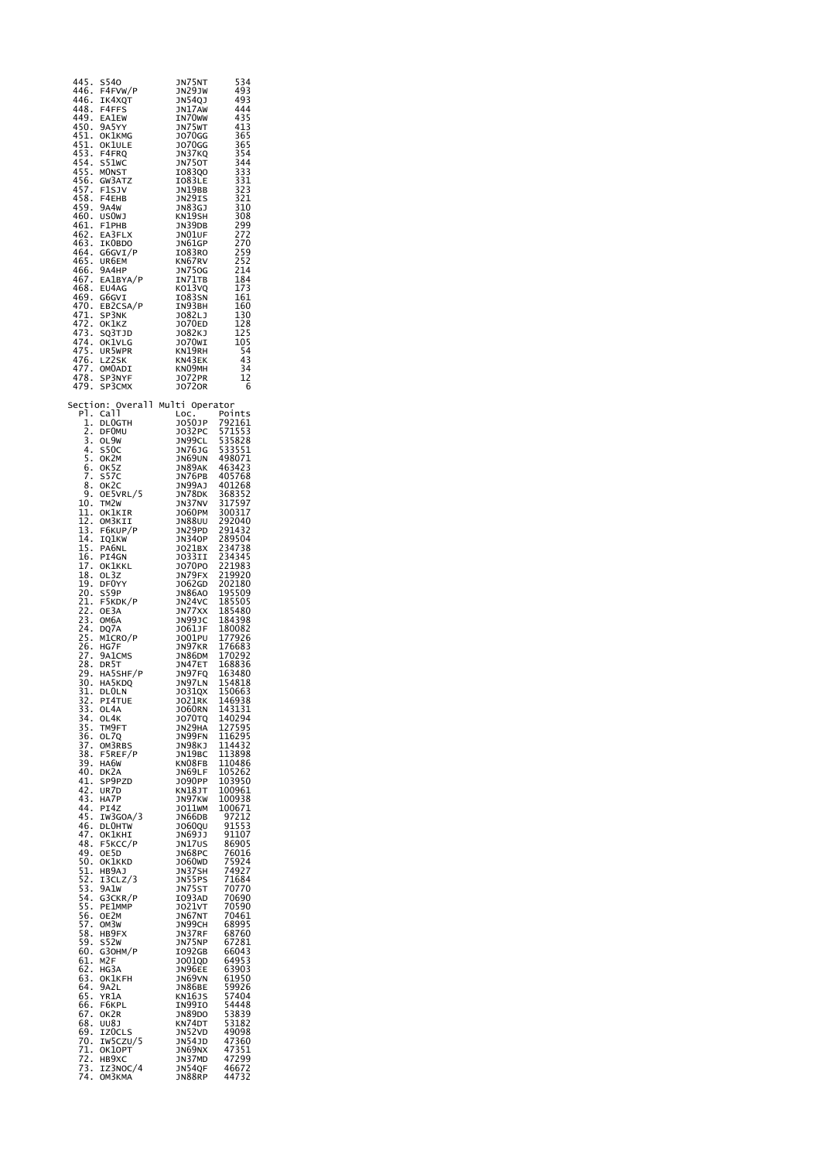| S540<br>445.<br>F4FVW/P<br>446.<br>446.<br>IK4XQT<br>448.<br>F4FFS<br>449.<br><b>EA1EW</b><br>450.<br>9A5YY<br>451.<br>OK1KMG<br>451.<br>OK1ULE<br>453.<br>F4FRQ<br>454.<br>S51WC<br>455.<br><b>MONST</b><br>456.<br>GW3ATZ<br>457.<br>F1SJV<br>458.<br>F4EHB<br>459.<br>9A4W<br>460.<br>us0wj                                                                                                                                                                                                                                                                                                                                                                                                                                                                                                                                                                                                                                                                                                                                                                                                                                                                                                                                                            | JN75NT<br>JN29JW<br>JN54QJ<br>JN17AW<br>IN70 <sub>W</sub><br>JN75WT<br><b>JO70GG</b><br><b>JO70GG</b><br>JN37KQ<br>JN750T<br>1083Q0<br>IO83LE<br>JN19BB<br>JN29IS<br>JN83GJ<br>KN19SH                                                                                                                                                                                                                                                                                                                                                                                                                                                                                                                                                                                                               | 534<br>493<br>493<br>444<br>435<br>413<br>365<br>365<br>354<br>344<br>333<br>331<br>323<br>321<br>310<br>308                                                                                                                                                                                                                                                                                                                                                                                                                                                                                                                                                                        |
|-----------------------------------------------------------------------------------------------------------------------------------------------------------------------------------------------------------------------------------------------------------------------------------------------------------------------------------------------------------------------------------------------------------------------------------------------------------------------------------------------------------------------------------------------------------------------------------------------------------------------------------------------------------------------------------------------------------------------------------------------------------------------------------------------------------------------------------------------------------------------------------------------------------------------------------------------------------------------------------------------------------------------------------------------------------------------------------------------------------------------------------------------------------------------------------------------------------------------------------------------------------|-----------------------------------------------------------------------------------------------------------------------------------------------------------------------------------------------------------------------------------------------------------------------------------------------------------------------------------------------------------------------------------------------------------------------------------------------------------------------------------------------------------------------------------------------------------------------------------------------------------------------------------------------------------------------------------------------------------------------------------------------------------------------------------------------------|-------------------------------------------------------------------------------------------------------------------------------------------------------------------------------------------------------------------------------------------------------------------------------------------------------------------------------------------------------------------------------------------------------------------------------------------------------------------------------------------------------------------------------------------------------------------------------------------------------------------------------------------------------------------------------------|
| 461.<br>F1PHB<br>462.<br>EA3FLX<br>463.<br>IKOBDO<br>464.<br>G6GVI/P<br>465.<br>UR6EM<br>466.<br>9а4нр<br>467.<br>EA1BYA/P<br>468.<br>EU4AG<br>469.<br>G6GVI<br>470.<br>EB2CSA/P<br>471.<br>472.<br>SP3NK<br>OK1KZ<br>473.<br>SQ3TJD<br>474.<br>OK1VLG<br>475.<br>UR5WPR<br>476.<br>LZ2SK<br>477.<br>478.<br>OMOADI<br>SP3NYF                                                                                                                                                                                                                                                                                                                                                                                                                                                                                                                                                                                                                                                                                                                                                                                                                                                                                                                             | JN39DB<br>JNO1UF<br>JN61GP<br>IO83RO<br>KN67RV<br><b>JN750G</b><br>IN71TB<br>KO13VQ<br>IO83SN<br>IN93BH<br>J082LJ<br>J070ED<br>J082KJ<br>JO70WI<br>KN19RH<br>KN43EK<br>KNO9MH<br><b>JO72PR</b>                                                                                                                                                                                                                                                                                                                                                                                                                                                                                                                                                                                                      | 299<br>272<br>270<br>---<br>259<br>252<br>214<br>184<br>173<br>161<br>160<br>130<br>128<br>125<br>105<br>54<br>43<br>34<br>$\frac{1}{2}$                                                                                                                                                                                                                                                                                                                                                                                                                                                                                                                                            |
| 479.<br>SP3CMX<br>Overall<br>Section:<br>Call<br>P1.<br>$\frac{1}{2}$ :<br>DL0GTH<br><b>DF0MU</b><br>3.<br>OL9W<br>4.<br>S50C<br>$\overline{\mathbf{5}}$ .<br>ок2м<br>6.<br>OK5Z<br><b>S57C</b><br>7.<br>8.<br>OK2C<br>9.<br>OE5VRL/5<br>10.<br>TM2W<br>11.<br>OK1KIR<br>12.<br>OM3KII<br>13.<br>F6KUP/P<br>14.<br>IQ1KW<br>15.<br>PA6NL<br>16.<br>17<br>PI4GN<br>OKIKKL<br>18.<br>OL3Z<br>19.<br>DF0YY<br>20.<br>S59P<br>F5KDK/P<br>21.<br>22.<br>23.<br>24.<br>OE3A<br>ОМ6А<br>DQ7A<br>$\frac{25}{26}$ .<br>M1CRO/P<br>HG7F<br>-27<br>28<br>28<br>9A1CMS<br>DR5T<br>29.<br>HA5SHF/P<br>30.<br>HA5KDQ<br>31.<br><b>DLOLN</b><br>32.<br>PI4TUE<br>33.<br>OL4A<br>34.<br>OL4K<br>35.<br>TM9FT<br>36.<br>OL7Q<br>$\frac{37}{38}$ .<br>$\frac{39}{3}$ .<br>OM3RBS<br>F5REF/P<br>HA6W<br>40.<br>DK2A<br>41.<br>SP9PZD<br>42.<br>UR7D<br>43.<br>HA7P<br>44.<br>PI4Z<br>45.<br>IW3GOA/3<br>46.<br><b>DLOHTW</b><br>47.<br>OK1KHI<br>48.<br>F5KCC/P<br>49.<br>OE5D<br>OK1KKD<br>50.<br>51.<br>HB9AJ<br>52.<br>I3CLZ/3<br>53.<br>9A1W<br>54.<br>G3CKR/P<br>55.<br>PE1MMP<br>$\overline{56}$ .<br>OE2M<br>57.<br>OM3W<br>58.<br>HB9FX<br>59.<br>S52W<br>60.<br>G30HM/P<br>61.<br>M2F<br>62.<br>HG3A<br>63.<br>OK1KFH<br>64.<br>9A2L<br>65.<br>YR1A<br>66.<br>F6KPL | J0720R<br>Multi<br>Operator<br>Loc<br>J050JP<br>J032PC<br>JN99CL<br><b>JN76JG</b><br>JN69UN<br>JN89AK<br>JN76PB<br>JN99AJ<br>JN78DK<br>JN37NV<br><b>JO60PM</b><br><b>JN88UU</b><br>JN29PD<br>JN34OP<br>J021BX<br>JO33II<br>J070P0<br>JN79FX<br>J062GD<br><b>JN86AO</b><br>JN24VC<br>JN77XX<br>JN99JC<br>J061JF<br>J001PU<br>JN97KR<br><b>JN86DM</b><br>JN47ET<br>JN97FQ<br>JN97LN<br>J031QX<br><b>JO21RK</b><br><b>JO60RN</b><br>J070TQ<br>JN29HA<br>JN99FN<br>JN98KJ<br>JN19BC<br>KN08FB<br>JN69LF<br><b>JO90PP</b><br>KN18JT<br>JN97KW<br>J011WM<br>JN66DB<br><b>JO60QU</b><br>JN69JJ<br>JN17US<br>JN68PC<br>J060WD<br>JN37SH<br>JN55PS<br><b>JN75ST</b><br>I093AD<br>J021VT<br>JN67NT<br>JN99CH<br>JN37RF<br>JN75NP<br>I092GB<br>J001QD<br>JN96EE<br>JN69VN<br><b>JN86BE</b><br>KN16JS<br>IN99IO | 6<br>Points<br>792161<br>571553<br>535828<br>533551<br>498071<br>463423<br>405768<br>401268<br>368352<br>317597<br>300317<br>292040<br>291432<br>289504<br>289504<br>234738<br>234345<br>221983<br>219920<br>202180<br>195509<br>185505<br>185480<br>184398<br>180082<br>177926<br>176683<br>170292<br>168836<br>163480<br>154818<br>150663<br>146938<br>143131<br>140294<br>127595<br>116295<br>114432<br>113898<br>110486<br>105262<br>103950<br>100961<br>100938<br>100671<br>97212<br>91553<br>91107<br>86905<br>76016<br>75924<br>74927<br>71684<br>70770<br>70690<br>70590<br>70461<br>68995<br>68760<br>67281<br>66043<br>64953<br>63903<br>61950<br>59926<br>57404<br>54448 |
| 67.<br>68.<br>OK2R<br>UU8J<br>69.<br>IZOCLS<br>70.<br>IW5CZU/5<br>71.<br>OK10PT<br>72.<br>HB9XC<br>73.<br>IZ3NOC/4<br>74.<br><b>ОМЗКМА</b>                                                                                                                                                                                                                                                                                                                                                                                                                                                                                                                                                                                                                                                                                                                                                                                                                                                                                                                                                                                                                                                                                                                | <b>JN89DO</b><br>KN74DT<br>JN52VD<br>JN54JD<br>JN69NX<br>JN37MD<br>JN54QF<br>JN88RP                                                                                                                                                                                                                                                                                                                                                                                                                                                                                                                                                                                                                                                                                                                 | 53839<br>53182<br>49098<br>47360<br>47351<br>47299<br>46672<br>44732                                                                                                                                                                                                                                                                                                                                                                                                                                                                                                                                                                                                                |